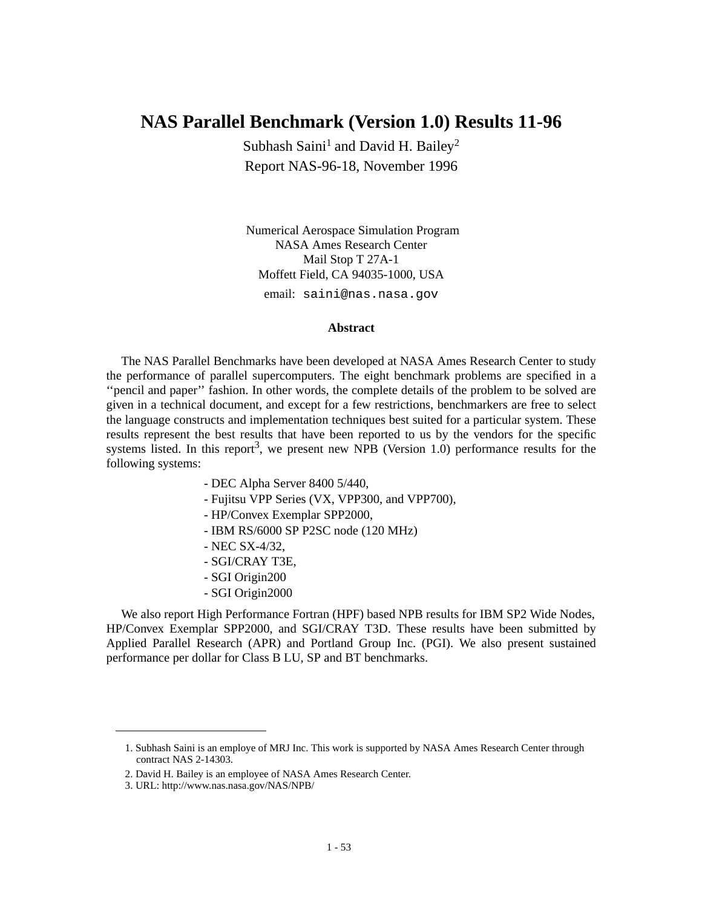# **NAS Parallel Benchmark (Version 1.0) Results 11-96**

Subhash Saini<sup>1</sup> and David H. Bailey<sup>2</sup> Report NAS-96-18, November 1996

 Numerical Aerospace Simulation Program NASA Ames Research Center Mail Stop T 27A-1 Moffett Field, CA 94035-1000, USA email: saini@nas.nasa.gov

### **Abstract**

The NAS Parallel Benchmarks have been developed at NASA Ames Research Center to study the performance of parallel supercomputers. The eight benchmark problems are specified in a "pencil and paper" fashion. In other words, the complete details of the problem to be solved are given in a technical document, and except for a few restrictions, benchmarkers are free to select the language constructs and implementation techniques best suited for a particular system. These results represent the best results that have been reported to us by the vendors for the specific systems listed. In this report<sup>3</sup>, we present new NPB (Version 1.0) performance results for the following systems:

- DEC Alpha Server 8400 5/440,
- Fujitsu VPP Series (VX, VPP300, and VPP700),
- HP/Convex Exemplar SPP2000,
- IBM RS/6000 SP P2SC node (120 MHz)
- NEC SX-4/32,
- SGI/CRAY T3E,
- SGI Origin200
- SGI Origin2000

We also report High Performance Fortran (HPF) based NPB results for IBM SP2 Wide Nodes, HP/Convex Exemplar SPP2000, and SGI/CRAY T3D. These results have been submitted by Applied Parallel Research (APR) and Portland Group Inc. (PGI). We also present sustained performance per dollar for Class B LU, SP and BT benchmarks.

<sup>1.</sup> Subhash Saini is an employe of MRJ Inc. This work is supported by NASA Ames Research Center through contract NAS 2-14303.

<sup>2.</sup> David H. Bailey is an employee of NASA Ames Research Center.

<sup>3.</sup> URL: http://www.nas.nasa.gov/NAS/NPB/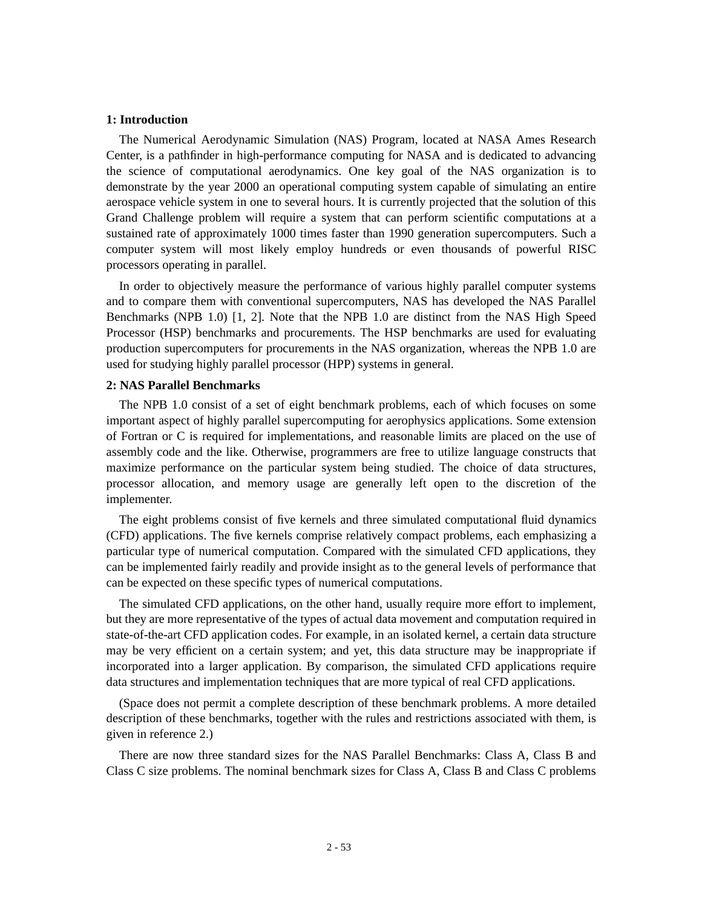### **1: Introduction**

The Numerical Aerodynamic Simulation (NAS) Program, located at NASA Ames Research Center, is a pathfinder in high-performance computing for NASA and is dedicated to advancing the science of computational aerodynamics. One key goal of the NAS organization is to demonstrate by the year 2000 an operational computing system capable of simulating an entire aerospace vehicle system in one to several hours. It is currently projected that the solution of this Grand Challenge problem will require a system that can perform scientific computations at a sustained rate of approximately 1000 times faster than 1990 generation supercomputers. Such a computer system will most likely employ hundreds or even thousands of powerful RISC processors operating in parallel.

In order to objectively measure the performance of various highly parallel computer systems and to compare them with conventional supercomputers, NAS has developed the NAS Parallel Benchmarks (NPB 1.0) [1, 2]. Note that the NPB 1.0 are distinct from the NAS High Speed Processor (HSP) benchmarks and procurements. The HSP benchmarks are used for evaluating production supercomputers for procurements in the NAS organization, whereas the NPB 1.0 are used for studying highly parallel processor (HPP) systems in general.

### **2: NAS Parallel Benchmarks**

The NPB 1.0 consist of a set of eight benchmark problems, each of which focuses on some important aspect of highly parallel supercomputing for aerophysics applications. Some extension of Fortran or C is required for implementations, and reasonable limits are placed on the use of assembly code and the like. Otherwise, programmers are free to utilize language constructs that maximize performance on the particular system being studied. The choice of data structures, processor allocation, and memory usage are generally left open to the discretion of the implementer.

The eight problems consist of five kernels and three simulated computational fluid dynamics (CFD) applications. The five kernels comprise relatively compact problems, each emphasizing a particular type of numerical computation. Compared with the simulated CFD applications, they can be implemented fairly readily and provide insight as to the general levels of performance that can be expected on these specific types of numerical computations.

The simulated CFD applications, on the other hand, usually require more effort to implement, but they are more representative of the types of actual data movement and computation required in state-of-the-art CFD application codes. For example, in an isolated kernel, a certain data structure may be very efficient on a certain system; and yet, this data structure may be inappropriate if incorporated into a larger application. By comparison, the simulated CFD applications require data structures and implementation techniques that are more typical of real CFD applications.

(Space does not permit a complete description of these benchmark problems. A more detailed description of these benchmarks, together with the rules and restrictions associated with them, is given in reference 2.)

There are now three standard sizes for the NAS Parallel Benchmarks: Class A, Class B and Class C size problems. The nominal benchmark sizes for Class A, Class B and Class C problems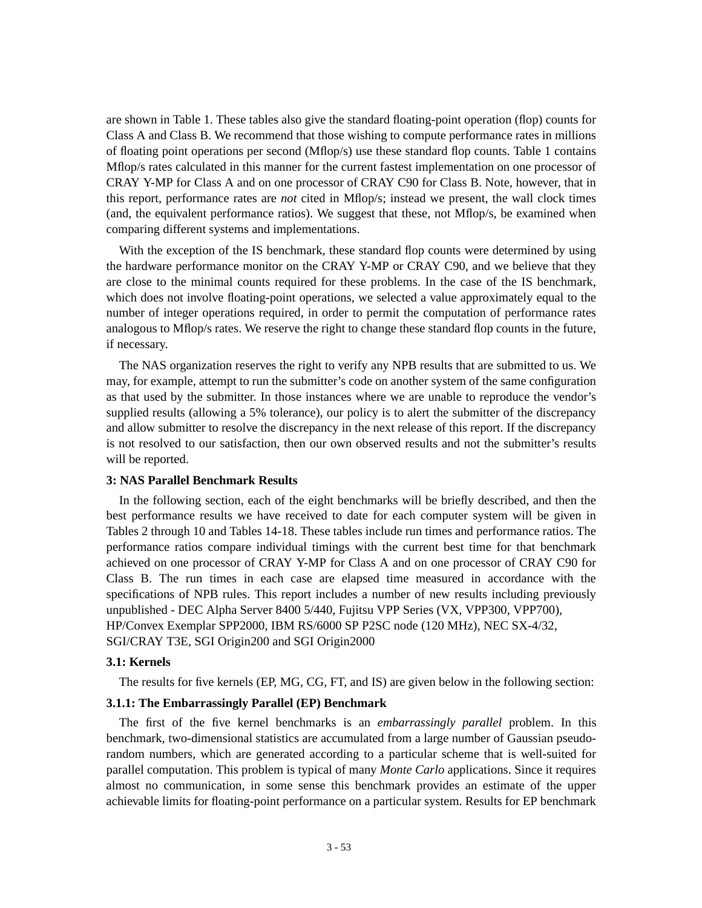are shown in Table 1. These tables also give the standard floating-point operation (flop) counts for Class A and Class B. We recommend that those wishing to compute performance rates in millions of floating point operations per second (Mflop/s) use these standard flop counts. Table 1 contains Mflop/s rates calculated in this manner for the current fastest implementation on one processor of CRAY Y-MP for Class A and on one processor of CRAY C90 for Class B. Note, however, that in this report, performance rates are *not* cited in Mflop/s; instead we present, the wall clock times (and, the equivalent performance ratios). We suggest that these, not Mflop/s, be examined when comparing different systems and implementations.

With the exception of the IS benchmark, these standard flop counts were determined by using the hardware performance monitor on the CRAY Y-MP or CRAY C90, and we believe that they are close to the minimal counts required for these problems. In the case of the IS benchmark, which does not involve floating-point operations, we selected a value approximately equal to the number of integer operations required, in order to permit the computation of performance rates analogous to Mflop/s rates. We reserve the right to change these standard flop counts in the future, if necessary.

The NAS organization reserves the right to verify any NPB results that are submitted to us. We may, for example, attempt to run the submitter's code on another system of the same configuration as that used by the submitter. In those instances where we are unable to reproduce the vendor's supplied results (allowing a 5% tolerance), our policy is to alert the submitter of the discrepancy and allow submitter to resolve the discrepancy in the next release of this report. If the discrepancy is not resolved to our satisfaction, then our own observed results and not the submitter's results will be reported.

#### **3: NAS Parallel Benchmark Results**

In the following section, each of the eight benchmarks will be briefly described, and then the best performance results we have received to date for each computer system will be given in Tables 2 through 10 and Tables 14-18. These tables include run times and performance ratios. The performance ratios compare individual timings with the current best time for that benchmark achieved on one processor of CRAY Y-MP for Class A and on one processor of CRAY C90 for Class B. The run times in each case are elapsed time measured in accordance with the specifications of NPB rules. This report includes a number of new results including previously unpublished - DEC Alpha Server 8400 5/440, Fujitsu VPP Series (VX, VPP300, VPP700), HP/Convex Exemplar SPP2000, IBM RS/6000 SP P2SC node (120 MHz), NEC SX-4/32, SGI/CRAY T3E, SGI Origin200 and SGI Origin2000

#### **3.1: Kernels**

The results for five kernels (EP, MG, CG, FT, and IS) are given below in the following section:

#### **3.1.1: The Embarrassingly Parallel (EP) Benchmark**

The first of the five kernel benchmarks is an *embarrassingly parallel* problem. In this benchmark, two-dimensional statistics are accumulated from a large number of Gaussian pseudorandom numbers, which are generated according to a particular scheme that is well-suited for parallel computation. This problem is typical of many *Monte Carlo* applications. Since it requires almost no communication, in some sense this benchmark provides an estimate of the upper achievable limits for floating-point performance on a particular system. Results for EP benchmark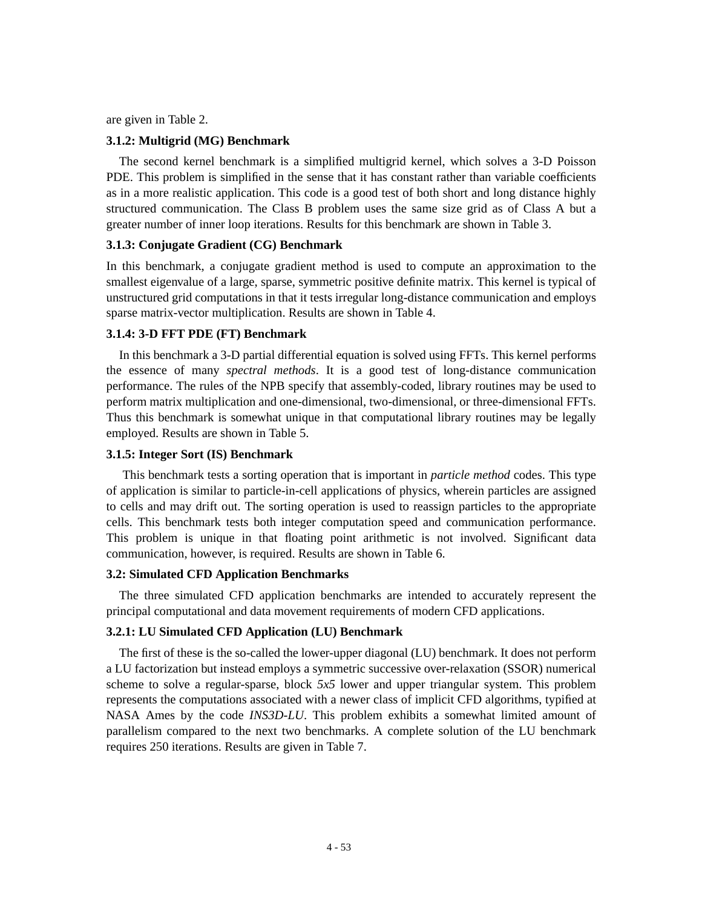are given in Table 2.

### **3.1.2: Multigrid (MG) Benchmark**

The second kernel benchmark is a simplified multigrid kernel, which solves a 3-D Poisson PDE. This problem is simplified in the sense that it has constant rather than variable coefficients as in a more realistic application. This code is a good test of both short and long distance highly structured communication. The Class B problem uses the same size grid as of Class A but a greater number of inner loop iterations. Results for this benchmark are shown in Table 3.

### **3.1.3: Conjugate Gradient (CG) Benchmark**

In this benchmark, a conjugate gradient method is used to compute an approximation to the smallest eigenvalue of a large, sparse, symmetric positive definite matrix. This kernel is typical of unstructured grid computations in that it tests irregular long-distance communication and employs sparse matrix-vector multiplication. Results are shown in Table 4.

### **3.1.4: 3-D FFT PDE (FT) Benchmark**

In this benchmark a 3-D partial differential equation is solved using FFTs. This kernel performs the essence of many *spectral methods*. It is a good test of long-distance communication performance. The rules of the NPB specify that assembly-coded, library routines may be used to perform matrix multiplication and one-dimensional, two-dimensional, or three-dimensional FFTs. Thus this benchmark is somewhat unique in that computational library routines may be legally employed. Results are shown in Table 5.

### **3.1.5: Integer Sort (IS) Benchmark**

 This benchmark tests a sorting operation that is important in *particle method* codes. This type of application is similar to particle-in-cell applications of physics, wherein particles are assigned to cells and may drift out. The sorting operation is used to reassign particles to the appropriate cells. This benchmark tests both integer computation speed and communication performance. This problem is unique in that floating point arithmetic is not involved. Significant data communication, however, is required. Results are shown in Table 6.

#### **3.2: Simulated CFD Application Benchmarks**

The three simulated CFD application benchmarks are intended to accurately represent the principal computational and data movement requirements of modern CFD applications.

#### **3.2.1: LU Simulated CFD Application (LU) Benchmark**

The first of these is the so-called the lower-upper diagonal (LU) benchmark. It does not perform a LU factorization but instead employs a symmetric successive over-relaxation (SSOR) numerical scheme to solve a regular-sparse, block *5x5* lower and upper triangular system. This problem represents the computations associated with a newer class of implicit CFD algorithms, typified at NASA Ames by the code *INS3D-LU*. This problem exhibits a somewhat limited amount of parallelism compared to the next two benchmarks. A complete solution of the LU benchmark requires 250 iterations. Results are given in Table 7.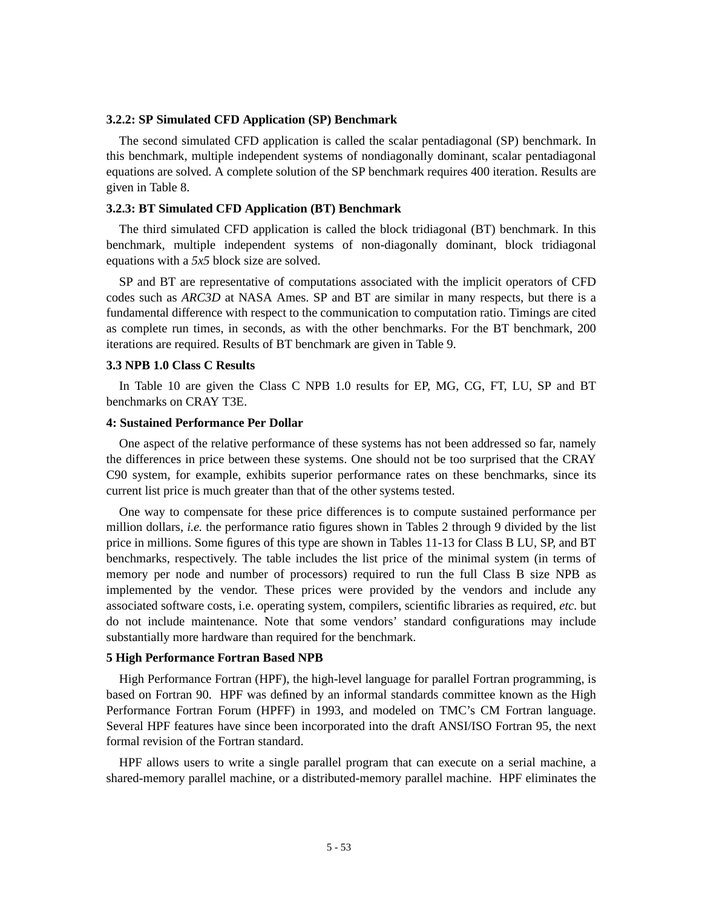#### **3.2.2: SP Simulated CFD Application (SP) Benchmark**

The second simulated CFD application is called the scalar pentadiagonal (SP) benchmark. In this benchmark, multiple independent systems of nondiagonally dominant, scalar pentadiagonal equations are solved. A complete solution of the SP benchmark requires 400 iteration. Results are given in Table 8.

#### **3.2.3: BT Simulated CFD Application (BT) Benchmark**

The third simulated CFD application is called the block tridiagonal (BT) benchmark. In this benchmark, multiple independent systems of non-diagonally dominant, block tridiagonal equations with a *5x5* block size are solved.

SP and BT are representative of computations associated with the implicit operators of CFD codes such as *ARC3D* at NASA Ames. SP and BT are similar in many respects, but there is a fundamental difference with respect to the communication to computation ratio. Timings are cited as complete run times, in seconds, as with the other benchmarks. For the BT benchmark, 200 iterations are required. Results of BT benchmark are given in Table 9.

### **3.3 NPB 1.0 Class C Results**

In Table 10 are given the Class C NPB 1.0 results for EP, MG, CG, FT, LU, SP and BT benchmarks on CRAY T3E.

### **4: Sustained Performance Per Dollar**

One aspect of the relative performance of these systems has not been addressed so far, namely the differences in price between these systems. One should not be too surprised that the CRAY C90 system, for example, exhibits superior performance rates on these benchmarks, since its current list price is much greater than that of the other systems tested.

One way to compensate for these price differences is to compute sustained performance per million dollars, *i.e.* the performance ratio figures shown in Tables 2 through 9 divided by the list price in millions. Some figures of this type are shown in Tables 11-13 for Class B LU, SP, and BT benchmarks, respectively. The table includes the list price of the minimal system (in terms of memory per node and number of processors) required to run the full Class B size NPB as implemented by the vendor. These prices were provided by the vendors and include any associated software costs, i.e. operating system, compilers, scientific libraries as required, *etc.* but do not include maintenance. Note that some vendors' standard configurations may include substantially more hardware than required for the benchmark.

#### **5 High Performance Fortran Based NPB**

High Performance Fortran (HPF), the high-level language for parallel Fortran programming, is based on Fortran 90. HPF was defined by an informal standards committee known as the High Performance Fortran Forum (HPFF) in 1993, and modeled on TMC's CM Fortran language. Several HPF features have since been incorporated into the draft ANSI/ISO Fortran 95, the next formal revision of the Fortran standard.

HPF allows users to write a single parallel program that can execute on a serial machine, a shared-memory parallel machine, or a distributed-memory parallel machine. HPF eliminates the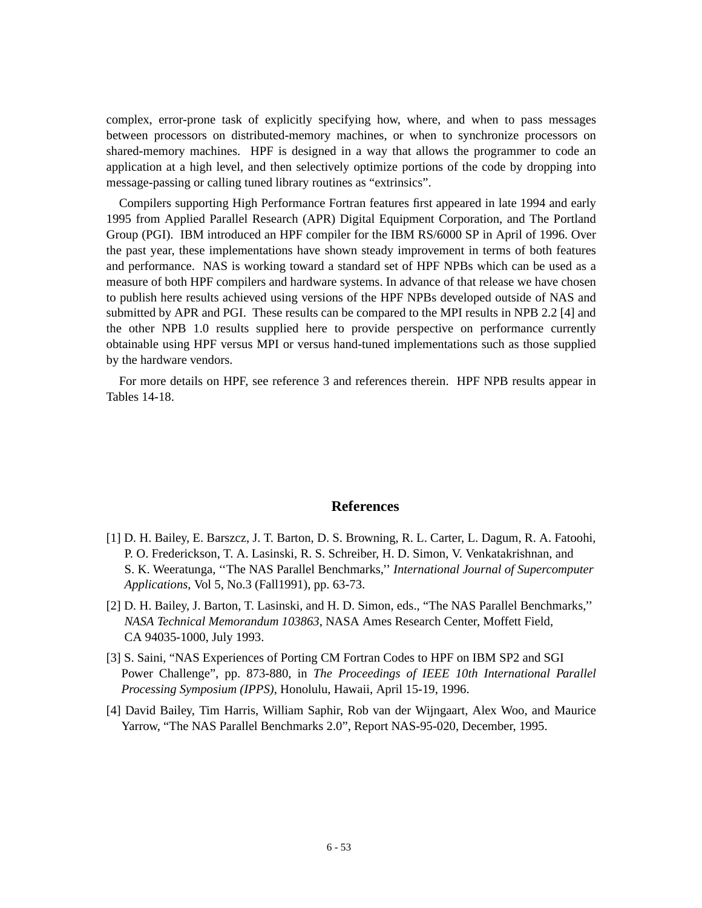complex, error-prone task of explicitly specifying how, where, and when to pass messages between processors on distributed-memory machines, or when to synchronize processors on shared-memory machines. HPF is designed in a way that allows the programmer to code an application at a high level, and then selectively optimize portions of the code by dropping into message-passing or calling tuned library routines as "extrinsics".

Compilers supporting High Performance Fortran features first appeared in late 1994 and early 1995 from Applied Parallel Research (APR) Digital Equipment Corporation, and The Portland Group (PGI). IBM introduced an HPF compiler for the IBM RS/6000 SP in April of 1996. Over the past year, these implementations have shown steady improvement in terms of both features and performance. NAS is working toward a standard set of HPF NPBs which can be used as a measure of both HPF compilers and hardware systems. In advance of that release we have chosen to publish here results achieved using versions of the HPF NPBs developed outside of NAS and submitted by APR and PGI. These results can be compared to the MPI results in NPB 2.2 [4] and the other NPB 1.0 results supplied here to provide perspective on performance currently obtainable using HPF versus MPI or versus hand-tuned implementations such as those supplied by the hardware vendors.

For more details on HPF, see reference 3 and references therein. HPF NPB results appear in Tables 14-18.

### **References**

- [1] D. H. Bailey, E. Barszcz, J. T. Barton, D. S. Browning, R. L. Carter, L. Dagum, R. A. Fatoohi, P. O. Frederickson, T. A. Lasinski, R. S. Schreiber, H. D. Simon, V. Venkatakrishnan, and S. K. Weeratunga, ''The NAS Parallel Benchmarks,'' *International Journal of Supercomputer Applications*, Vol 5, No.3 (Fall1991), pp. 63-73.
- [2] D. H. Bailey, J. Barton, T. Lasinski, and H. D. Simon, eds., "The NAS Parallel Benchmarks,'' *NASA Technical Memorandum 103863*, NASA Ames Research Center, Moffett Field, CA 94035-1000, July 1993.
- [3] S. Saini, "NAS Experiences of Porting CM Fortran Codes to HPF on IBM SP2 and SGI Power Challenge", pp. 873-880, in *The Proceedings of IEEE 10th International Parallel Processing Symposium (IPPS)*, Honolulu, Hawaii, April 15-19, 1996.
- [4] David Bailey, Tim Harris, William Saphir, Rob van der Wijngaart, Alex Woo, and Maurice Yarrow, "The NAS Parallel Benchmarks 2.0", Report NAS-95-020, December, 1995.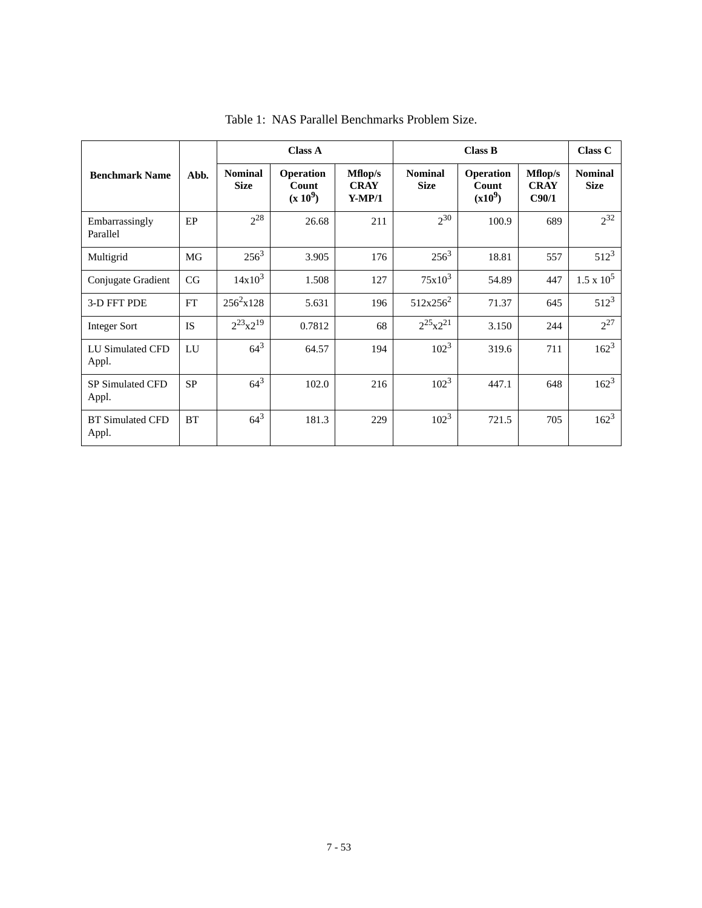|                                  |           | <b>Class A</b>                |                                         | <b>Class B</b>                     |                               |                                        | Class C                         |                               |
|----------------------------------|-----------|-------------------------------|-----------------------------------------|------------------------------------|-------------------------------|----------------------------------------|---------------------------------|-------------------------------|
| <b>Benchmark Name</b>            | Abb.      | <b>Nominal</b><br><b>Size</b> | <b>Operation</b><br>Count<br>$(x 10^9)$ | Mflop/s<br><b>CRAY</b><br>$Y-MP/1$ | <b>Nominal</b><br><b>Size</b> | <b>Operation</b><br>Count<br>$(x10^9)$ | Mflop/s<br><b>CRAY</b><br>C90/1 | <b>Nominal</b><br><b>Size</b> |
| Embarrassingly<br>Parallel       | EP        | $2^{28}$                      | 26.68                                   | 211                                | $2^{30}$                      | 100.9                                  | 689                             | $2^{32}$                      |
| Multigrid                        | MG        | $256^3$                       | 3.905                                   | 176                                | $256^3$                       | 18.81                                  | 557                             | $512^3$                       |
| Conjugate Gradient               | CG        | $14x10^3$                     | 1.508                                   | 127                                | $75x10^3$                     | 54.89                                  | 447                             | $1.5 \times 10^5$             |
| 3-D FFT PDE                      | FT        | $256^2 \times 128$            | 5.631                                   | 196                                | $512x256^2$                   | 71.37                                  | 645                             | $512^3$                       |
| <b>Integer Sort</b>              | <b>IS</b> | $2^{23}x2^{19}$               | 0.7812                                  | 68                                 | $2^{25}x^{21}$                | 3.150                                  | 244                             | $2^{27}$                      |
| LU Simulated CFD<br>Appl.        | LU        | $64^{3}$                      | 64.57                                   | 194                                | $102^3$                       | 319.6                                  | 711                             | $162^3$                       |
| <b>SP Simulated CFD</b><br>Appl. | <b>SP</b> | $64^{3}$                      | 102.0                                   | 216                                | $102^3$                       | 447.1                                  | 648                             | $162^3$                       |
| <b>BT</b> Simulated CFD<br>Appl. | <b>BT</b> | $64^{3}$                      | 181.3                                   | 229                                | $102^3$                       | 721.5                                  | 705                             | $162^3$                       |

Table 1: NAS Parallel Benchmarks Problem Size.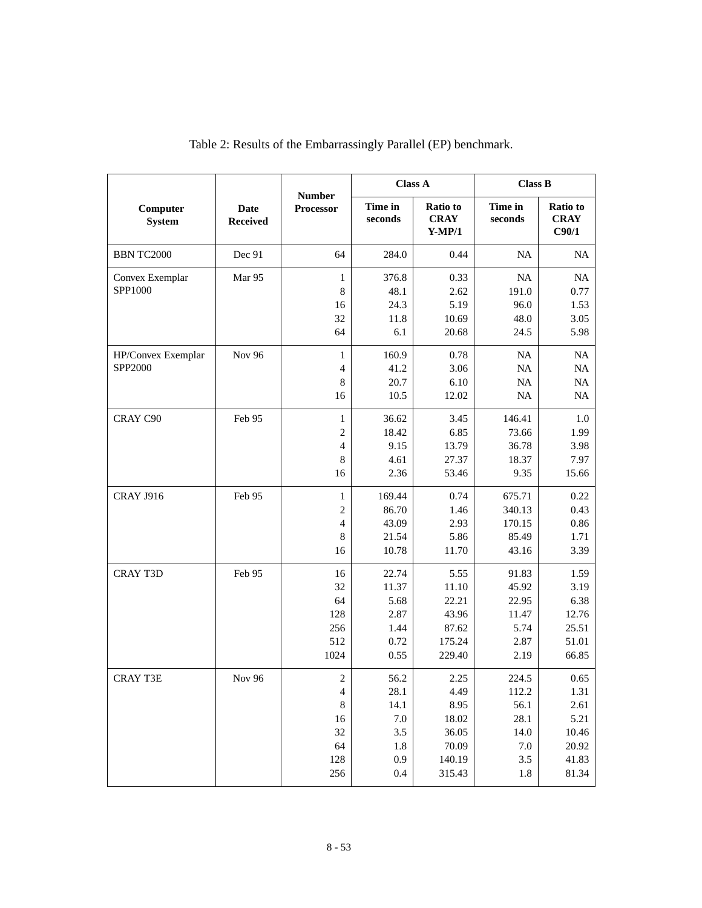|                               |                                |                                                                                   |                                                             | <b>Class A</b>                                                      | <b>Class B</b>                                              |                                                                  |
|-------------------------------|--------------------------------|-----------------------------------------------------------------------------------|-------------------------------------------------------------|---------------------------------------------------------------------|-------------------------------------------------------------|------------------------------------------------------------------|
| Computer<br><b>System</b>     | <b>Date</b><br><b>Received</b> | <b>Number</b><br>Processor                                                        | Time in<br>seconds                                          | <b>Ratio</b> to<br><b>CRAY</b><br>$Y-MP/1$                          | Time in<br>seconds                                          | Ratio to<br><b>CRAY</b><br>C90/1                                 |
| <b>BBN TC2000</b>             | Dec 91                         | 64                                                                                | 284.0                                                       | 0.44                                                                | NA                                                          | NA                                                               |
| Convex Exemplar<br>SPP1000    | Mar 95                         | $\mathbf{1}$<br>$\,8\,$<br>16<br>32<br>64                                         | 376.8<br>48.1<br>24.3<br>11.8<br>6.1                        | 0.33<br>2.62<br>5.19<br>10.69<br>20.68                              | NA<br>191.0<br>96.0<br>48.0<br>24.5                         | NA<br>0.77<br>1.53<br>3.05<br>5.98                               |
| HP/Convex Exemplar<br>SPP2000 | Nov 96                         | $\mathbf{1}$<br>$\overline{4}$<br>$\,8$<br>16                                     | 160.9<br>41.2<br>20.7<br>10.5                               | 0.78<br>3.06<br>6.10<br>12.02                                       | NA<br>NA<br>NA<br>NA                                        | NA<br>NA<br>NA<br>NA                                             |
| CRAY C90                      | Feb 95                         | $\mathbf{1}$<br>$\mathfrak{2}$<br>$\overline{4}$<br>8<br>16                       | 36.62<br>18.42<br>9.15<br>4.61<br>2.36                      | 3.45<br>6.85<br>13.79<br>27.37<br>53.46                             | 146.41<br>73.66<br>36.78<br>18.37<br>9.35                   | 1.0<br>1.99<br>3.98<br>7.97<br>15.66                             |
| <b>CRAY J916</b>              | Feb 95                         | $\mathbf{1}$<br>$\mathfrak{2}$<br>$\overline{4}$<br>$\,8\,$<br>16                 | 169.44<br>86.70<br>43.09<br>21.54<br>10.78                  | 0.74<br>1.46<br>2.93<br>5.86<br>11.70                               | 675.71<br>340.13<br>170.15<br>85.49<br>43.16                | 0.22<br>0.43<br>0.86<br>1.71<br>3.39                             |
| <b>CRAY T3D</b>               | Feb 95                         | 16<br>32<br>64<br>128<br>256<br>512<br>1024                                       | 22.74<br>11.37<br>5.68<br>2.87<br>1.44<br>0.72<br>0.55      | 5.55<br>11.10<br>22.21<br>43.96<br>87.62<br>175.24<br>229.40        | 91.83<br>45.92<br>22.95<br>11.47<br>5.74<br>2.87<br>2.19    | 1.59<br>3.19<br>6.38<br>12.76<br>25.51<br>51.01<br>66.85         |
| <b>CRAY T3E</b>               | <b>Nov 96</b>                  | $\sqrt{2}$<br>$\overline{\mathcal{A}}$<br>$\,8\,$<br>16<br>32<br>64<br>128<br>256 | 56.2<br>28.1<br>14.1<br>$7.0\,$<br>3.5<br>1.8<br>0.9<br>0.4 | 2.25<br>4.49<br>8.95<br>18.02<br>36.05<br>70.09<br>140.19<br>315.43 | 224.5<br>112.2<br>56.1<br>28.1<br>14.0<br>7.0<br>3.5<br>1.8 | 0.65<br>1.31<br>2.61<br>5.21<br>10.46<br>20.92<br>41.83<br>81.34 |

|  | Table 2: Results of the Embarrassingly Parallel (EP) benchmark. |  |
|--|-----------------------------------------------------------------|--|
|--|-----------------------------------------------------------------|--|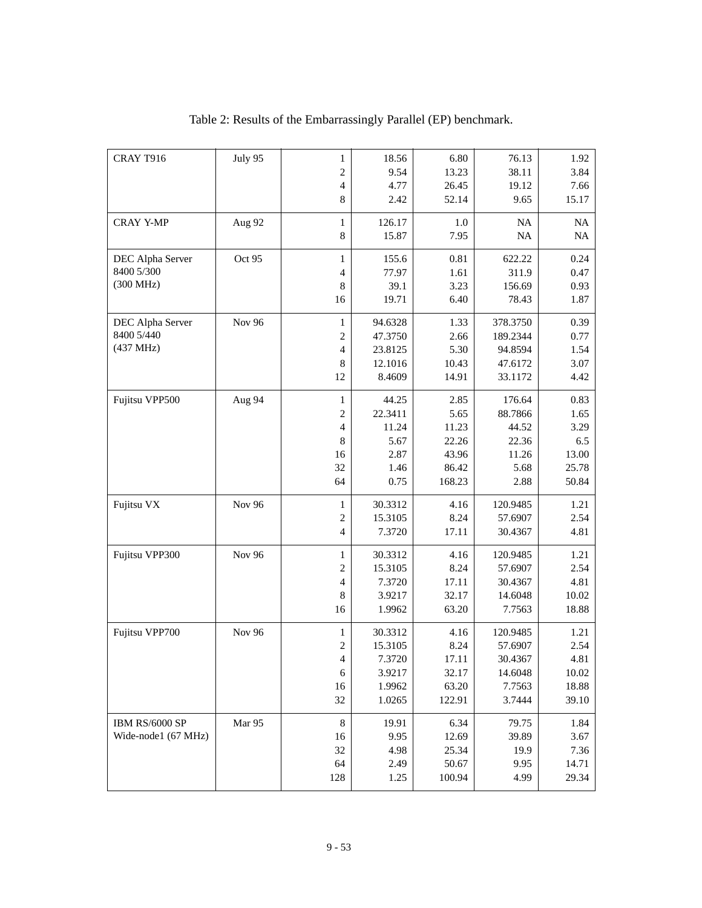| CRAY T916           | July 95       | $\mathbf 1$              | 18.56   | 6.80   | 76.13    | 1.92  |
|---------------------|---------------|--------------------------|---------|--------|----------|-------|
|                     |               | $\overline{c}$           | 9.54    | 13.23  | 38.11    | 3.84  |
|                     |               | $\overline{4}$           | 4.77    | 26.45  | 19.12    | 7.66  |
|                     |               | 8                        | 2.42    | 52.14  | 9.65     | 15.17 |
| <b>CRAY Y-MP</b>    | Aug 92        | $\mathbf{1}$             | 126.17  | 1.0    | NA       | NA    |
|                     |               | $\,8$                    | 15.87   | 7.95   | $\rm NA$ | NA    |
| DEC Alpha Server    | Oct 95        | $\mathbf 1$              | 155.6   | 0.81   | 622.22   | 0.24  |
| 8400 5/300          |               | $\overline{4}$           | 77.97   | 1.61   | 311.9    | 0.47  |
| (300 MHz)           |               | 8                        | 39.1    | 3.23   | 156.69   | 0.93  |
|                     |               | 16                       | 19.71   | 6.40   | 78.43    | 1.87  |
| DEC Alpha Server    | <b>Nov 96</b> | $\mathbf 1$              | 94.6328 | 1.33   | 378.3750 | 0.39  |
| 8400 5/440          |               | $\overline{c}$           | 47.3750 | 2.66   | 189.2344 | 0.77  |
| (437 MHz)           |               | $\overline{4}$           | 23.8125 | 5.30   | 94.8594  | 1.54  |
|                     |               | 8                        | 12.1016 | 10.43  | 47.6172  | 3.07  |
|                     |               | 12                       | 8.4609  | 14.91  | 33.1172  | 4.42  |
| Fujitsu VPP500      | Aug 94        | $\mathbf{1}$             | 44.25   | 2.85   | 176.64   | 0.83  |
|                     |               | $\mathfrak{2}$           | 22.3411 | 5.65   | 88.7866  | 1.65  |
|                     |               | $\overline{\mathcal{L}}$ | 11.24   | 11.23  | 44.52    | 3.29  |
|                     |               | $\,8$                    | 5.67    | 22.26  | 22.36    | 6.5   |
|                     |               | 16                       | 2.87    | 43.96  | 11.26    | 13.00 |
|                     |               | 32                       | 1.46    | 86.42  | 5.68     | 25.78 |
|                     |               | 64                       | 0.75    | 168.23 | 2.88     | 50.84 |
| Fujitsu VX          | Nov 96        | $\mathbf{1}$             | 30.3312 | 4.16   | 120.9485 | 1.21  |
|                     |               | $\mathfrak{2}$           | 15.3105 | 8.24   | 57.6907  | 2.54  |
|                     |               | $\overline{4}$           | 7.3720  | 17.11  | 30.4367  | 4.81  |
| Fujitsu VPP300      | <b>Nov 96</b> | $\mathbf{1}$             | 30.3312 | 4.16   | 120.9485 | 1.21  |
|                     |               | $\overline{c}$           | 15.3105 | 8.24   | 57.6907  | 2.54  |
|                     |               | $\overline{4}$           | 7.3720  | 17.11  | 30.4367  | 4.81  |
|                     |               | $\,8$                    | 3.9217  | 32.17  | 14.6048  | 10.02 |
|                     |               | 16                       | 1.9962  | 63.20  | 7.7563   | 18.88 |
| Fujitsu VPP700      | Nov 96        | $\mathbf{1}$             | 30.3312 | 4.16   | 120.9485 | 1.21  |
|                     |               | $\overline{c}$           | 15.3105 | 8.24   | 57.6907  | 2.54  |
|                     |               | 4                        | 7.3720  | 17.11  | 30.4367  | 4.81  |
|                     |               | 6                        | 3.9217  | 32.17  | 14.6048  | 10.02 |
|                     |               | 16                       | 1.9962  | 63.20  | 7.7563   | 18.88 |
|                     |               | 32                       | 1.0265  | 122.91 | 3.7444   | 39.10 |
| IBM RS/6000 SP      | Mar 95        | 8                        | 19.91   | 6.34   | 79.75    | 1.84  |
| Wide-node1 (67 MHz) |               | 16                       | 9.95    | 12.69  | 39.89    | 3.67  |
|                     |               | 32                       | 4.98    | 25.34  | 19.9     | 7.36  |
|                     |               | 64                       | 2.49    | 50.67  | 9.95     | 14.71 |
|                     |               | 128                      | 1.25    | 100.94 | 4.99     | 29.34 |
|                     |               |                          |         |        |          |       |

Table 2: Results of the Embarrassingly Parallel (EP) benchmark.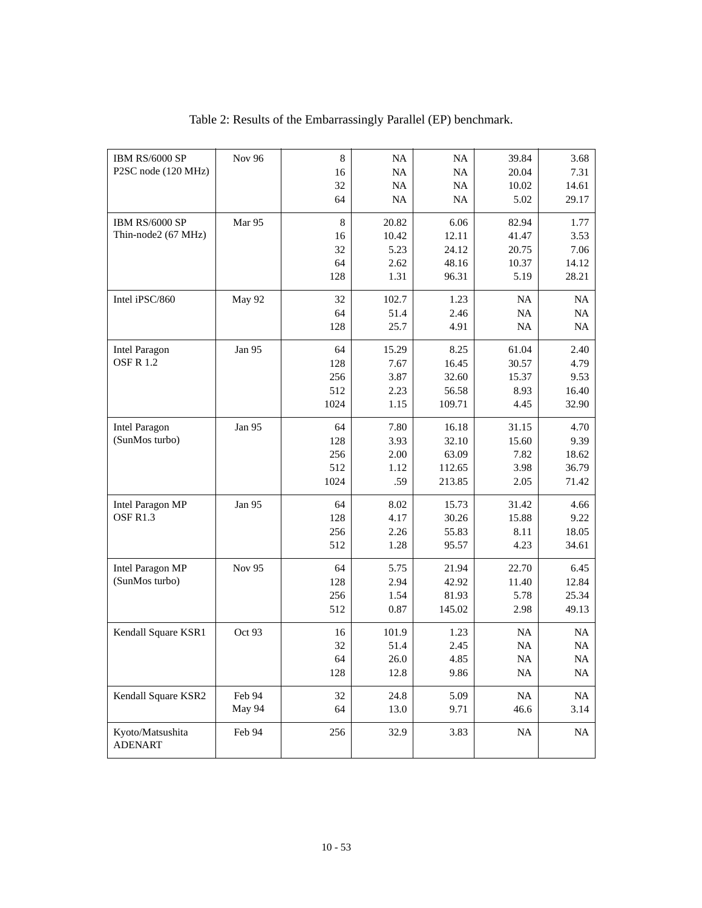| IBM RS/6000 SP<br>P2SC node (120 MHz) | Nov 96 | $\,8\,$<br>16 | NA<br>NA  | NA<br>NA | 39.84<br>20.04 | 3.68<br>7.31 |
|---------------------------------------|--------|---------------|-----------|----------|----------------|--------------|
|                                       |        | 32            | NA        | NA       | 10.02          | 14.61        |
|                                       |        | 64            | <b>NA</b> | NA       | 5.02           | 29.17        |
| IBM RS/6000 SP                        | Mar 95 | $\,8\,$       | 20.82     | 6.06     | 82.94          | 1.77         |
| Thin-node2 (67 MHz)                   |        | 16            | 10.42     | 12.11    | 41.47          | 3.53         |
|                                       |        | 32            | 5.23      | 24.12    | 20.75          | 7.06         |
|                                       |        | 64            | 2.62      | 48.16    | 10.37          | 14.12        |
|                                       |        | 128           | 1.31      | 96.31    | 5.19           | 28.21        |
| Intel iPSC/860                        | May 92 | 32            | 102.7     | 1.23     | <b>NA</b>      | <b>NA</b>    |
|                                       |        | 64            | 51.4      | 2.46     | NA             | NA           |
|                                       |        | 128           | 25.7      | 4.91     | NA             | <b>NA</b>    |
| <b>Intel Paragon</b>                  | Jan 95 | 64            | 15.29     | 8.25     | 61.04          | 2.40         |
| <b>OSF R 1.2</b>                      |        | 128           | 7.67      | 16.45    | 30.57          | 4.79         |
|                                       |        | 256           | 3.87      | 32.60    | 15.37          | 9.53         |
|                                       |        | 512           | 2.23      | 56.58    | 8.93           | 16.40        |
|                                       |        | 1024          | 1.15      | 109.71   | 4.45           | 32.90        |
| <b>Intel Paragon</b>                  | Jan 95 | 64            | 7.80      | 16.18    | 31.15          | 4.70         |
| (SunMos turbo)                        |        | 128           | 3.93      | 32.10    | 15.60          | 9.39         |
|                                       |        | 256           | 2.00      | 63.09    | 7.82           | 18.62        |
|                                       |        | 512           | 1.12      | 112.65   | 3.98           | 36.79        |
|                                       |        | 1024          | .59       | 213.85   | 2.05           | 71.42        |
| Intel Paragon MP                      | Jan 95 | 64            | 8.02      | 15.73    | 31.42          | 4.66         |
| OSFR1.3                               |        | 128           | 4.17      | 30.26    | 15.88          | 9.22         |
|                                       |        | 256           | 2.26      | 55.83    | 8.11           | 18.05        |
|                                       |        | 512           | 1.28      | 95.57    | 4.23           | 34.61        |
| <b>Intel Paragon MP</b>               | Nov 95 | 64            | 5.75      | 21.94    | 22.70          | 6.45         |
| (SunMos turbo)                        |        | 128           | 2.94      | 42.92    | 11.40          | 12.84        |
|                                       |        | 256           | 1.54      | 81.93    | 5.78           | 25.34        |
|                                       |        | 512           | 0.87      | 145.02   | 2.98           | 49.13        |
| Kendall Square KSR1                   | Oct 93 | 16            | 101.9     | 1.23     | NA             | NA           |
|                                       |        | 32            | 51.4      | 2.45     | NA             | $\rm NA$     |
|                                       |        | 64            | 26.0      | 4.85     | $\rm NA$       | $\rm NA$     |
|                                       |        | 128           | 12.8      | 9.86     | <b>NA</b>      | NA           |
| Kendall Square KSR2                   | Feb 94 | 32            | 24.8      | 5.09     | $\rm NA$       | NA           |
|                                       | May 94 | 64            | 13.0      | 9.71     | 46.6           | 3.14         |
| Kyoto/Matsushita<br><b>ADENART</b>    | Feb 94 | 256           | 32.9      | 3.83     | $\rm NA$       | NA           |

### Table 2: Results of the Embarrassingly Parallel (EP) benchmark.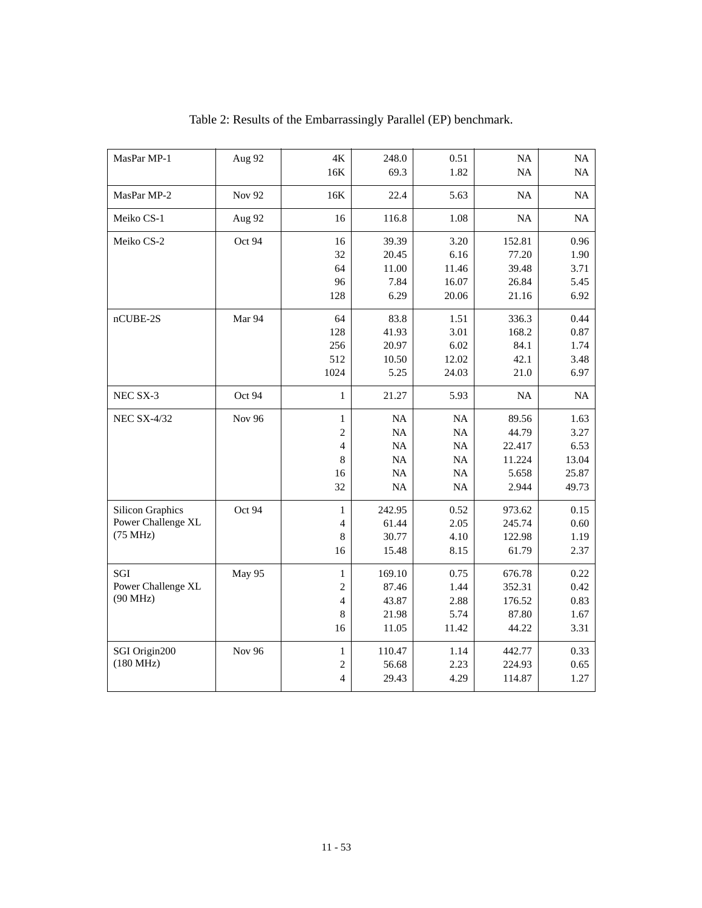| MasPar MP-1             | Aug 92        | $4\mathrm{K}$  | 248.0  | 0.51     | NA     | NA    |
|-------------------------|---------------|----------------|--------|----------|--------|-------|
|                         |               | 16K            | 69.3   | 1.82     | NA     | NA    |
| MasPar MP-2             | <b>Nov 92</b> | 16K            | 22.4   | 5.63     | NA     | NA    |
| Meiko CS-1              | Aug 92        | 16             | 116.8  | 1.08     | NA     | NA    |
| Meiko CS-2              | Oct 94        | 16             | 39.39  | 3.20     | 152.81 | 0.96  |
|                         |               | 32             | 20.45  | 6.16     | 77.20  | 1.90  |
|                         |               | 64             | 11.00  | 11.46    | 39.48  | 3.71  |
|                         |               | 96             | 7.84   | 16.07    | 26.84  | 5.45  |
|                         |               | 128            | 6.29   | 20.06    | 21.16  | 6.92  |
| $nCUBE-2S$              | Mar 94        | 64             | 83.8   | 1.51     | 336.3  | 0.44  |
|                         |               | 128            | 41.93  | 3.01     | 168.2  | 0.87  |
|                         |               | 256            | 20.97  | 6.02     | 84.1   | 1.74  |
|                         |               | 512            | 10.50  | 12.02    | 42.1   | 3.48  |
|                         |               | 1024           | 5.25   | 24.03    | 21.0   | 6.97  |
| NEC SX-3                | Oct 94        | $\mathbf{1}$   | 21.27  | 5.93     | NA     | NA    |
| <b>NEC SX-4/32</b>      | <b>Nov 96</b> | $\mathbf{1}$   | NA     | NA       | 89.56  | 1.63  |
|                         |               | $\overline{c}$ | NA     | NA       | 44.79  | 3.27  |
|                         |               | $\overline{4}$ | NA     | NA       | 22.417 | 6.53  |
|                         |               | 8              | NA     | NA       | 11.224 | 13.04 |
|                         |               | 16             | NA     | NA       | 5.658  | 25.87 |
|                         |               | 32             | NA     | $\rm NA$ | 2.944  | 49.73 |
| <b>Silicon Graphics</b> | Oct 94        | $\mathbf{1}$   | 242.95 | 0.52     | 973.62 | 0.15  |
| Power Challenge XL      |               | $\overline{4}$ | 61.44  | 2.05     | 245.74 | 0.60  |
| (75 MHz)                |               | 8              | 30.77  | 4.10     | 122.98 | 1.19  |
|                         |               | 16             | 15.48  | 8.15     | 61.79  | 2.37  |
| SGI                     | May 95        | $\mathbf{1}$   | 169.10 | 0.75     | 676.78 | 0.22  |
| Power Challenge XL      |               | $\overline{c}$ | 87.46  | 1.44     | 352.31 | 0.42  |
| (90 MHz)                |               | $\overline{4}$ | 43.87  | 2.88     | 176.52 | 0.83  |
|                         |               | 8              | 21.98  | 5.74     | 87.80  | 1.67  |
|                         |               | 16             | 11.05  | 11.42    | 44.22  | 3.31  |
| SGI Origin200           | <b>Nov 96</b> | $\mathbf{1}$   | 110.47 | 1.14     | 442.77 | 0.33  |
| (180 MHz)               |               | $\sqrt{2}$     | 56.68  | 2.23     | 224.93 | 0.65  |
|                         |               | $\overline{4}$ | 29.43  | 4.29     | 114.87 | 1.27  |

Table 2: Results of the Embarrassingly Parallel (EP) benchmark.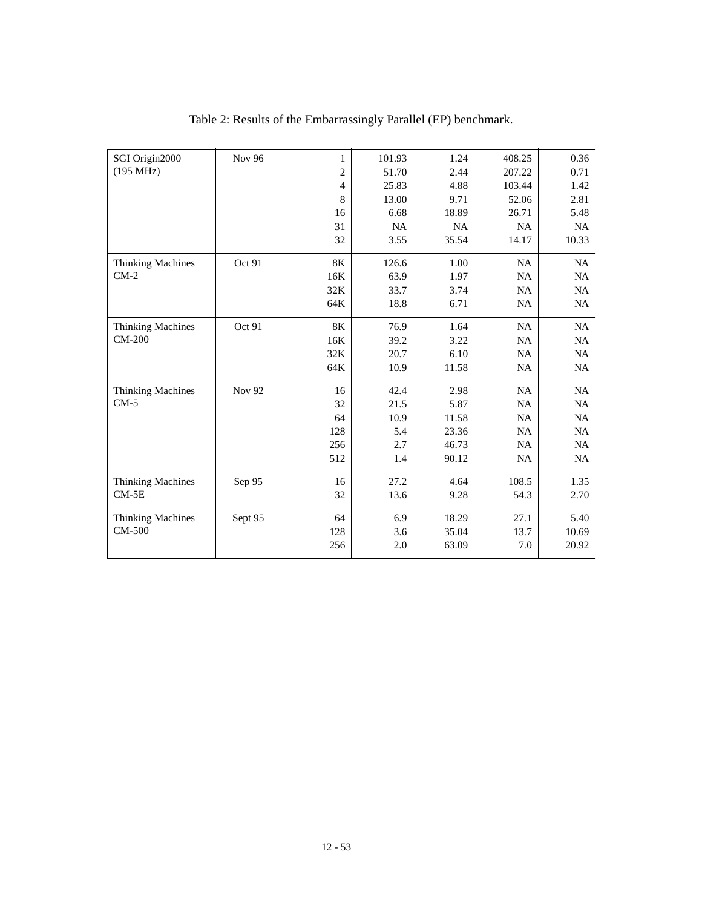| SGI Origin2000           | <b>Nov 96</b> | $\mathbf{1}$   | 101.93 | 1.24  | 408.25    | 0.36      |
|--------------------------|---------------|----------------|--------|-------|-----------|-----------|
| (195 MHz)                |               | $\overline{2}$ | 51.70  | 2.44  | 207.22    | 0.71      |
|                          |               | $\overline{4}$ | 25.83  | 4.88  | 103.44    | 1.42      |
|                          |               | 8              | 13.00  | 9.71  | 52.06     | 2.81      |
|                          |               | 16             | 6.68   | 18.89 | 26.71     | 5.48      |
|                          |               | 31             | NA     | NA    | NA        | NA        |
|                          |               | 32             | 3.55   | 35.54 | 14.17     | 10.33     |
| <b>Thinking Machines</b> | Oct 91        | $8\mathrm{K}$  | 126.6  | 1.00  | <b>NA</b> | <b>NA</b> |
| $CM-2$                   |               | 16K            | 63.9   | 1.97  | NA        | <b>NA</b> |
|                          |               | 32K            | 33.7   | 3.74  | NA        | <b>NA</b> |
|                          |               | 64K            | 18.8   | 6.71  | <b>NA</b> | <b>NA</b> |
| <b>Thinking Machines</b> | Oct 91        | 8K             | 76.9   | 1.64  | NA        | NA        |
| <b>CM-200</b>            |               | 16K            | 39.2   | 3.22  | <b>NA</b> | NA        |
|                          |               | 32K            | 20.7   | 6.10  | NA        | NA        |
|                          |               | 64K            | 10.9   | 11.58 | <b>NA</b> | <b>NA</b> |
| <b>Thinking Machines</b> | Nov 92        | 16             | 42.4   | 2.98  | <b>NA</b> | <b>NA</b> |
| $CM-5$                   |               | 32             | 21.5   | 5.87  | NA        | NA        |
|                          |               | 64             | 10.9   | 11.58 | <b>NA</b> | NA        |
|                          |               | 128            | 5.4    | 23.36 | NA        | NA        |
|                          |               | 256            | 2.7    | 46.73 | <b>NA</b> | <b>NA</b> |
|                          |               | 512            | 1.4    | 90.12 | <b>NA</b> | <b>NA</b> |
| <b>Thinking Machines</b> | Sep 95        | 16             | 27.2   | 4.64  | 108.5     | 1.35      |
| $CM-5E$                  |               | 32             | 13.6   | 9.28  | 54.3      | 2.70      |
| <b>Thinking Machines</b> | Sept 95       | 64             | 6.9    | 18.29 | 27.1      | 5.40      |
| CM-500                   |               | 128            | 3.6    | 35.04 | 13.7      | 10.69     |
|                          |               | 256            | 2.0    | 63.09 | 7.0       | 20.92     |
|                          |               |                |        |       |           |           |

## Table 2: Results of the Embarrassingly Parallel (EP) benchmark.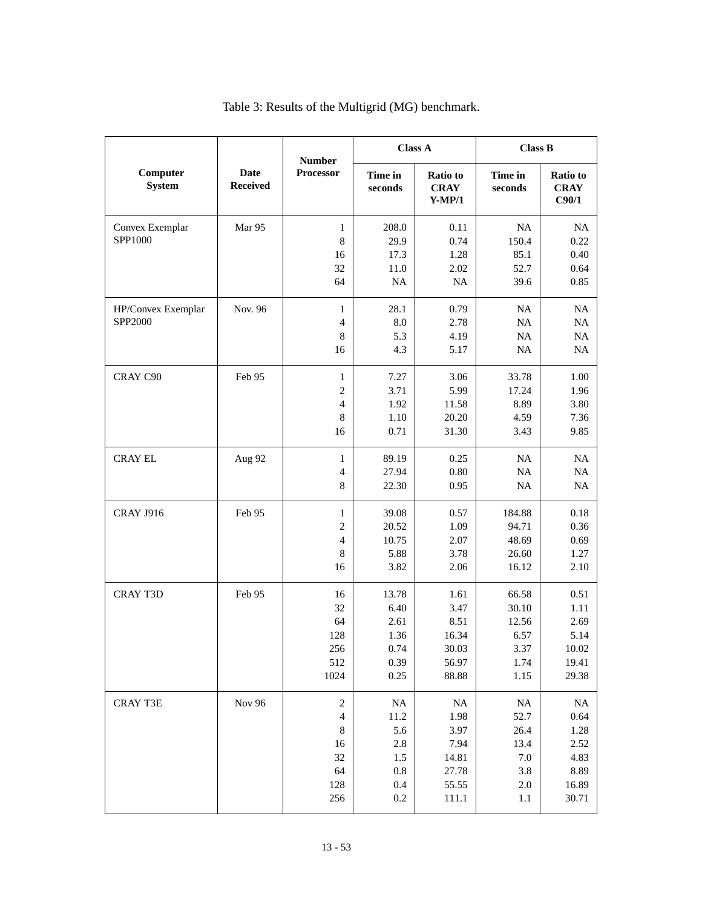|                           |                                | <b>Number</b>            |                    | <b>Class A</b>                      | <b>Class B</b>     |                                  |
|---------------------------|--------------------------------|--------------------------|--------------------|-------------------------------------|--------------------|----------------------------------|
| Computer<br><b>System</b> | <b>Date</b><br><b>Received</b> | Processor                | Time in<br>seconds | Ratio to<br><b>CRAY</b><br>$Y-MP/1$ | Time in<br>seconds | Ratio to<br><b>CRAY</b><br>C90/1 |
| Convex Exemplar           | Mar 95                         | $\mathbf{1}$             | 208.0              | 0.11                                | NA                 | NA                               |
| SPP1000                   |                                | 8                        | 29.9               | 0.74                                | 150.4              | 0.22                             |
|                           |                                | 16                       | 17.3               | 1.28                                | 85.1               | 0.40                             |
|                           |                                | 32                       | 11.0               | 2.02                                | 52.7               | 0.64                             |
|                           |                                | 64                       | $\rm NA$           | NA                                  | 39.6               | 0.85                             |
| HP/Convex Exemplar        | Nov. 96                        | $\mathbf{1}$             | 28.1               | 0.79                                | NA                 | NA                               |
| SPP2000                   |                                | $\overline{4}$           | 8.0                | 2.78                                | NA                 | NA                               |
|                           |                                | $\,$ 8 $\,$              | 5.3                | 4.19                                | NA                 | $\rm NA$                         |
|                           |                                | 16                       | 4.3                | 5.17                                | $\rm NA$           | $\rm NA$                         |
| CRAY C90                  | Feb 95                         | $\mathbf{1}$             | 7.27               | 3.06                                | 33.78              | 1.00                             |
|                           |                                | 2                        | 3.71               | 5.99                                | 17.24              | 1.96                             |
|                           |                                | 4                        | 1.92               | 11.58                               | 8.89               | 3.80                             |
|                           |                                | 8                        | 1.10               | 20.20                               | 4.59               | 7.36                             |
|                           |                                | 16                       | 0.71               | 31.30                               | 3.43               | 9.85                             |
| <b>CRAY EL</b>            | Aug 92                         | $\mathbf{1}$             | 89.19              | 0.25                                | NA                 | NA                               |
|                           |                                | 4                        | 27.94              | 0.80                                | NA                 | $\rm NA$                         |
|                           |                                | 8                        | 22.30              | 0.95                                | NA                 | $\rm NA$                         |
| <b>CRAY J916</b>          | Feb 95                         | $\mathbf{1}$             | 39.08              | 0.57                                | 184.88             | 0.18                             |
|                           |                                | 2                        | 20.52              | 1.09                                | 94.71              | 0.36                             |
|                           |                                | 4                        | 10.75              | 2.07                                | 48.69              | 0.69                             |
|                           |                                | 8                        | 5.88               | 3.78                                | 26.60              | 1.27                             |
|                           |                                | 16                       | 3.82               | 2.06                                | 16.12              | 2.10                             |
| <b>CRAY T3D</b>           | Feb 95                         | 16                       | 13.78              | 1.61                                | 66.58              | 0.51                             |
|                           |                                | 32                       | 6.40               | 3.47                                | 30.10              | 1.11                             |
|                           |                                | 64                       | 2.61               | 8.51                                | 12.56              | 2.69                             |
|                           |                                | 128                      | 1.36               | 16.34                               | 6.57               | 5.14                             |
|                           |                                | 256                      | 0.74               | 30.03<br>56.97                      | 3.37               | 10.02<br>19.41                   |
|                           |                                | 512<br>1024              | 0.39<br>0.25       | 88.88                               | 1.74<br>1.15       | 29.38                            |
|                           |                                |                          |                    |                                     |                    |                                  |
| <b>CRAY T3E</b>           | <b>Nov 96</b>                  | $\boldsymbol{2}$         | $\rm NA$           | $\rm NA$                            | <b>NA</b>          | $\rm NA$                         |
|                           |                                | $\overline{\mathcal{A}}$ | 11.2<br>5.6        | 1.98<br>3.97                        | 52.7<br>26.4       | 0.64                             |
|                           |                                | 8<br>16                  | $2.8\,$            | 7.94                                | 13.4               | 1.28<br>2.52                     |
|                           |                                | $32\,$                   | 1.5                | 14.81                               | 7.0                | 4.83                             |
|                           |                                | 64                       | $0.8\,$            | 27.78                               | 3.8                | 8.89                             |
|                           |                                | 128                      | $0.4\,$            | 55.55                               | 2.0                | 16.89                            |
|                           |                                | 256                      | 0.2                | 111.1                               | 1.1                | 30.71                            |
|                           |                                |                          |                    |                                     |                    |                                  |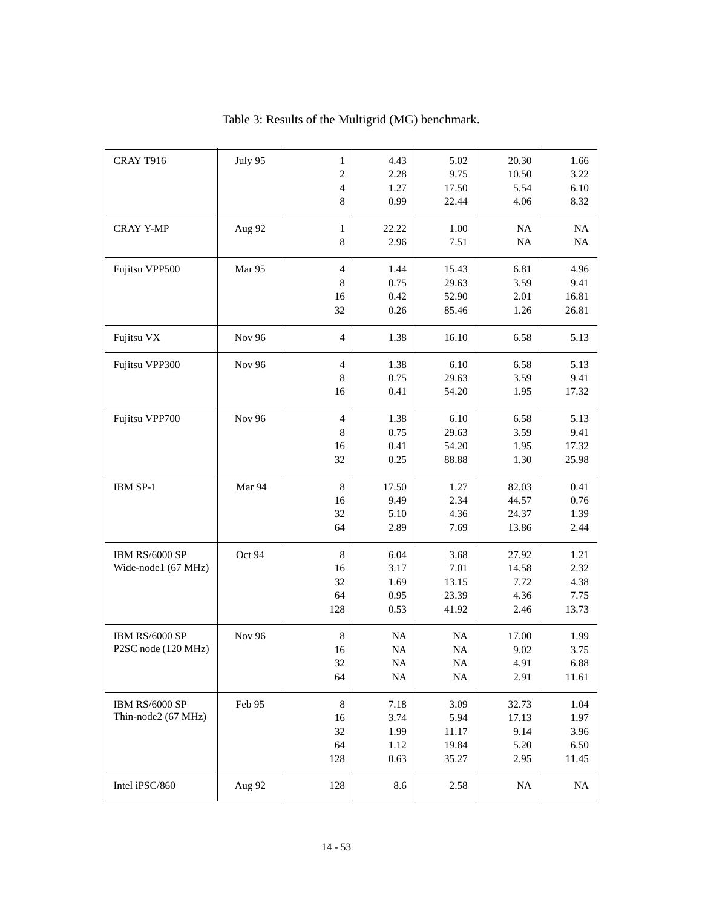| CRAY T916                             | July 95       | $\mathbf{1}$   | 4.43     | 5.02  | 20.30    | 1.66     |
|---------------------------------------|---------------|----------------|----------|-------|----------|----------|
|                                       |               | $\overline{c}$ | 2.28     | 9.75  | 10.50    | 3.22     |
|                                       |               | $\overline{4}$ | 1.27     | 17.50 | 5.54     | 6.10     |
|                                       |               | 8              | 0.99     | 22.44 | 4.06     | 8.32     |
|                                       |               |                |          |       |          |          |
| <b>CRAY Y-MP</b>                      | Aug 92        | $\mathbf{1}$   | 22.22    | 1.00  | NA       | NA       |
|                                       |               | 8              | 2.96     | 7.51  | NA       | $\rm NA$ |
|                                       |               |                |          |       |          |          |
| Fujitsu VPP500                        | Mar 95        | $\overline{4}$ | 1.44     | 15.43 | 6.81     | 4.96     |
|                                       |               | 8              | 0.75     | 29.63 | 3.59     | 9.41     |
|                                       |               | 16             | 0.42     | 52.90 | 2.01     | 16.81    |
|                                       |               | 32             | 0.26     | 85.46 | 1.26     | 26.81    |
|                                       |               |                |          |       |          |          |
| Fujitsu VX                            | Nov 96        | $\overline{4}$ | 1.38     | 16.10 | 6.58     | 5.13     |
|                                       |               |                |          |       |          |          |
| Fujitsu VPP300                        | <b>Nov 96</b> | $\overline{4}$ | 1.38     | 6.10  | 6.58     | 5.13     |
|                                       |               | 8              | 0.75     | 29.63 | 3.59     | 9.41     |
|                                       |               | 16             | 0.41     | 54.20 | 1.95     | 17.32    |
| Fujitsu VPP700                        | <b>Nov 96</b> | $\overline{4}$ | 1.38     | 6.10  | 6.58     | 5.13     |
|                                       |               | 8              | 0.75     | 29.63 | 3.59     | 9.41     |
|                                       |               | 16             | 0.41     | 54.20 | 1.95     | 17.32    |
|                                       |               | 32             | 0.25     | 88.88 | 1.30     | 25.98    |
|                                       |               |                |          |       |          |          |
| IBM SP-1                              | Mar 94        | 8              | 17.50    | 1.27  | 82.03    | 0.41     |
|                                       |               | 16             | 9.49     | 2.34  | 44.57    | 0.76     |
|                                       |               | 32             | 5.10     | 4.36  | 24.37    | 1.39     |
|                                       |               | 64             | 2.89     | 7.69  | 13.86    | 2.44     |
|                                       |               |                |          |       |          |          |
| IBM RS/6000 SP                        | Oct 94        | 8              | 6.04     | 3.68  | 27.92    | 1.21     |
| Wide-node1 (67 MHz)                   |               | 16             | 3.17     | 7.01  | 14.58    | 2.32     |
|                                       |               | 32             | 1.69     | 13.15 | 7.72     | 4.38     |
|                                       |               | 64             | 0.95     | 23.39 | 4.36     | 7.75     |
|                                       |               | 128            | 0.53     | 41.92 | 2.46     | 13.73    |
|                                       |               |                |          |       |          |          |
| IBM RS/6000 SP                        | <b>Nov 96</b> | 8              | NA       | NA    | 17.00    | 1.99     |
| P2SC node (120 MHz)                   |               | 16             | $\rm NA$ | NA    | 9.02     | 3.75     |
|                                       |               | 32             | $\rm NA$ | NA    | 4.91     | 6.88     |
|                                       |               | 64             | $\rm NA$ | NA    | 2.91     | 11.61    |
|                                       |               |                |          |       |          |          |
| IBM RS/6000 SP<br>Thin-node2 (67 MHz) | Feb 95        | $\,8\,$        | 7.18     | 3.09  | 32.73    | 1.04     |
|                                       |               | 16             | 3.74     | 5.94  | 17.13    | 1.97     |
|                                       |               | 32             | 1.99     | 11.17 | 9.14     | 3.96     |
|                                       |               | 64             | 1.12     | 19.84 | 5.20     | 6.50     |
|                                       |               | 128            | 0.63     | 35.27 | 2.95     | 11.45    |
| Intel iPSC/860                        | Aug 92        | 128            | 8.6      | 2.58  | $\rm NA$ | $\rm NA$ |
|                                       |               |                |          |       |          |          |

### Table 3: Results of the Multigrid (MG) benchmark.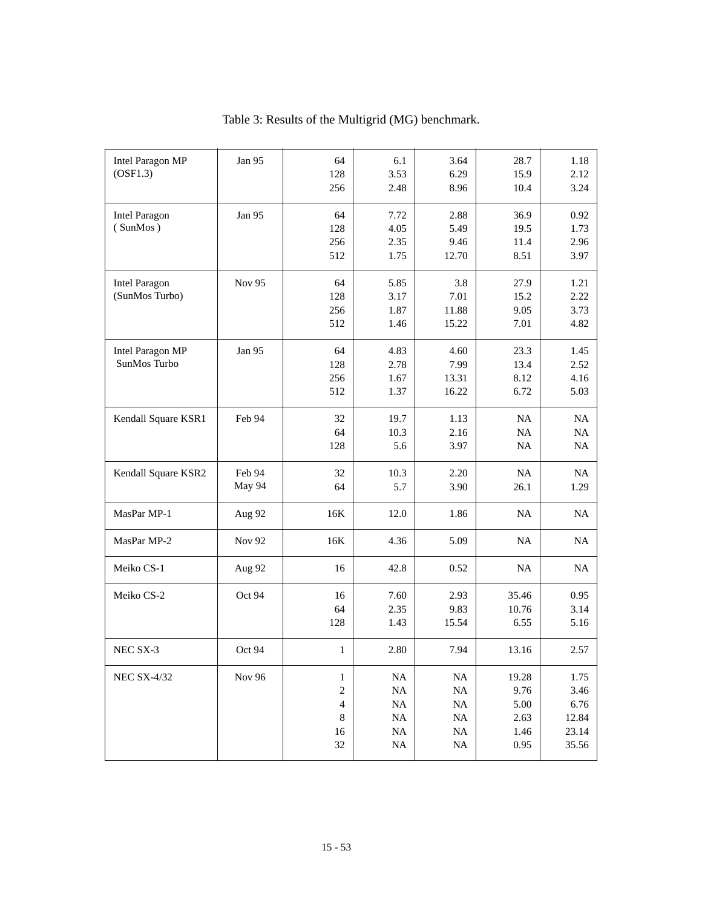| <b>Intel Paragon MP</b> | Jan 95 | 64                       | 6.1         | 3.64         | 28.7     | 1.18      |
|-------------------------|--------|--------------------------|-------------|--------------|----------|-----------|
| (OSF1.3)                |        | 128                      | 3.53        | 6.29         | 15.9     | 2.12      |
|                         |        | 256                      | 2.48        | 8.96         | 10.4     | 3.24      |
| <b>Intel Paragon</b>    | Jan 95 | 64                       | 7.72        | 2.88         | 36.9     | 0.92      |
| (SunMos)                |        | 128                      | 4.05        | 5.49         | 19.5     | 1.73      |
|                         |        | 256                      | 2.35        | 9.46         | 11.4     | 2.96      |
|                         |        | 512                      | 1.75        | 12.70        | 8.51     | 3.97      |
| <b>Intel Paragon</b>    | Nov 95 | 64                       | 5.85        | 3.8          | 27.9     | 1.21      |
| (SunMos Turbo)          |        | 128                      | 3.17        | 7.01         | 15.2     | 2.22      |
|                         |        | 256                      | 1.87        | 11.88        | 9.05     | 3.73      |
|                         |        | 512                      | 1.46        | 15.22        | 7.01     | 4.82      |
| <b>Intel Paragon MP</b> | Jan 95 | 64                       | 4.83        | 4.60         | 23.3     | 1.45      |
| SunMos Turbo            |        | 128                      | 2.78        | 7.99         | 13.4     | 2.52      |
|                         |        | 256                      | 1.67        | 13.31        | 8.12     | 4.16      |
|                         |        | 512                      | 1.37        | 16.22        | 6.72     | 5.03      |
|                         |        |                          |             |              |          |           |
| Kendall Square KSR1     | Feb 94 | 32<br>64                 | 19.7        | 1.13         | NA       | NA        |
|                         |        | 128                      | 10.3<br>5.6 | 2.16<br>3.97 | NA<br>NA | NA<br>NA  |
|                         |        |                          |             |              |          |           |
| Kendall Square KSR2     | Feb 94 | 32                       | 10.3        | 2.20         | NA       | <b>NA</b> |
|                         | May 94 | 64                       | 5.7         | 3.90         | 26.1     | 1.29      |
| MasPar MP-1             | Aug 92 | 16K                      | 12.0        | 1.86         | NA       | <b>NA</b> |
| MasPar MP-2             | Nov 92 | 16K                      | 4.36        | 5.09         | NA       | NA        |
| Meiko CS-1              | Aug 92 | 16                       | 42.8        | 0.52         | NA       | NA        |
| Meiko CS-2              | Oct 94 | 16                       | 7.60        | 2.93         | 35.46    | 0.95      |
|                         |        | 64                       | 2.35        | 9.83         | 10.76    | 3.14      |
|                         |        | 128                      | 1.43        | 15.54        | 6.55     | 5.16      |
| NEC SX-3                | Oct 94 | $\mathbf{1}$             | 2.80        | 7.94         | 13.16    | 2.57      |
| <b>NEC SX-4/32</b>      | Nov 96 | 1                        | $\rm NA$    | <b>NA</b>    | 19.28    | 1.75      |
|                         |        | $\sqrt{2}$               | $\rm NA$    | NA           | 9.76     | 3.46      |
|                         |        | $\overline{\mathcal{L}}$ | $\rm NA$    | $\rm NA$     | 5.00     | 6.76      |
|                         |        | $\,$ 8 $\,$              | $\rm NA$    | $\rm NA$     | 2.63     | 12.84     |
|                         |        | 16                       | $\rm NA$    | $\rm NA$     | 1.46     | 23.14     |
|                         |        | 32                       | NA          | $\rm NA$     | 0.95     | 35.56     |
|                         |        |                          |             |              |          |           |

Table 3: Results of the Multigrid (MG) benchmark.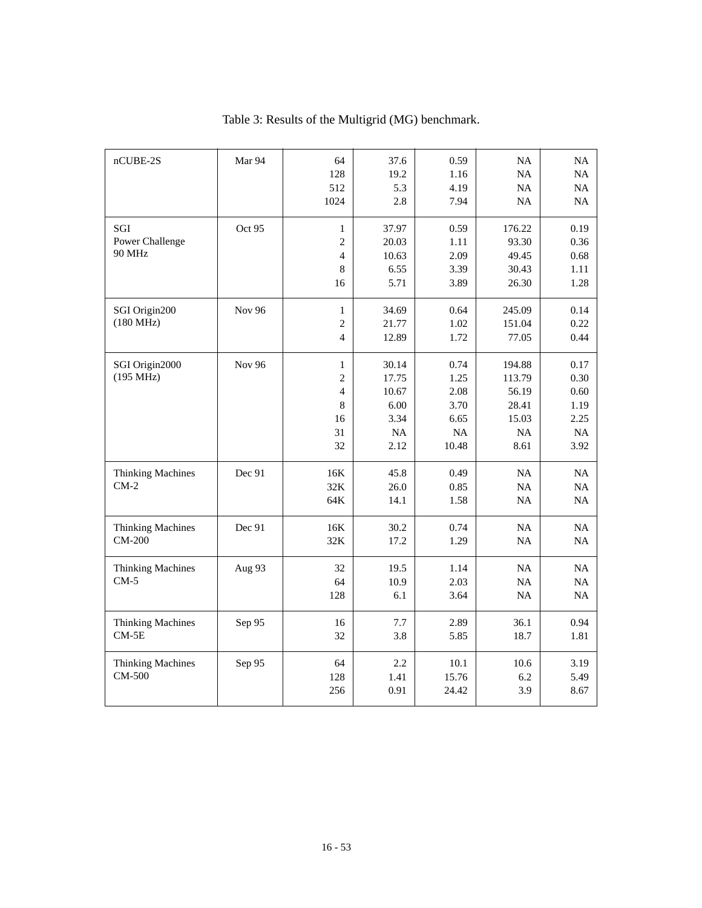| nCUBE-2S                                  | Mar 94        | 64<br>128<br>512<br>1024                                                      | 37.6<br>19.2<br>5.3<br>2.8                                   | 0.59<br>1.16<br>4.19<br>7.94                        | <b>NA</b><br><b>NA</b><br>NA<br><b>NA</b>                 | NA<br>NA<br>NA<br>NA                               |
|-------------------------------------------|---------------|-------------------------------------------------------------------------------|--------------------------------------------------------------|-----------------------------------------------------|-----------------------------------------------------------|----------------------------------------------------|
| SGI<br>Power Challenge<br><b>90 MHz</b>   | Oct 95        | $\mathbf{1}$<br>$\overline{c}$<br>$\overline{4}$<br>$\,8\,$<br>16             | 37.97<br>20.03<br>10.63<br>6.55<br>5.71                      | 0.59<br>1.11<br>2.09<br>3.39<br>3.89                | 176.22<br>93.30<br>49.45<br>30.43<br>26.30                | 0.19<br>0.36<br>0.68<br>1.11<br>1.28               |
| SGI Origin200<br>(180 MHz)                | <b>Nov 96</b> | $\mathbf{1}$<br>$\overline{c}$<br>$\overline{4}$                              | 34.69<br>21.77<br>12.89                                      | 0.64<br>1.02<br>1.72                                | 245.09<br>151.04<br>77.05                                 | 0.14<br>0.22<br>0.44                               |
| SGI Origin2000<br>(195 MHz)               | <b>Nov 96</b> | $\mathbf{1}$<br>$\overline{c}$<br>$\overline{4}$<br>$\,8\,$<br>16<br>31<br>32 | 30.14<br>17.75<br>10.67<br>6.00<br>3.34<br><b>NA</b><br>2.12 | 0.74<br>1.25<br>2.08<br>3.70<br>6.65<br>NA<br>10.48 | 194.88<br>113.79<br>56.19<br>28.41<br>15.03<br>NA<br>8.61 | 0.17<br>0.30<br>0.60<br>1.19<br>2.25<br>NA<br>3.92 |
| <b>Thinking Machines</b><br>$CM-2$        | Dec 91        | 16K<br>32K<br>64K                                                             | 45.8<br>26.0<br>14.1                                         | 0.49<br>0.85<br>1.58                                | NA<br>NA<br><b>NA</b>                                     | NA<br>NA<br>NA                                     |
| <b>Thinking Machines</b><br><b>CM-200</b> | Dec 91        | 16K<br>32K                                                                    | 30.2<br>17.2                                                 | 0.74<br>1.29                                        | NA<br>NA                                                  | NA<br>NA                                           |
| <b>Thinking Machines</b><br>$CM-5$        | Aug 93        | 32<br>64<br>128                                                               | 19.5<br>10.9<br>6.1                                          | 1.14<br>2.03<br>3.64                                | NA<br>NA<br><b>NA</b>                                     | <b>NA</b><br>NA<br><b>NA</b>                       |
| <b>Thinking Machines</b><br>$CM-5E$       | Sep 95        | 16<br>32                                                                      | 7.7<br>3.8                                                   | 2.89<br>5.85                                        | 36.1<br>18.7                                              | 0.94<br>1.81                                       |
| <b>Thinking Machines</b><br>CM-500        | Sep 95        | 64<br>128<br>256                                                              | 2.2<br>1.41<br>0.91                                          | 10.1<br>15.76<br>24.42                              | 10.6<br>6.2<br>3.9                                        | 3.19<br>5.49<br>8.67                               |

|  | Table 3: Results of the Multigrid (MG) benchmark. |  |
|--|---------------------------------------------------|--|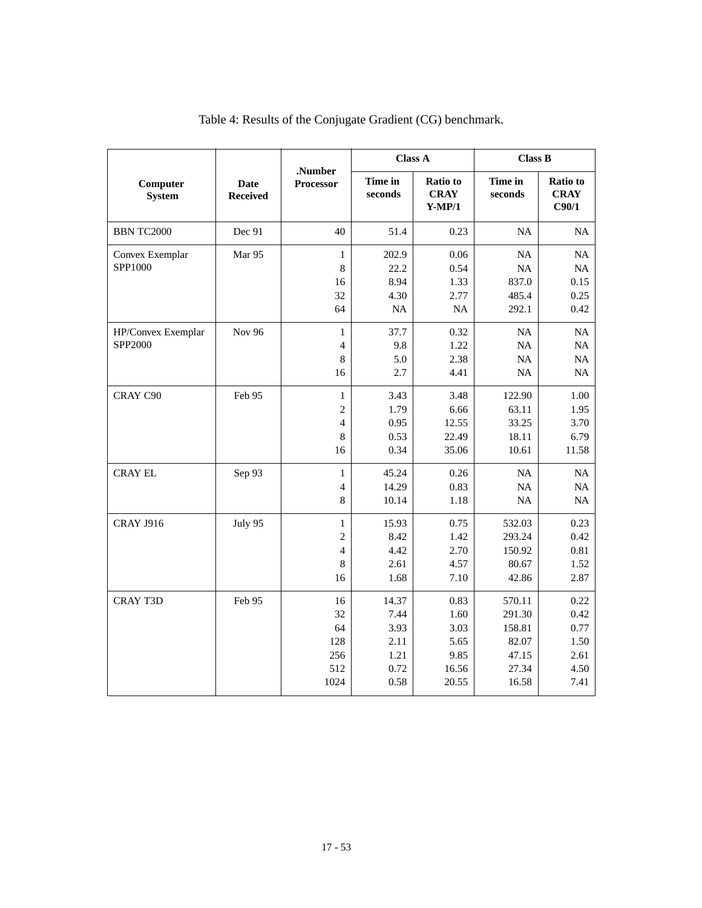|                               |                                | .Number<br>Processor           | <b>Class A</b>     |                                     | <b>Class B</b>     |                                  |
|-------------------------------|--------------------------------|--------------------------------|--------------------|-------------------------------------|--------------------|----------------------------------|
| Computer<br><b>System</b>     | <b>Date</b><br><b>Received</b> |                                | Time in<br>seconds | Ratio to<br><b>CRAY</b><br>$Y-MP/1$ | Time in<br>seconds | Ratio to<br><b>CRAY</b><br>C90/1 |
| <b>BBN TC2000</b>             | Dec 91                         | 40                             | 51.4               | 0.23                                | <b>NA</b>          | <b>NA</b>                        |
| Convex Exemplar<br>SPP1000    | Mar 95                         | $\,1$<br>8                     | 202.9<br>22.2      | 0.06<br>0.54                        | NA<br>NA           | NA<br>NA                         |
|                               |                                | 16                             | 8.94               | 1.33                                | 837.0              | 0.15                             |
|                               |                                | 32<br>64                       | 4.30<br>$\rm NA$   | 2.77<br>NA                          | 485.4<br>292.1     | 0.25<br>0.42                     |
| HP/Convex Exemplar<br>SPP2000 | <b>Nov 96</b>                  | $\mathbf{1}$<br>$\overline{4}$ | 37.7<br>9.8        | 0.32<br>1.22                        | NA<br>NA           | NA<br>NA                         |
|                               |                                | 8<br>16                        | 5.0<br>2.7         | 2.38<br>4.41                        | NA<br>NA           | NA<br>NA                         |
| CRAY C90                      | Feb 95                         | $\,1$<br>$\overline{2}$        | 3.43<br>1.79       | 3.48<br>6.66                        | 122.90<br>63.11    | 1.00<br>1.95                     |
|                               |                                | $\overline{4}$                 | 0.95               | 12.55                               | 33.25              | 3.70                             |
|                               |                                | 8<br>16                        | 0.53<br>0.34       | 22.49<br>35.06                      | 18.11<br>10.61     | 6.79<br>11.58                    |
| <b>CRAY EL</b>                | Sep 93                         | $\,1$<br>$\overline{4}$        | 45.24<br>14.29     | 0.26<br>0.83                        | NA<br>NA           | NA<br>NA                         |
|                               |                                | 8                              | 10.14              | 1.18                                | <b>NA</b>          | <b>NA</b>                        |
| <b>CRAY J916</b>              | July 95                        | $\,1$<br>$\overline{c}$        | 15.93<br>8.42      | 0.75<br>1.42                        | 532.03<br>293.24   | 0.23<br>0.42                     |
|                               |                                | 4                              | 4.42               | 2.70                                | 150.92             | 0.81                             |
|                               |                                | 8<br>16                        | 2.61<br>1.68       | 4.57<br>7.10                        | 80.67<br>42.86     | 1.52<br>2.87                     |
| <b>CRAY T3D</b>               | Feb 95                         | 16                             | 14.37              | 0.83                                | 570.11             | 0.22                             |
|                               |                                | 32<br>64                       | 7.44<br>3.93       | 1.60<br>3.03                        | 291.30<br>158.81   | 0.42<br>0.77                     |
|                               |                                | 128                            | 2.11               | 5.65                                | 82.07              | 1.50                             |
|                               |                                | 256                            | 1.21               | 9.85                                | 47.15              | 2.61                             |
|                               |                                | 512                            | 0.72               | 16.56                               | 27.34              | 4.50                             |
|                               |                                | 1024                           | 0.58               | 20.55                               | 16.58              | 7.41                             |

| Table 4: Results of the Conjugate Gradient (CG) benchmark. |  |  |
|------------------------------------------------------------|--|--|
|------------------------------------------------------------|--|--|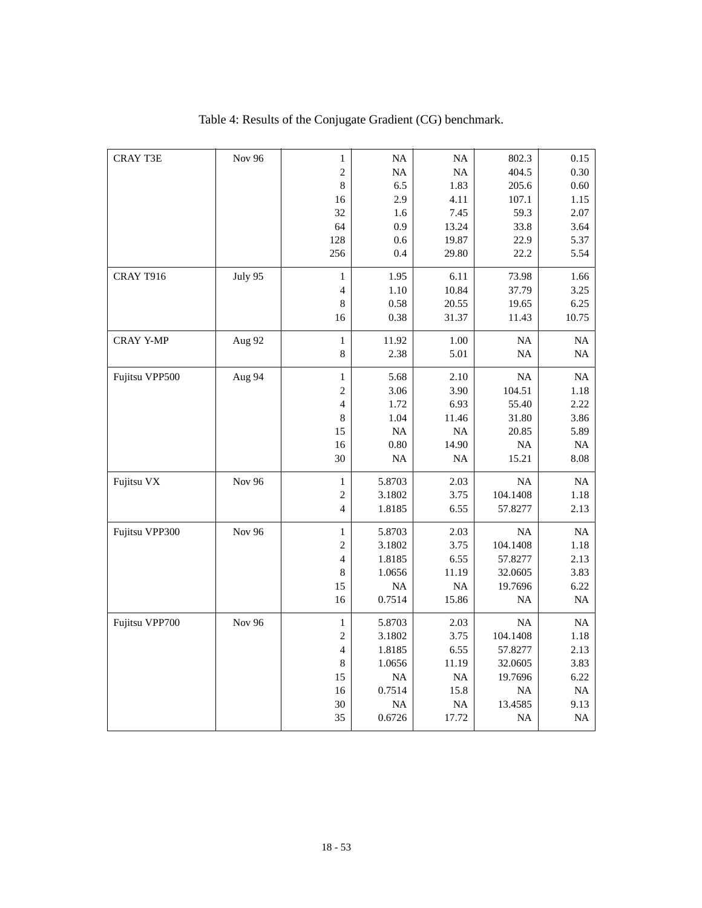| <b>CRAY T3E</b> | <b>Nov 96</b> | $\mathbf{1}$             | $\rm NA$  | NA        | 802.3     | 0.15     |
|-----------------|---------------|--------------------------|-----------|-----------|-----------|----------|
|                 |               | $\sqrt{2}$               | NA        | NA        | 404.5     | 0.30     |
|                 |               | $\,8\,$                  | 6.5       | 1.83      | 205.6     | 0.60     |
|                 |               | 16                       | 2.9       | 4.11      | 107.1     | 1.15     |
|                 |               | 32                       | 1.6       | 7.45      | 59.3      | 2.07     |
|                 |               | 64                       | 0.9       | 13.24     | 33.8      | 3.64     |
|                 |               | 128                      | 0.6       | 19.87     | 22.9      | 5.37     |
|                 |               | 256                      | 0.4       | 29.80     | 22.2      | 5.54     |
| CRAY T916       | July 95       | $\mathbf{1}$             | 1.95      | 6.11      | 73.98     | 1.66     |
|                 |               | $\overline{\mathcal{L}}$ | 1.10      | 10.84     | 37.79     | 3.25     |
|                 |               | $\,8\,$                  | 0.58      | 20.55     | 19.65     | 6.25     |
|                 |               | 16                       | 0.38      | 31.37     | 11.43     | 10.75    |
| CRAY Y-MP       | Aug 92        | $\,1$                    | 11.92     | 1.00      | $\rm NA$  | $\rm NA$ |
|                 |               | $\,8\,$                  | 2.38      | 5.01      | <b>NA</b> | NA       |
| Fujitsu VPP500  | Aug 94        | $\mathbf{1}$             | 5.68      | 2.10      | NA        | NA       |
|                 |               | $\sqrt{2}$               | 3.06      | 3.90      | 104.51    | 1.18     |
|                 |               | $\overline{4}$           | 1.72      | 6.93      | 55.40     | 2.22     |
|                 |               | 8                        | 1.04      | 11.46     | 31.80     | 3.86     |
|                 |               | 15                       | <b>NA</b> | NA        | 20.85     | 5.89     |
|                 |               | 16                       | $0.80\,$  | 14.90     | $\rm NA$  | $\rm NA$ |
|                 |               | 30                       | $\rm NA$  | NA        | 15.21     | 8.08     |
| Fujitsu VX      | Nov 96        | $\mathbf{1}$             | 5.8703    | 2.03      | NA        | NA       |
|                 |               | $\overline{c}$           | 3.1802    | 3.75      | 104.1408  | 1.18     |
|                 |               | $\overline{4}$           | 1.8185    | 6.55      | 57.8277   | 2.13     |
| Fujitsu VPP300  | <b>Nov 96</b> | $\mathbf{1}$             | 5.8703    | 2.03      | NA        | $\rm NA$ |
|                 |               | $\sqrt{2}$               | 3.1802    | 3.75      | 104.1408  | 1.18     |
|                 |               | $\overline{4}$           | 1.8185    | 6.55      | 57.8277   | 2.13     |
|                 |               | $8\,$                    | 1.0656    | 11.19     | 32.0605   | 3.83     |
|                 |               | 15                       | $\rm NA$  | $\rm NA$  | 19.7696   | 6.22     |
|                 |               | 16                       | 0.7514    | 15.86     | NA        | $\rm NA$ |
| Fujitsu VPP700  | <b>Nov 96</b> | $\mathbf{1}$             | 5.8703    | 2.03      | <b>NA</b> | NA       |
|                 |               | $\overline{c}$           | 3.1802    | 3.75      | 104.1408  | 1.18     |
|                 |               | $\overline{\mathcal{L}}$ | 1.8185    | 6.55      | 57.8277   | 2.13     |
|                 |               | $\,8\,$                  | 1.0656    | 11.19     | 32.0605   | 3.83     |
|                 |               | 15                       | $\rm NA$  | NA        | 19.7696   | 6.22     |
|                 |               | 16                       | 0.7514    | 15.8      | $\rm NA$  | NA       |
|                 |               | 30                       | NA        | <b>NA</b> | 13.4585   | 9.13     |
|                 |               | 35                       | 0.6726    | 17.72     | NA        | $\rm NA$ |
|                 |               |                          |           |           |           |          |

Table 4: Results of the Conjugate Gradient (CG) benchmark.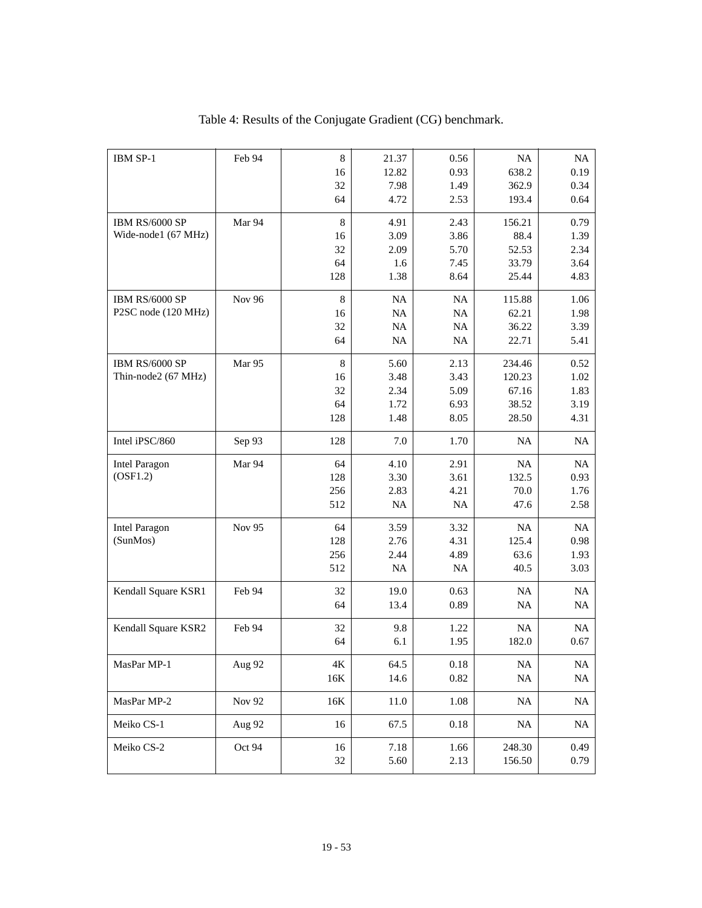| IBM SP-1              | Feb 94 | $\,8\,$        | 21.37     | 0.56     | <b>NA</b> | NA       |
|-----------------------|--------|----------------|-----------|----------|-----------|----------|
|                       |        | 16             | 12.82     | 0.93     | 638.2     | 0.19     |
|                       |        | 32             | 7.98      | 1.49     | 362.9     | 0.34     |
|                       |        | 64             | 4.72      | 2.53     | 193.4     | 0.64     |
| <b>IBM RS/6000 SP</b> | Mar 94 | $\,8\,$        | 4.91      | 2.43     | 156.21    | 0.79     |
| Wide-node1 (67 MHz)   |        | 16             | 3.09      | 3.86     | 88.4      | 1.39     |
|                       |        | 32             | 2.09      | 5.70     | 52.53     | 2.34     |
|                       |        | 64             | 1.6       | 7.45     | 33.79     | 3.64     |
|                       |        | 128            | 1.38      | 8.64     | 25.44     | 4.83     |
| <b>IBM RS/6000 SP</b> | Nov 96 | $\,8\,$        | <b>NA</b> | NA       | 115.88    | 1.06     |
| P2SC node (120 MHz)   |        | 16             | NA        | $\rm NA$ | 62.21     | 1.98     |
|                       |        | 32             | <b>NA</b> | $\rm NA$ | 36.22     | 3.39     |
|                       |        | 64             | <b>NA</b> | NA       | 22.71     | 5.41     |
| IBM RS/6000 SP        | Mar 95 | $\,8\,$        | 5.60      | 2.13     | 234.46    | 0.52     |
| Thin-node2 (67 MHz)   |        | 16             | 3.48      | 3.43     | 120.23    | 1.02     |
|                       |        | 32             | 2.34      | 5.09     | 67.16     | 1.83     |
|                       |        | 64             | 1.72      | 6.93     | 38.52     | 3.19     |
|                       |        | 128            | 1.48      | 8.05     | 28.50     | 4.31     |
| Intel iPSC/860        | Sep 93 | 128            | 7.0       | 1.70     | <b>NA</b> | NA       |
| <b>Intel Paragon</b>  | Mar 94 | 64             | 4.10      | 2.91     | <b>NA</b> | NA       |
| (OSF1.2)              |        | 128            | 3.30      | 3.61     | 132.5     | 0.93     |
|                       |        | 256            | 2.83      | 4.21     | 70.0      | 1.76     |
|                       |        | 512            | <b>NA</b> | NA       | 47.6      | 2.58     |
| <b>Intel Paragon</b>  | Nov 95 | 64             | 3.59      | 3.32     | <b>NA</b> | NA       |
| (SunMos)              |        | 128            | 2.76      | 4.31     | 125.4     | 0.98     |
|                       |        | 256            | 2.44      | 4.89     | 63.6      | 1.93     |
|                       |        | 512            | <b>NA</b> | NA       | 40.5      | 3.03     |
| Kendall Square KSR1   | Feb 94 | 32             | 19.0      | 0.63     | <b>NA</b> | NA       |
|                       |        | 64             | 13.4      | 0.89     | <b>NA</b> | NA       |
| Kendall Square KSR2   | Feb 94 | 32             | 9.8       | 1.22     | <b>NA</b> | NA       |
|                       |        | 64             | 6.1       | 1.95     | 182.0     | 0.67     |
|                       |        |                |           |          |           |          |
| MasPar MP-1           | Aug 92 | $4\mathrm{K}$  | 64.5      | $0.18\,$ | $\rm NA$  | NA       |
|                       |        | $16\mathrm{K}$ | 14.6      | $0.82\,$ | $\rm NA$  | $\rm NA$ |
| MasPar MP-2           | Nov 92 | 16K            | $11.0\,$  | 1.08     | NA        | NA       |
| Meiko CS-1            | Aug 92 | 16             | 67.5      | 0.18     | <b>NA</b> | NA       |
| Meiko CS-2            | Oct 94 | 16             | 7.18      | 1.66     | 248.30    | 0.49     |
|                       |        | $32\,$         | 5.60      | 2.13     | 156.50    | 0.79     |
|                       |        |                |           |          |           |          |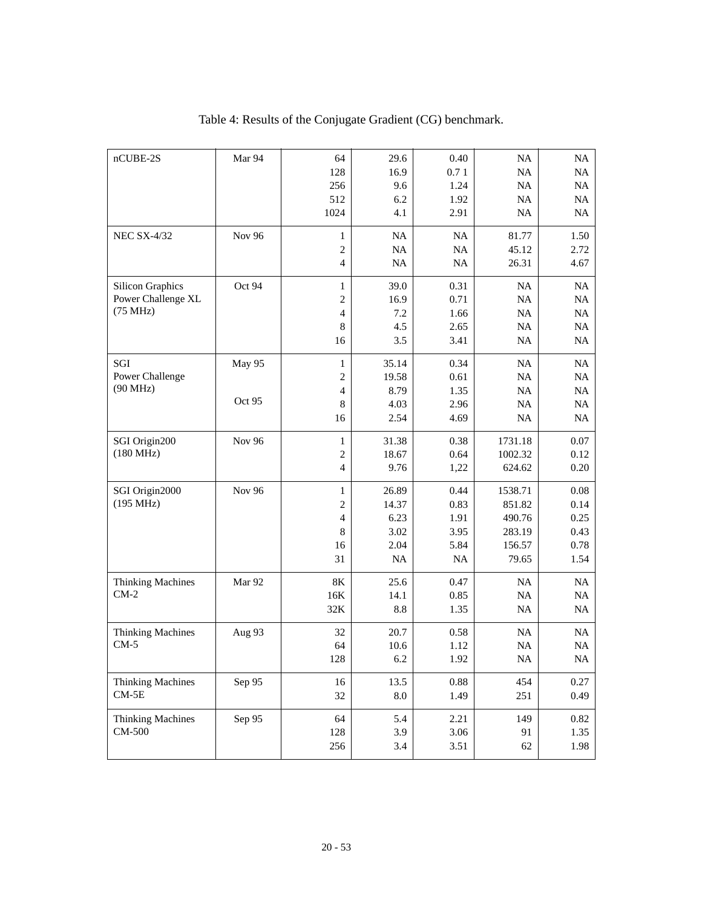| $nCUBE-2S$               | Mar 94        | 64                       | 29.6       | 0.40     | NA        | NA        |
|--------------------------|---------------|--------------------------|------------|----------|-----------|-----------|
|                          |               | 128                      | 16.9       | 0.71     | NA        | NA        |
|                          |               | 256                      | 9.6        | 1.24     | NA        | NA        |
|                          |               | 512                      | 6.2        | 1.92     | <b>NA</b> | NA        |
|                          |               | 1024                     | 4.1        | 2.91     | <b>NA</b> | NA        |
| <b>NEC SX-4/32</b>       | <b>Nov 96</b> | $\mathbf 1$              | NA         | NA       | 81.77     | 1.50      |
|                          |               | $\sqrt{2}$               | NA         | $\rm NA$ | 45.12     | 2.72      |
|                          |               | $\overline{4}$           | NA         | $\rm NA$ | 26.31     | 4.67      |
| <b>Silicon Graphics</b>  | Oct 94        | $\mathbf{1}$             | 39.0       | 0.31     | NA        | NA        |
| Power Challenge XL       |               | $\overline{c}$           | 16.9       | 0.71     | NA        | NA        |
| (75 MHz)                 |               | $\overline{\mathcal{L}}$ | 7.2        | 1.66     | NA        | NA        |
|                          |               | 8                        | 4.5        | 2.65     | NA        | NA        |
|                          |               | 16                       | 3.5        | 3.41     | NA        | <b>NA</b> |
| SGI                      | May 95        | $\mathbf{1}$             | 35.14      | 0.34     | NA        | NA        |
| Power Challenge          |               | $\overline{c}$           | 19.58      | 0.61     | NA        | NA        |
| (90 MHz)                 |               | $\overline{4}$           | 8.79       | 1.35     | NA        | NA        |
|                          | Oct 95        | 8                        | 4.03       | 2.96     | <b>NA</b> | NA        |
|                          |               | 16                       | 2.54       | 4.69     | <b>NA</b> | <b>NA</b> |
| SGI Origin200            | Nov 96        | $\,1$                    | 31.38      | 0.38     | 1731.18   | 0.07      |
| $(180 \text{ MHz})$      |               | $\overline{c}$           | 18.67      | 0.64     | 1002.32   | 0.12      |
|                          |               | $\overline{4}$           | 9.76       | 1,22     | 624.62    | 0.20      |
| SGI Origin2000           | <b>Nov 96</b> | $\mathbf{1}$             | 26.89      | 0.44     | 1538.71   | 0.08      |
| (195 MHz)                |               | $\mathfrak{2}$           | 14.37      | 0.83     | 851.82    | 0.14      |
|                          |               | $\overline{4}$           | 6.23       | 1.91     | 490.76    | 0.25      |
|                          |               | 8                        | 3.02       | 3.95     | 283.19    | 0.43      |
|                          |               | 16                       | 2.04       | 5.84     | 156.57    | 0.78      |
|                          |               | 31                       | NA         | NA       | 79.65     | 1.54      |
| <b>Thinking Machines</b> | Mar 92        | $8\mathrm{K}$            | 25.6       | 0.47     | <b>NA</b> | NA        |
| $CM-2$                   |               | 16K                      | 14.1       | 0.85     | <b>NA</b> | NA        |
|                          |               | 32K                      | 8.8        | 1.35     | <b>NA</b> | NA        |
| <b>Thinking Machines</b> | Aug 93        | 32                       | 20.7       | 0.58     | <b>NA</b> | NA        |
| $CM-5$                   |               | 64                       | 10.6       | 1.12     | NA        | NA        |
|                          |               | 128                      | 6.2        | 1.92     | NA        | $\rm NA$  |
| <b>Thinking Machines</b> | Sep 95        | 16                       | 13.5       | 0.88     | 454       | 0.27      |
| $CM-5E$                  |               | 32                       | $\ \, 8.0$ | 1.49     | 251       | 0.49      |
| <b>Thinking Machines</b> | Sep 95        | 64                       | 5.4        | 2.21     | 149       | 0.82      |
| CM-500                   |               | 128                      | 3.9        | 3.06     | 91        | 1.35      |
|                          |               | 256                      | 3.4        | 3.51     | 62        | 1.98      |
|                          |               |                          |            |          |           |           |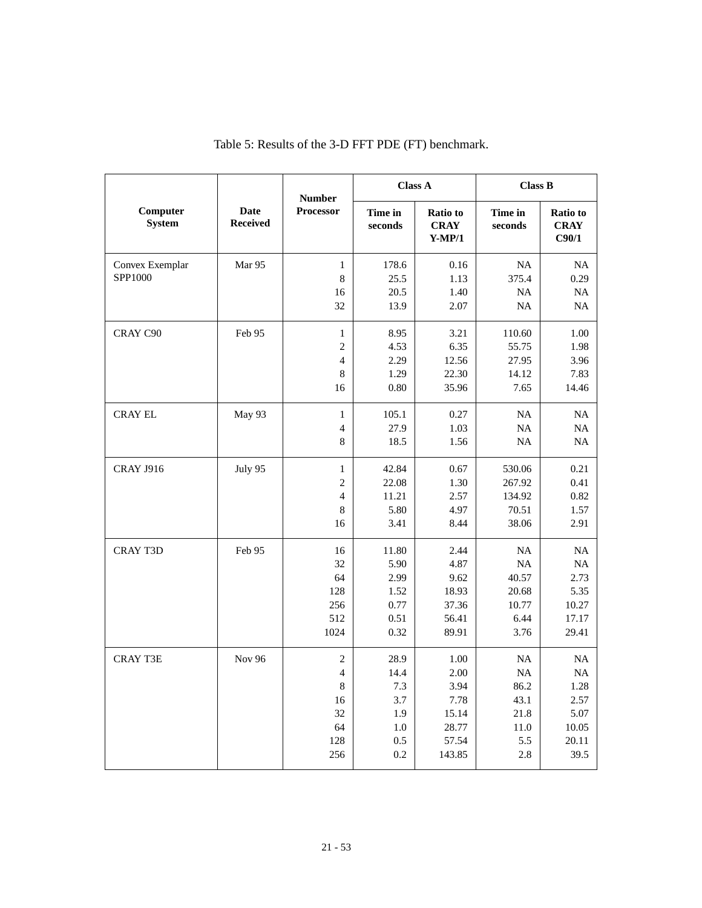|                           |                                | <b>Number</b>    | <b>Class A</b>     |                                            | <b>Class B</b>     |                                  |
|---------------------------|--------------------------------|------------------|--------------------|--------------------------------------------|--------------------|----------------------------------|
| Computer<br><b>System</b> | <b>Date</b><br><b>Received</b> | <b>Processor</b> | Time in<br>seconds | <b>Ratio</b> to<br><b>CRAY</b><br>$Y-MP/1$ | Time in<br>seconds | Ratio to<br><b>CRAY</b><br>C90/1 |
| Convex Exemplar           | Mar 95                         | $\mathbf{1}$     | 178.6              | 0.16                                       | NA                 | NA                               |
| SPP1000                   |                                | 8                | 25.5               | 1.13                                       | 375.4              | 0.29                             |
|                           |                                | 16               | 20.5               | 1.40                                       | NA                 | <b>NA</b>                        |
|                           |                                | 32               | 13.9               | 2.07                                       | <b>NA</b>          | NA                               |
| CRAY C90                  | Feb 95                         | $\mathbf{1}$     | 8.95               | 3.21                                       | 110.60             | 1.00                             |
|                           |                                | $\overline{c}$   | 4.53               | 6.35                                       | 55.75              | 1.98                             |
|                           |                                | $\overline{4}$   | 2.29               | 12.56                                      | 27.95              | 3.96                             |
|                           |                                | 8                | 1.29               | 22.30                                      | 14.12              | 7.83                             |
|                           |                                | 16               | 0.80               | 35.96                                      | 7.65               | 14.46                            |
| <b>CRAY EL</b>            | May 93                         | $\mathbf{1}$     | 105.1              | 0.27                                       | NA                 | <b>NA</b>                        |
|                           |                                | $\overline{4}$   | 27.9               | 1.03                                       | <b>NA</b>          | <b>NA</b>                        |
|                           |                                | 8                | 18.5               | 1.56                                       | <b>NA</b>          | NA                               |
| <b>CRAY J916</b>          | July 95                        | $\mathbf{1}$     | 42.84              | 0.67                                       | 530.06             | 0.21                             |
|                           |                                | $\overline{c}$   | 22.08              | 1.30                                       | 267.92             | 0.41                             |
|                           |                                | $\overline{4}$   | 11.21              | 2.57                                       | 134.92             | 0.82                             |
|                           |                                | 8                | 5.80               | 4.97                                       | 70.51              | 1.57                             |
|                           |                                | 16               | 3.41               | 8.44                                       | 38.06              | 2.91                             |
| <b>CRAY T3D</b>           | Feb 95                         | 16               | 11.80              | 2.44                                       | <b>NA</b>          | <b>NA</b>                        |
|                           |                                | 32               | 5.90               | 4.87                                       | <b>NA</b>          | <b>NA</b>                        |
|                           |                                | 64               | 2.99               | 9.62                                       | 40.57              | 2.73                             |
|                           |                                | 128              | 1.52               | 18.93                                      | 20.68              | 5.35                             |
|                           |                                | 256              | 0.77               | 37.36                                      | 10.77              | 10.27                            |
|                           |                                | 512<br>1024      | 0.51               | 56.41<br>89.91                             | 6.44               | 17.17<br>29.41                   |
|                           |                                |                  | 0.32               |                                            | 3.76               |                                  |
| <b>CRAY T3E</b>           | <b>Nov 96</b>                  | $\mathfrak{2}$   | 28.9               | 1.00                                       | NA                 | NA                               |
|                           |                                | $\overline{4}$   | 14.4               | 2.00                                       | <b>NA</b>          | NA                               |
|                           |                                | 8                | 7.3                | 3.94                                       | 86.2               | 1.28                             |
|                           |                                | 16               | 3.7                | 7.78                                       | 43.1               | 2.57                             |
|                           |                                | 32               | 1.9                | 15.14                                      | 21.8               | 5.07                             |
|                           |                                | 64<br>128        | 1.0<br>0.5         | 28.77<br>57.54                             | 11.0<br>5.5        | 10.05<br>20.11                   |
|                           |                                | 256              | 0.2                | 143.85                                     | 2.8                | 39.5                             |
|                           |                                |                  |                    |                                            |                    |                                  |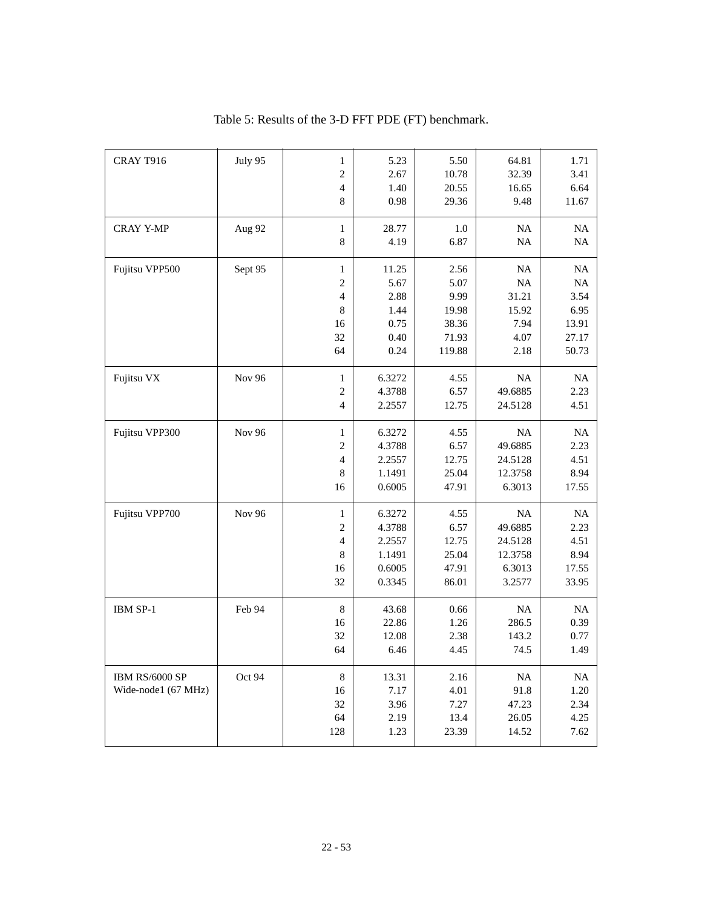| CRAY T916           | July 95       | $\mathbf{1}$   | 5.23   | 5.50   | 64.81     | 1.71      |
|---------------------|---------------|----------------|--------|--------|-----------|-----------|
|                     |               | $\overline{c}$ | 2.67   | 10.78  | 32.39     | 3.41      |
|                     |               | $\overline{4}$ | 1.40   | 20.55  | 16.65     | 6.64      |
|                     |               | 8              | 0.98   | 29.36  | 9.48      | 11.67     |
| <b>CRAY Y-MP</b>    | Aug 92        | $\mathbf{1}$   | 28.77  | 1.0    | <b>NA</b> | NA        |
|                     |               | 8              | 4.19   | 6.87   | $\rm NA$  | $\rm NA$  |
|                     |               |                |        |        |           |           |
| Fujitsu VPP500      | Sept 95       | $\mathbf{1}$   | 11.25  | 2.56   | NA        | <b>NA</b> |
|                     |               | $\mathfrak{2}$ | 5.67   | 5.07   | NA        | NA        |
|                     |               | $\overline{4}$ | 2.88   | 9.99   | 31.21     | 3.54      |
|                     |               | 8              | 1.44   | 19.98  | 15.92     | 6.95      |
|                     |               | 16             | 0.75   | 38.36  | 7.94      | 13.91     |
|                     |               | 32             | 0.40   | 71.93  | 4.07      | 27.17     |
|                     |               | 64             | 0.24   | 119.88 | 2.18      | 50.73     |
| Fujitsu VX          | Nov 96        | $\mathbf{1}$   | 6.3272 | 4.55   | NA        | NA        |
|                     |               | $\mathfrak{2}$ | 4.3788 | 6.57   | 49.6885   | 2.23      |
|                     |               | $\overline{4}$ | 2.2557 | 12.75  | 24.5128   | 4.51      |
| Fujitsu VPP300      | <b>Nov 96</b> | $\mathbf{1}$   | 6.3272 | 4.55   | NA        | NA        |
|                     |               | 2              | 4.3788 | 6.57   | 49.6885   | 2.23      |
|                     |               | 4              | 2.2557 | 12.75  | 24.5128   | 4.51      |
|                     |               | 8              | 1.1491 | 25.04  | 12.3758   | 8.94      |
|                     |               | 16             | 0.6005 | 47.91  | 6.3013    | 17.55     |
|                     |               |                |        |        |           |           |
| Fujitsu VPP700      | Nov 96        | $\mathbf{1}$   | 6.3272 | 4.55   | NA        | NA        |
|                     |               | $\overline{c}$ | 4.3788 | 6.57   | 49.6885   | 2.23      |
|                     |               | 4              | 2.2557 | 12.75  | 24.5128   | 4.51      |
|                     |               | 8              | 1.1491 | 25.04  | 12.3758   | 8.94      |
|                     |               | 16             | 0.6005 | 47.91  | 6.3013    | 17.55     |
|                     |               | 32             | 0.3345 | 86.01  | 3.2577    | 33.95     |
| IBM SP-1            | Feb 94        | $\,8\,$        | 43.68  | 0.66   | NA        | NA        |
|                     |               | 16             | 22.86  | 1.26   | 286.5     | 0.39      |
|                     |               | 32             | 12.08  | 2.38   | 143.2     | 0.77      |
|                     |               | 64             | 6.46   | 4.45   | 74.5      | 1.49      |
| IBM RS/6000 SP      | Oct 94        | $\,8\,$        | 13.31  | 2.16   | <b>NA</b> | <b>NA</b> |
| Wide-node1 (67 MHz) |               | 16             | 7.17   | 4.01   | 91.8      | 1.20      |
|                     |               | 32             | 3.96   | 7.27   | 47.23     | 2.34      |
|                     |               | 64             | 2.19   | 13.4   | 26.05     | 4.25      |
|                     |               | 128            | 1.23   | 23.39  | 14.52     | 7.62      |
|                     |               |                |        |        |           |           |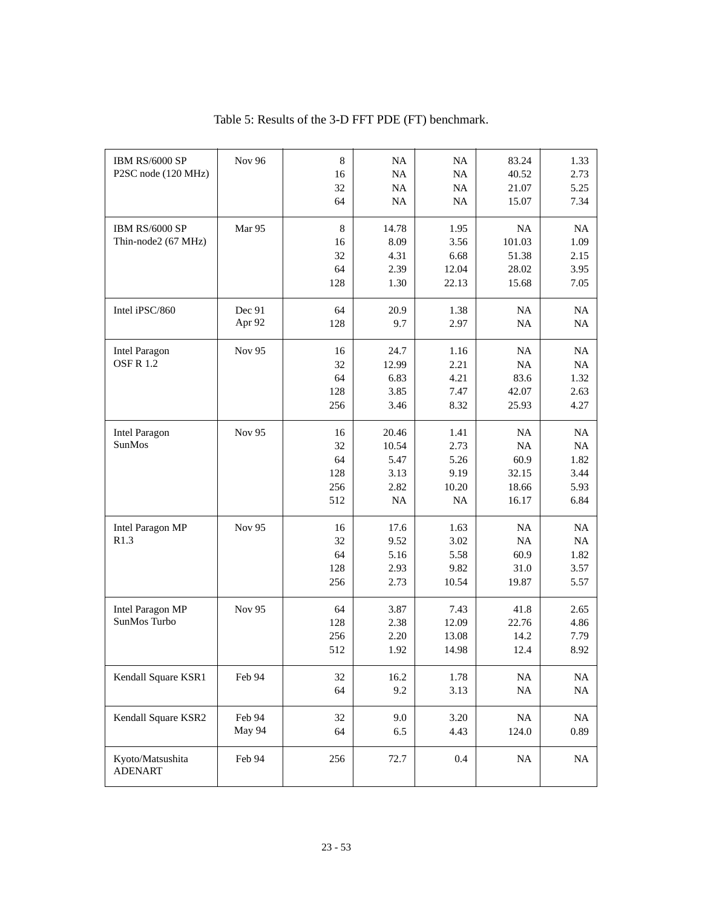| IBM RS/6000 SP<br>P2SC node (120 MHz)   | Nov 96           | $\,8\,$<br>16<br>32<br>64           | <b>NA</b><br><b>NA</b><br>NA<br>NA           | NA<br>NA<br>NA<br>NA                        | 83.24<br>40.52<br>21.07<br>15.07            | 1.33<br>2.73<br>5.25<br>7.34                    |
|-----------------------------------------|------------------|-------------------------------------|----------------------------------------------|---------------------------------------------|---------------------------------------------|-------------------------------------------------|
| IBM RS/6000 SP<br>Thin-node2 (67 MHz)   | Mar 95           | $\,8\,$<br>16<br>32<br>64<br>128    | 14.78<br>8.09<br>4.31<br>2.39<br>1.30        | 1.95<br>3.56<br>6.68<br>12.04<br>22.13      | NA<br>101.03<br>51.38<br>28.02<br>15.68     | NA<br>1.09<br>2.15<br>3.95<br>7.05              |
| Intel iPSC/860                          | Dec 91<br>Apr 92 | 64<br>128                           | 20.9<br>9.7                                  | 1.38<br>2.97                                | NA<br>NA                                    | <b>NA</b><br>NA                                 |
| <b>Intel Paragon</b><br><b>OSFR1.2</b>  | Nov 95           | 16<br>32<br>64<br>128<br>256        | 24.7<br>12.99<br>6.83<br>3.85<br>3.46        | 1.16<br>2.21<br>4.21<br>7.47<br>8.32        | <b>NA</b><br>NA<br>83.6<br>42.07<br>25.93   | <b>NA</b><br>NA<br>1.32<br>2.63<br>4.27         |
| <b>Intel Paragon</b><br>SunMos          | <b>Nov 95</b>    | 16<br>32<br>64<br>128<br>256<br>512 | 20.46<br>10.54<br>5.47<br>3.13<br>2.82<br>NA | 1.41<br>2.73<br>5.26<br>9.19<br>10.20<br>NA | NA<br>NA<br>60.9<br>32.15<br>18.66<br>16.17 | <b>NA</b><br>NA<br>1.82<br>3.44<br>5.93<br>6.84 |
| Intel Paragon MP<br>R1.3                | Nov 95           | 16<br>32<br>64<br>128<br>256        | 17.6<br>9.52<br>5.16<br>2.93<br>2.73         | 1.63<br>3.02<br>5.58<br>9.82<br>10.54       | <b>NA</b><br>NA<br>60.9<br>31.0<br>19.87    | <b>NA</b><br>NA<br>1.82<br>3.57<br>5.57         |
| <b>Intel Paragon MP</b><br>SunMos Turbo | Nov 95           | 64<br>128<br>256<br>512             | 3.87<br>2.38<br>2.20<br>1.92                 | 7.43<br>12.09<br>13.08<br>14.98             | 41.8<br>22.76<br>14.2<br>12.4               | 2.65<br>4.86<br>7.79<br>8.92                    |
| Kendall Square KSR1                     | Feb 94           | 32<br>64                            | 16.2<br>9.2                                  | 1.78<br>3.13                                | $\rm NA$<br>$\rm NA$                        | $\rm NA$<br>$\rm NA$                            |
| Kendall Square KSR2                     | Feb 94<br>May 94 | 32<br>64                            | 9.0<br>6.5                                   | 3.20<br>4.43                                | $\rm NA$<br>124.0                           | $\rm NA$<br>0.89                                |
| Kyoto/Matsushita<br><b>ADENART</b>      | Feb 94           | 256                                 | 72.7                                         | 0.4                                         | $\rm NA$                                    | $\rm NA$                                        |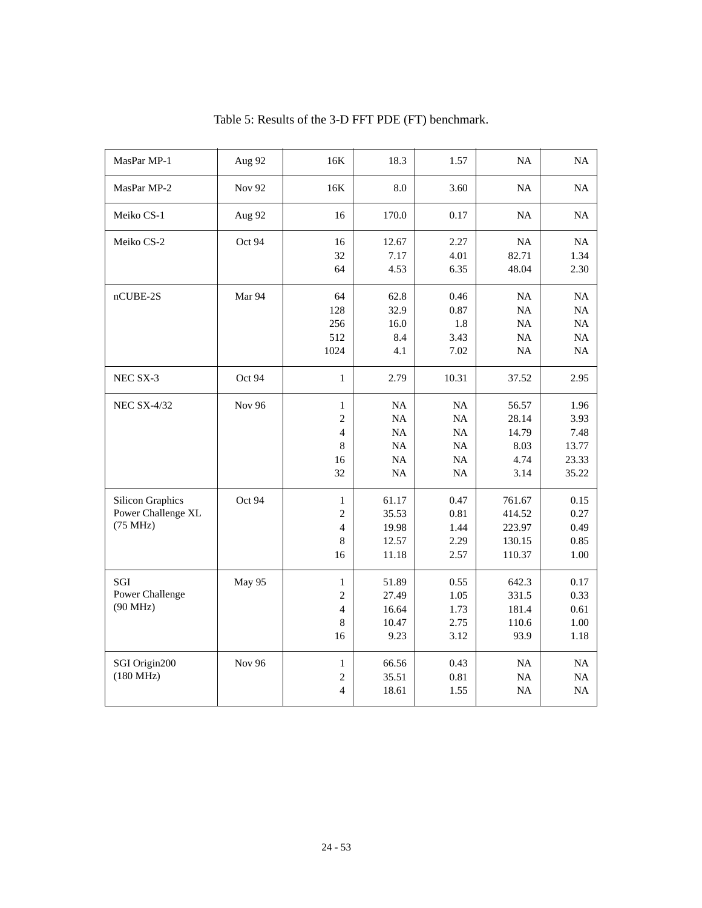| MasPar MP-1                                               | Aug 92        | 16K                                                           | 18.3                                      | 1.57                                 | NA                                              | NA                                              |
|-----------------------------------------------------------|---------------|---------------------------------------------------------------|-------------------------------------------|--------------------------------------|-------------------------------------------------|-------------------------------------------------|
| MasPar MP-2                                               | <b>Nov 92</b> | 16K                                                           | 8.0                                       | 3.60                                 | NA                                              | NA                                              |
| Meiko CS-1                                                | Aug 92        | 16                                                            | 170.0                                     | 0.17                                 | NA                                              | NA                                              |
| Meiko CS-2                                                | Oct 94        | 16<br>32<br>64                                                | 12.67<br>7.17<br>4.53                     | 2.27<br>4.01<br>6.35                 | NA<br>82.71<br>48.04                            | <b>NA</b><br>1.34<br>2.30                       |
| nCUBE-2S                                                  | Mar 94        | 64<br>128<br>256<br>512<br>1024                               | 62.8<br>32.9<br>16.0<br>8.4<br>4.1        | 0.46<br>0.87<br>1.8<br>3.43<br>7.02  | <b>NA</b><br>NA<br>$\rm NA$<br>NA<br><b>NA</b>  | <b>NA</b><br>NA<br>$\rm NA$<br>NA<br>NA         |
| NEC SX-3                                                  | Oct 94        | $\mathbf{1}$                                                  | 2.79                                      | 10.31                                | 37.52                                           | 2.95                                            |
| <b>NEC SX-4/32</b>                                        | <b>Nov 96</b> | $\mathbf{1}$<br>$\sqrt{2}$<br>$\overline{4}$<br>8<br>16<br>32 | NA<br>NA<br>NA<br>NA<br><b>NA</b><br>NA   | NA<br>NA<br>NA<br>NA<br>NA<br>NA     | 56.57<br>28.14<br>14.79<br>8.03<br>4.74<br>3.14 | 1.96<br>3.93<br>7.48<br>13.77<br>23.33<br>35.22 |
| <b>Silicon Graphics</b><br>Power Challenge XL<br>(75 MHz) | Oct 94        | $\mathbf{1}$<br>$\overline{c}$<br>4<br>8<br>16                | 61.17<br>35.53<br>19.98<br>12.57<br>11.18 | 0.47<br>0.81<br>1.44<br>2.29<br>2.57 | 761.67<br>414.52<br>223.97<br>130.15<br>110.37  | 0.15<br>0.27<br>0.49<br>0.85<br>1.00            |
| SGI<br>Power Challenge<br>(90 MHz)                        | May 95        | $\mathbf{1}$<br>$\overline{c}$<br>$\overline{4}$<br>8<br>16   | 51.89<br>27.49<br>16.64<br>10.47<br>9.23  | 0.55<br>1.05<br>1.73<br>2.75<br>3.12 | 642.3<br>331.5<br>181.4<br>110.6<br>93.9        | 0.17<br>0.33<br>0.61<br>1.00<br>1.18            |
| SGI Origin200<br>(180 MHz)                                | <b>Nov 96</b> | $\mathbf{1}$<br>2<br>$\overline{4}$                           | 66.56<br>35.51<br>18.61                   | 0.43<br>0.81<br>1.55                 | NA<br><b>NA</b><br>NA                           | NA<br>NA<br>NA                                  |

|  |  |  |  | Table 5: Results of the 3-D FFT PDE (FT) benchmark. |
|--|--|--|--|-----------------------------------------------------|
|--|--|--|--|-----------------------------------------------------|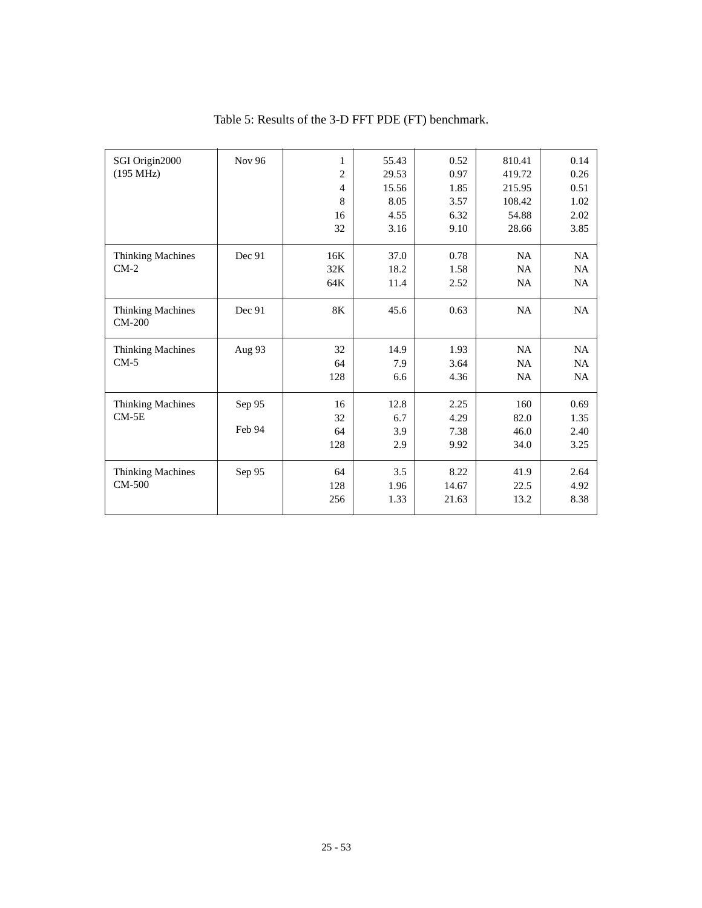| SGI Origin2000                       | Nov 96 | 1              | 55.43 | 0.52  | 810.41    | 0.14      |
|--------------------------------------|--------|----------------|-------|-------|-----------|-----------|
| (195 MHz)                            |        | $\overline{c}$ | 29.53 | 0.97  | 419.72    | 0.26      |
|                                      |        | $\overline{4}$ | 15.56 | 1.85  | 215.95    | 0.51      |
|                                      |        | 8              | 8.05  | 3.57  | 108.42    | 1.02      |
|                                      |        | 16             | 4.55  | 6.32  | 54.88     | 2.02      |
|                                      |        | 32             | 3.16  | 9.10  | 28.66     | 3.85      |
| <b>Thinking Machines</b>             | Dec 91 | 16K            | 37.0  | 0.78  | <b>NA</b> | <b>NA</b> |
| $CM-2$                               |        | 32K            | 18.2  | 1.58  | <b>NA</b> | <b>NA</b> |
|                                      |        | 64K            | 11.4  | 2.52  | <b>NA</b> | NA        |
| <b>Thinking Machines</b><br>$CM-200$ | Dec 91 | 8K             | 45.6  | 0.63  | <b>NA</b> | <b>NA</b> |
| <b>Thinking Machines</b>             | Aug 93 | 32             | 14.9  | 1.93  | <b>NA</b> | <b>NA</b> |
| $CM-5$                               |        | 64             | 7.9   | 3.64  | <b>NA</b> | <b>NA</b> |
|                                      |        | 128            | 6.6   | 4.36  | <b>NA</b> | <b>NA</b> |
| <b>Thinking Machines</b>             | Sep 95 | 16             | 12.8  | 2.25  | 160       | 0.69      |
| $CM-5E$                              |        | 32             | 6.7   | 4.29  | 82.0      | 1.35      |
|                                      | Feb 94 | 64             | 3.9   | 7.38  | 46.0      | 2.40      |
|                                      |        | 128            | 2.9   | 9.92  | 34.0      | 3.25      |
| <b>Thinking Machines</b>             | Sep 95 | 64             | 3.5   | 8.22  | 41.9      | 2.64      |
| $CM-500$                             |        | 128            | 1.96  | 14.67 | 22.5      | 4.92      |
|                                      |        | 256            | 1.33  | 21.63 | 13.2      | 8.38      |
|                                      |        |                |       |       |           |           |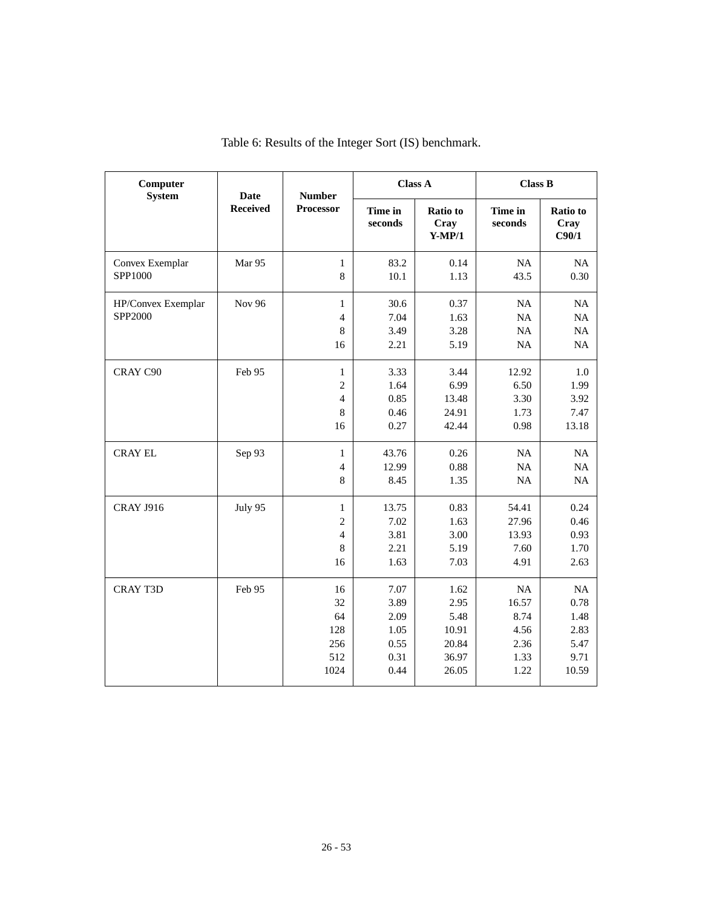| Computer<br><b>System</b>     | <b>Date</b>     | <b>Number</b>                                               | <b>Class A</b>                                       |                                                          | <b>Class B</b>                                      |                                                     |
|-------------------------------|-----------------|-------------------------------------------------------------|------------------------------------------------------|----------------------------------------------------------|-----------------------------------------------------|-----------------------------------------------------|
|                               | <b>Received</b> | <b>Processor</b>                                            | Time in<br>seconds                                   | Ratio to<br>Cray<br>$Y-MP/1$                             | Time in<br>seconds                                  | Ratio to<br>Cray<br>C90/1                           |
| Convex Exemplar<br>SPP1000    | Mar 95          | $\mathbf{1}$<br>$\,8\,$                                     | 83.2<br>10.1                                         | 0.14<br>1.13                                             | NA<br>43.5                                          | NA<br>0.30                                          |
| HP/Convex Exemplar<br>SPP2000 | <b>Nov 96</b>   | 1<br>$\overline{4}$<br>8<br>16                              | 30.6<br>7.04<br>3.49<br>2.21                         | 0.37<br>1.63<br>3.28<br>5.19                             | NA<br>NA<br>NA<br>NA                                | NA<br>$\rm NA$<br>NA<br>NA                          |
| CRAY C90                      | Feb 95          | $\mathbf{1}$<br>$\overline{c}$<br>$\overline{4}$<br>8<br>16 | 3.33<br>1.64<br>0.85<br>0.46<br>0.27                 | 3.44<br>6.99<br>13.48<br>24.91<br>42.44                  | 12.92<br>6.50<br>3.30<br>1.73<br>0.98               | 1.0<br>1.99<br>3.92<br>7.47<br>13.18                |
| <b>CRAY EL</b>                | Sep 93          | $\mathbf{1}$<br>$\overline{4}$<br>8                         | 43.76<br>12.99<br>8.45                               | 0.26<br>0.88<br>1.35                                     | NA<br>NA<br>NA                                      | NA<br>$\rm NA$<br>NA                                |
| <b>CRAY J916</b>              | July 95         | $\mathbf{1}$<br>$\overline{c}$<br>$\overline{4}$<br>8<br>16 | 13.75<br>7.02<br>3.81<br>2.21<br>1.63                | 0.83<br>1.63<br>3.00<br>5.19<br>7.03                     | 54.41<br>27.96<br>13.93<br>7.60<br>4.91             | 0.24<br>0.46<br>0.93<br>1.70<br>2.63                |
| <b>CRAY T3D</b>               | Feb 95          | 16<br>32<br>64<br>128<br>256<br>512<br>1024                 | 7.07<br>3.89<br>2.09<br>1.05<br>0.55<br>0.31<br>0.44 | 1.62<br>2.95<br>5.48<br>10.91<br>20.84<br>36.97<br>26.05 | NA<br>16.57<br>8.74<br>4.56<br>2.36<br>1.33<br>1.22 | NA<br>0.78<br>1.48<br>2.83<br>5.47<br>9.71<br>10.59 |

Table 6: Results of the Integer Sort (IS) benchmark.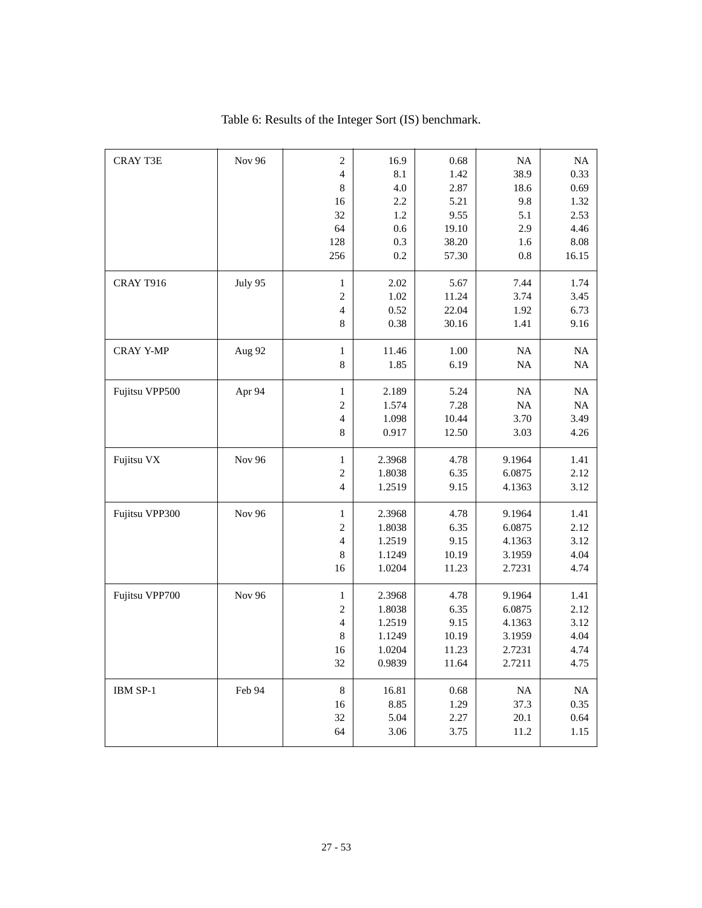| <b>CRAY T3E</b>  | <b>Nov 96</b> | $\overline{2}$           | 16.9   | 0.68  | NA        | $\rm NA$ |
|------------------|---------------|--------------------------|--------|-------|-----------|----------|
|                  |               | $\overline{\mathcal{L}}$ | 8.1    | 1.42  | 38.9      | 0.33     |
|                  |               | 8                        | 4.0    | 2.87  | 18.6      | 0.69     |
|                  |               | 16                       | 2.2    | 5.21  | 9.8       | 1.32     |
|                  |               | 32                       | 1.2    | 9.55  | 5.1       | 2.53     |
|                  |               | 64                       | 0.6    | 19.10 | 2.9       | 4.46     |
|                  |               | 128                      | 0.3    | 38.20 | 1.6       | 8.08     |
|                  |               | 256                      | 0.2    | 57.30 | 0.8       | 16.15    |
| <b>CRAY T916</b> | July 95       | $\mathbf{1}$             | 2.02   | 5.67  | 7.44      | 1.74     |
|                  |               | $\overline{c}$           | 1.02   | 11.24 | 3.74      | 3.45     |
|                  |               | 4                        | 0.52   | 22.04 | 1.92      | 6.73     |
|                  |               | 8                        | 0.38   | 30.16 | 1.41      | 9.16     |
| <b>CRAY Y-MP</b> | Aug 92        | $\mathbf{1}$             | 11.46  | 1.00  | NA        | $\rm NA$ |
|                  |               | $\,$ 8 $\,$              | 1.85   | 6.19  | NA        | $\rm NA$ |
| Fujitsu VPP500   | Apr 94        | $\mathbf{1}$             | 2.189  | 5.24  | NA        | NA       |
|                  |               | $\overline{2}$           | 1.574  | 7.28  | <b>NA</b> | NA       |
|                  |               | $\overline{4}$           | 1.098  | 10.44 | 3.70      | 3.49     |
|                  |               | 8                        | 0.917  | 12.50 | 3.03      | 4.26     |
| Fujitsu VX       | <b>Nov 96</b> | $\mathbf{1}$             | 2.3968 | 4.78  | 9.1964    | 1.41     |
|                  |               | $\overline{\mathbf{c}}$  | 1.8038 | 6.35  | 6.0875    | 2.12     |
|                  |               | $\overline{4}$           | 1.2519 | 9.15  | 4.1363    | 3.12     |
| Fujitsu VPP300   | <b>Nov 96</b> | $\mathbf{1}$             | 2.3968 | 4.78  | 9.1964    | 1.41     |
|                  |               | $\overline{c}$           | 1.8038 | 6.35  | 6.0875    | 2.12     |
|                  |               | $\overline{4}$           | 1.2519 | 9.15  | 4.1363    | 3.12     |
|                  |               | 8                        | 1.1249 | 10.19 | 3.1959    | 4.04     |
|                  |               | 16                       | 1.0204 | 11.23 | 2.7231    | 4.74     |
| Fujitsu VPP700   | <b>Nov 96</b> | $\mathbf{1}$             | 2.3968 | 4.78  | 9.1964    | 1.41     |
|                  |               | $\overline{c}$           | 1.8038 | 6.35  | 6.0875    | 2.12     |
|                  |               | $\overline{4}$           | 1.2519 | 9.15  | 4.1363    | 3.12     |
|                  |               | 8                        | 1.1249 | 10.19 | 3.1959    | 4.04     |
|                  |               | 16                       | 1.0204 | 11.23 | 2.7231    | 4.74     |
|                  |               | 32                       | 0.9839 | 11.64 | 2.7211    | 4.75     |
| IBM SP-1         | Feb 94        | $\,8\,$                  | 16.81  | 0.68  | <b>NA</b> | NA       |
|                  |               | 16                       | 8.85   | 1.29  | 37.3      | 0.35     |
|                  |               | 32                       | 5.04   | 2.27  | 20.1      | 0.64     |
|                  |               | 64                       | 3.06   | 3.75  | 11.2      | 1.15     |

Table 6: Results of the Integer Sort (IS) benchmark.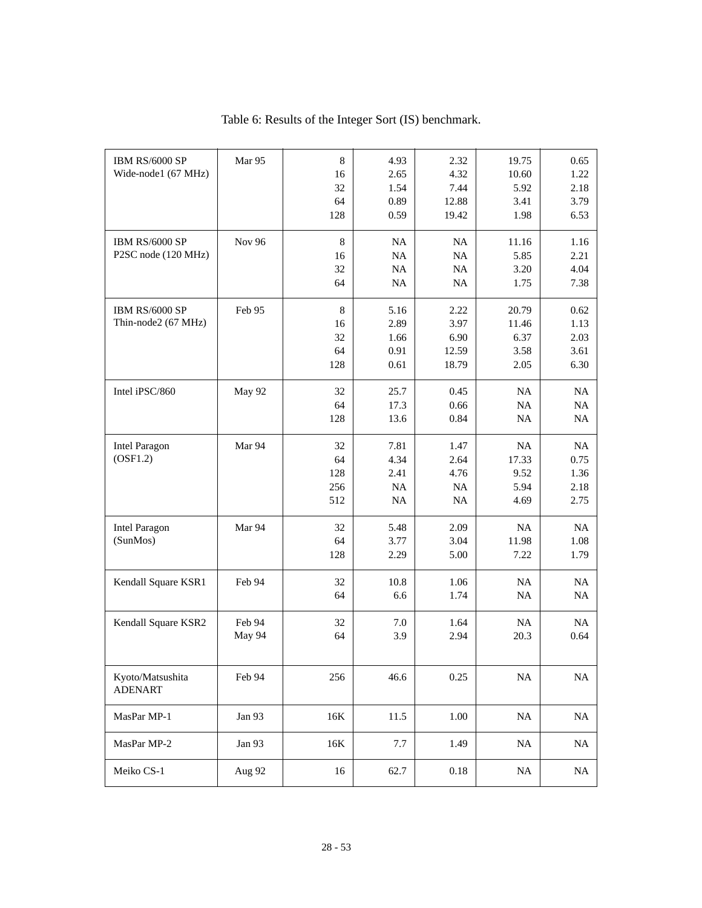| IBM RS/6000 SP       | Mar 95 | 8       | 4.93      | 2.32      | 19.75     | 0.65     |
|----------------------|--------|---------|-----------|-----------|-----------|----------|
| Wide-node1 (67 MHz)  |        | 16      | 2.65      | 4.32      | 10.60     | 1.22     |
|                      |        | 32      | 1.54      | 7.44      | 5.92      | 2.18     |
|                      |        | 64      | 0.89      | 12.88     | 3.41      | 3.79     |
|                      |        | 128     | 0.59      | 19.42     | 1.98      | 6.53     |
|                      |        |         |           |           |           |          |
| IBM RS/6000 SP       | Nov 96 | $\,8\,$ | NA        | <b>NA</b> | 11.16     | 1.16     |
| P2SC node (120 MHz)  |        | 16      | NA        | NA        | 5.85      | 2.21     |
|                      |        | 32      | NA        | NA        | 3.20      | 4.04     |
|                      |        | 64      | NA        | NA        | 1.75      | 7.38     |
|                      |        |         |           |           |           |          |
| IBM RS/6000 SP       | Feb 95 | $\,8\,$ | 5.16      | 2.22      | 20.79     | 0.62     |
| Thin-node2 (67 MHz)  |        | 16      | 2.89      | 3.97      | 11.46     | 1.13     |
|                      |        | 32      | 1.66      | 6.90      | 6.37      | 2.03     |
|                      |        | 64      | 0.91      | 12.59     | 3.58      | 3.61     |
|                      |        | 128     | 0.61      | 18.79     | 2.05      | 6.30     |
|                      |        |         |           |           |           |          |
| Intel iPSC/860       | May 92 | 32      | 25.7      | 0.45      | NA        | NA       |
|                      |        | 64      | 17.3      | 0.66      | <b>NA</b> | NA       |
|                      |        | 128     | 13.6      | 0.84      | NA        | NA       |
|                      |        |         |           |           |           |          |
| <b>Intel Paragon</b> | Mar 94 | 32      | 7.81      | 1.47      | NA        | NA       |
| (OSF1.2)             |        | 64      | 4.34      | 2.64      | 17.33     | 0.75     |
|                      |        | 128     | 2.41      | 4.76      | 9.52      | 1.36     |
|                      |        | 256     | NA        | NA        | 5.94      | 2.18     |
|                      |        | 512     | <b>NA</b> | NA        | 4.69      | 2.75     |
|                      |        |         |           |           |           |          |
| <b>Intel Paragon</b> | Mar 94 | 32      | 5.48      | 2.09      | NA        | NA       |
| (SunMos)             |        | 64      | 3.77      | 3.04      | 11.98     | 1.08     |
|                      |        | 128     | 2.29      | 5.00      | 7.22      | 1.79     |
|                      |        |         |           |           |           |          |
| Kendall Square KSR1  | Feb 94 | 32      | 10.8      | 1.06      | NA        | NA       |
|                      |        | 64      | 6.6       | 1.74      | <b>NA</b> | $\rm NA$ |
|                      |        |         |           |           |           |          |
| Kendall Square KSR2  | Feb 94 | 32      | 7.0       | 1.64      | NA        | NA       |
|                      | May 94 | 64      | 3.9       | 2.94      | 20.3      | 0.64     |
|                      |        |         |           |           |           |          |
|                      |        |         |           |           |           |          |
| Kyoto/Matsushita     | Feb 94 | 256     | 46.6      | 0.25      | NA        | $\rm NA$ |
| <b>ADENART</b>       |        |         |           |           |           |          |
|                      |        |         |           |           |           |          |
| MasPar MP-1          | Jan 93 | 16K     | 11.5      | 1.00      | $\rm NA$  | NA       |
|                      |        |         |           |           |           |          |
| MasPar MP-2          | Jan 93 | 16K     | 7.7       | 1.49      | $\rm NA$  | $\rm NA$ |
|                      |        |         |           |           |           |          |
| Meiko CS-1           | Aug 92 | 16      | 62.7      | $0.18\,$  | $\rm NA$  | $\rm NA$ |
|                      |        |         |           |           |           |          |

Table 6: Results of the Integer Sort (IS) benchmark.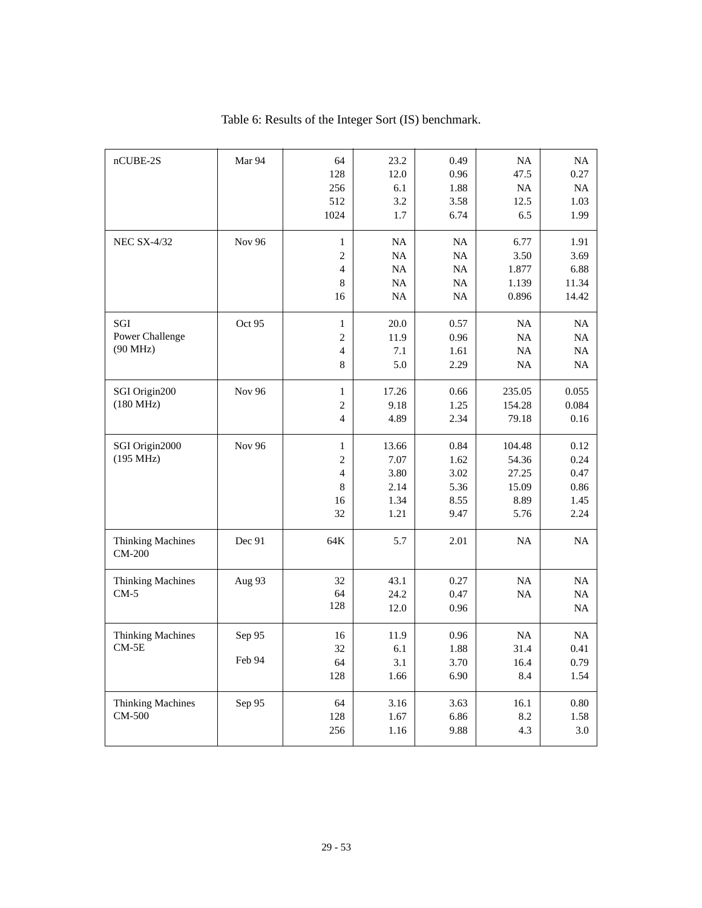| nCUBE-2S                             | Mar 94           | 64<br>128<br>256<br>512                                                     | 23.2<br>12.0<br>6.1<br>3.2                      | 0.49<br>0.96<br>1.88<br>3.58                 | <b>NA</b><br>47.5<br><b>NA</b><br>12.5            | NA<br>0.27<br>NA<br>1.03                     |
|--------------------------------------|------------------|-----------------------------------------------------------------------------|-------------------------------------------------|----------------------------------------------|---------------------------------------------------|----------------------------------------------|
|                                      |                  | 1024                                                                        | 1.7                                             | 6.74                                         | 6.5                                               | 1.99                                         |
| <b>NEC SX-4/32</b>                   | <b>Nov 96</b>    | $\mathbf{1}$<br>$\overline{c}$<br>4<br>8<br>16                              | <b>NA</b><br><b>NA</b><br><b>NA</b><br>NA<br>NA | NA<br><b>NA</b><br><b>NA</b><br>NA<br>NA     | 6.77<br>3.50<br>1.877<br>1.139<br>0.896           | 1.91<br>3.69<br>6.88<br>11.34<br>14.42       |
| SGI<br>Power Challenge<br>(90 MHz)   | Oct 95           | $\mathbf{1}$<br>$\overline{c}$<br>$\overline{4}$<br>8                       | 20.0<br>11.9<br>7.1<br>5.0                      | 0.57<br>0.96<br>1.61<br>2.29                 | <b>NA</b><br>NA<br><b>NA</b><br><b>NA</b>         | NA<br>NA<br><b>NA</b><br>NA                  |
| SGI Origin200<br>$(180 \text{ MHz})$ | Nov 96           | $\mathbf{1}$<br>$\overline{c}$<br>$\overline{\mathcal{L}}$                  | 17.26<br>9.18<br>4.89                           | 0.66<br>1.25<br>2.34                         | 235.05<br>154.28<br>79.18                         | 0.055<br>0.084<br>0.16                       |
| SGI Origin2000<br>(195 MHz)          | <b>Nov 96</b>    | $\mathbf{1}$<br>$\overline{c}$<br>$\overline{\mathcal{L}}$<br>8<br>16<br>32 | 13.66<br>7.07<br>3.80<br>2.14<br>1.34<br>1.21   | 0.84<br>1.62<br>3.02<br>5.36<br>8.55<br>9.47 | 104.48<br>54.36<br>27.25<br>15.09<br>8.89<br>5.76 | 0.12<br>0.24<br>0.47<br>0.86<br>1.45<br>2.24 |
| <b>Thinking Machines</b><br>CM-200   | Dec 91           | 64K                                                                         | 5.7                                             | 2.01                                         | NA                                                | NA                                           |
| <b>Thinking Machines</b><br>$CM-5$   | Aug 93           | 32<br>64<br>128                                                             | 43.1<br>24.2<br>12.0                            | 0.27<br>0.47<br>0.96                         | NA<br><b>NA</b>                                   | NA<br><b>NA</b><br>NA                        |
| Thinking Machines<br>$CM-5E$         | Sep 95<br>Feb 94 | 16<br>32<br>64<br>128                                                       | 11.9<br>6.1<br>3.1<br>1.66                      | 0.96<br>1.88<br>3.70<br>6.90                 | NA<br>31.4<br>16.4<br>8.4                         | <b>NA</b><br>0.41<br>0.79<br>1.54            |
| <b>Thinking Machines</b><br>CM-500   | Sep 95           | 64<br>128<br>256                                                            | 3.16<br>1.67<br>1.16                            | 3.63<br>6.86<br>9.88                         | 16.1<br>8.2<br>4.3                                | 0.80<br>1.58<br>3.0                          |

Table 6: Results of the Integer Sort (IS) benchmark.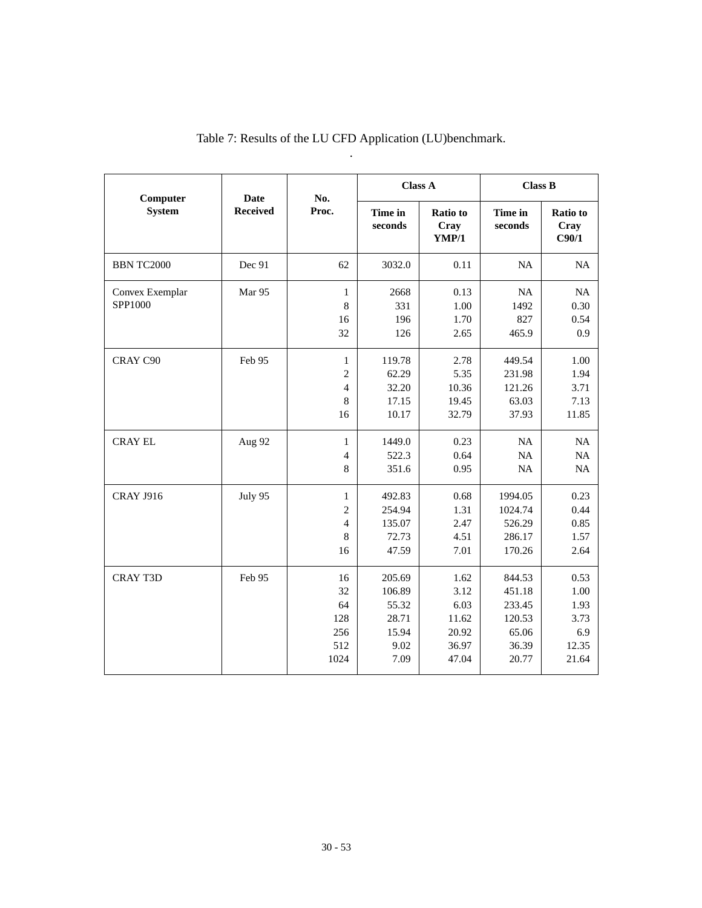| Computer                   | <b>Date</b><br><b>Received</b> | No.<br>Proc.                                                          | <b>Class A</b>                                              |                                                          | <b>Class B</b>                                                  |                                                       |
|----------------------------|--------------------------------|-----------------------------------------------------------------------|-------------------------------------------------------------|----------------------------------------------------------|-----------------------------------------------------------------|-------------------------------------------------------|
| <b>System</b>              |                                |                                                                       | Time in<br>seconds                                          | Ratio to<br>Cray<br>YMP/1                                | Time in<br>seconds                                              | Ratio to<br>Cray<br>C90/1                             |
| <b>BBN TC2000</b>          | Dec 91                         | 62                                                                    | 3032.0                                                      | 0.11                                                     | NA                                                              | NA                                                    |
| Convex Exemplar<br>SPP1000 | Mar 95                         | $\mathbf{1}$<br>8<br>16<br>32                                         | 2668<br>331<br>196<br>126                                   | 0.13<br>1.00<br>1.70<br>2.65                             | NA<br>1492<br>827<br>465.9                                      | NA<br>0.30<br>0.54<br>0.9                             |
| CRAY C90                   | Feb 95                         | $\mathbf{1}$<br>$\overline{c}$<br>$\overline{4}$<br>$\,$ 8 $\,$<br>16 | 119.78<br>62.29<br>32.20<br>17.15<br>10.17                  | 2.78<br>5.35<br>10.36<br>19.45<br>32.79                  | 449.54<br>231.98<br>121.26<br>63.03<br>37.93                    | 1.00<br>1.94<br>3.71<br>7.13<br>11.85                 |
| <b>CRAY EL</b>             | Aug 92                         | $\mathbf{1}$<br>$\overline{4}$<br>8                                   | 1449.0<br>522.3<br>351.6                                    | 0.23<br>0.64<br>0.95                                     | NA<br>NA<br>NA                                                  | NA<br>NA<br>NA                                        |
| <b>CRAY J916</b>           | July 95                        | $\mathbf{1}$<br>$\overline{c}$<br>$\overline{4}$<br>8<br>16           | 492.83<br>254.94<br>135.07<br>72.73<br>47.59                | 0.68<br>1.31<br>2.47<br>4.51<br>7.01                     | 1994.05<br>1024.74<br>526.29<br>286.17<br>170.26                | 0.23<br>0.44<br>0.85<br>1.57<br>2.64                  |
| <b>CRAY T3D</b>            | Feb 95                         | 16<br>32<br>64<br>128<br>256<br>512<br>1024                           | 205.69<br>106.89<br>55.32<br>28.71<br>15.94<br>9.02<br>7.09 | 1.62<br>3.12<br>6.03<br>11.62<br>20.92<br>36.97<br>47.04 | 844.53<br>451.18<br>233.45<br>120.53<br>65.06<br>36.39<br>20.77 | 0.53<br>1.00<br>1.93<br>3.73<br>6.9<br>12.35<br>21.64 |

Table 7: Results of the LU CFD Application (LU)benchmark. .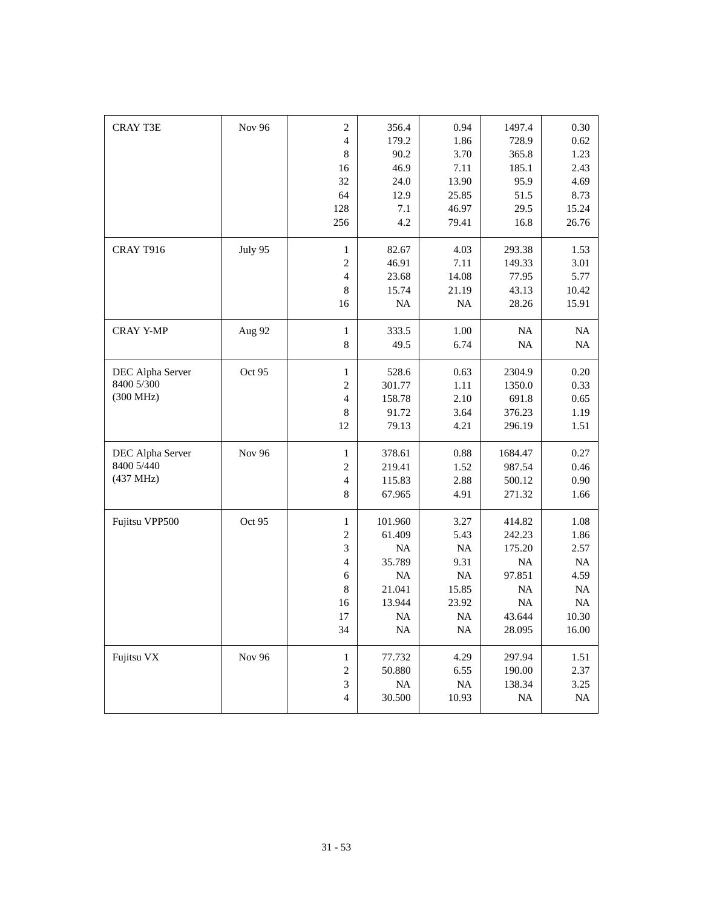| <b>CRAY T3E</b>  | <b>Nov 96</b> | $\overline{c}$           | 356.4     | 0.94      | 1497.4    | 0.30     |
|------------------|---------------|--------------------------|-----------|-----------|-----------|----------|
|                  |               | $\overline{4}$           | 179.2     | 1.86      | 728.9     | 0.62     |
|                  |               | $\boldsymbol{8}$         | 90.2      | 3.70      | 365.8     | 1.23     |
|                  |               | 16                       | 46.9      | 7.11      | 185.1     | 2.43     |
|                  |               | 32                       | 24.0      | 13.90     | 95.9      | 4.69     |
|                  |               | 64                       | 12.9      | 25.85     | 51.5      | 8.73     |
|                  |               | 128                      | 7.1       | 46.97     | 29.5      | 15.24    |
|                  |               | 256                      | 4.2       | 79.41     | 16.8      | 26.76    |
| CRAY T916        | July 95       | $\mathbf{1}$             | 82.67     | 4.03      | 293.38    | 1.53     |
|                  |               | $\overline{c}$           | 46.91     | 7.11      | 149.33    | 3.01     |
|                  |               | $\overline{4}$           | 23.68     | 14.08     | 77.95     | 5.77     |
|                  |               | 8                        | 15.74     | 21.19     | 43.13     | 10.42    |
|                  |               | 16                       | <b>NA</b> | <b>NA</b> | 28.26     | 15.91    |
| <b>CRAY Y-MP</b> | Aug 92        | $\mathbf{1}$             | 333.5     | 1.00      | <b>NA</b> | $\rm NA$ |
|                  |               | 8                        | 49.5      | 6.74      | <b>NA</b> | NA       |
| DEC Alpha Server | Oct 95        | $\mathbf{1}$             | 528.6     | 0.63      | 2304.9    | 0.20     |
| 8400 5/300       |               | $\overline{c}$           | 301.77    | 1.11      | 1350.0    | 0.33     |
| (300 MHz)        |               | $\overline{4}$           | 158.78    | 2.10      | 691.8     | 0.65     |
|                  |               | 8                        | 91.72     | 3.64      | 376.23    | 1.19     |
|                  |               | 12                       | 79.13     | 4.21      | 296.19    | 1.51     |
| DEC Alpha Server | Nov 96        | $\mathbf{1}$             | 378.61    | 0.88      | 1684.47   | 0.27     |
| 8400 5/440       |               | $\overline{c}$           | 219.41    | 1.52      | 987.54    | 0.46     |
| (437 MHz)        |               | $\overline{\mathcal{L}}$ | 115.83    | 2.88      | 500.12    | 0.90     |
|                  |               | 8                        | 67.965    | 4.91      | 271.32    | 1.66     |
| Fujitsu VPP500   | Oct 95        | $\mathbf{1}$             | 101.960   | 3.27      | 414.82    | 1.08     |
|                  |               | $\overline{c}$           | 61.409    | 5.43      | 242.23    | 1.86     |
|                  |               | 3                        | <b>NA</b> | <b>NA</b> | 175.20    | 2.57     |
|                  |               | $\overline{\mathcal{L}}$ | 35.789    | 9.31      | NA        | NA       |
|                  |               | 6                        | NA        | NA        | 97.851    | 4.59     |
|                  |               | 8                        | 21.041    | 15.85     | <b>NA</b> | NA       |
|                  |               | 16                       | 13.944    | 23.92     | NA        | NA       |
|                  |               | 17                       | NA        | NA        | 43.644    | 10.30    |
|                  |               | 34                       | NA        | NA        | 28.095    | 16.00    |
| Fujitsu VX       | Nov 96        | $\mathbf{1}$             | 77.732    | 4.29      | 297.94    | 1.51     |
|                  |               | $\sqrt{2}$               | 50.880    | 6.55      | 190.00    | 2.37     |
|                  |               | $\mathfrak{Z}$           | $\rm NA$  | $\rm NA$  | 138.34    | 3.25     |
|                  |               | $\overline{4}$           | 30.500    | 10.93     | <b>NA</b> | $\rm NA$ |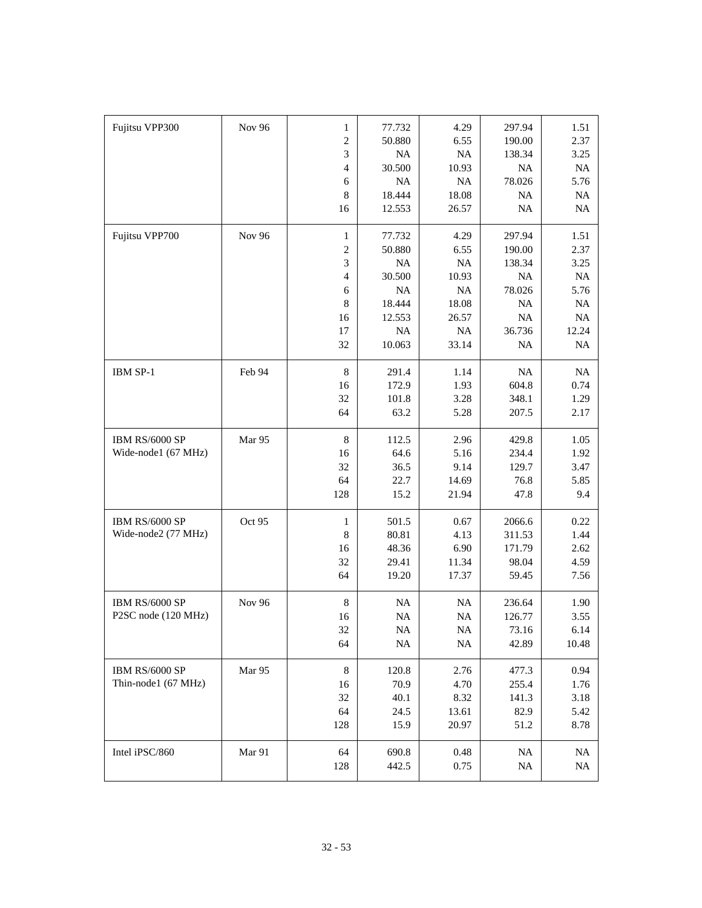| Fujitsu VPP300      | <b>Nov 96</b> | 1                        | 77.732   | 4.29      | 297.94    | 1.51     |
|---------------------|---------------|--------------------------|----------|-----------|-----------|----------|
|                     |               | $\overline{c}$           | 50.880   | 6.55      | 190.00    | 2.37     |
|                     |               | 3                        | $\rm NA$ | $\rm NA$  | 138.34    | 3.25     |
|                     |               | $\overline{\mathcal{L}}$ | 30.500   | 10.93     | <b>NA</b> | $\rm NA$ |
|                     |               | 6                        | NA       | NA        | 78.026    | 5.76     |
|                     |               | 8                        | 18.444   | 18.08     | <b>NA</b> | NA       |
|                     |               | 16                       | 12.553   | 26.57     | $\rm NA$  | $\rm NA$ |
|                     |               |                          |          |           |           |          |
| Fujitsu VPP700      | <b>Nov 96</b> | $\mathbf{1}$             | 77.732   | 4.29      | 297.94    | 1.51     |
|                     |               | $\boldsymbol{2}$         | 50.880   | 6.55      | 190.00    | 2.37     |
|                     |               | 3                        | NA       | NA        | 138.34    | 3.25     |
|                     |               | $\overline{\mathcal{L}}$ | 30.500   | 10.93     | <b>NA</b> | NA       |
|                     |               | 6                        | NA       | NA        | 78.026    | 5.76     |
|                     |               | 8                        | 18.444   | 18.08     | <b>NA</b> | NA       |
|                     |               | 16                       | 12.553   | 26.57     | NA        | NA       |
|                     |               | 17                       | NA       | NA        | 36.736    | 12.24    |
|                     |               | 32                       | 10.063   | 33.14     | <b>NA</b> | $\rm NA$ |
|                     |               |                          |          |           |           |          |
| IBM SP-1            | Feb 94        | 8                        | 291.4    | 1.14      | NA        | NA       |
|                     |               | 16                       | 172.9    | 1.93      | 604.8     | 0.74     |
|                     |               | 32                       | 101.8    | 3.28      | 348.1     | 1.29     |
|                     |               | 64                       | 63.2     | 5.28      | 207.5     | 2.17     |
|                     |               |                          |          |           |           |          |
| IBM RS/6000 SP      | Mar 95        | $\,8\,$                  | 112.5    | 2.96      | 429.8     | 1.05     |
| Wide-node1 (67 MHz) |               | 16                       | 64.6     | 5.16      | 234.4     | 1.92     |
|                     |               | 32                       | 36.5     | 9.14      | 129.7     | 3.47     |
|                     |               | 64                       | 22.7     | 14.69     | 76.8      | 5.85     |
|                     |               | 128                      | 15.2     | 21.94     | 47.8      | 9.4      |
| IBM RS/6000 SP      | Oct 95        | $\mathbf{1}$             | 501.5    | 0.67      | 2066.6    | 0.22     |
| Wide-node2 (77 MHz) |               | $\,8\,$                  | 80.81    | 4.13      | 311.53    | 1.44     |
|                     |               | 16                       | 48.36    | 6.90      | 171.79    | 2.62     |
|                     |               | 32                       | 29.41    | 11.34     | 98.04     | 4.59     |
|                     |               | 64                       | 19.20    | 17.37     | 59.45     | 7.56     |
|                     |               |                          |          |           |           |          |
| IBM RS/6000 SP      | <b>Nov 96</b> | $\,8\,$                  | $\rm NA$ | <b>NA</b> | 236.64    | 1.90     |
| P2SC node (120 MHz) |               | 16                       | $\rm NA$ | $\rm NA$  | 126.77    | 3.55     |
|                     |               | 32                       | $\rm NA$ | $\rm NA$  | 73.16     | 6.14     |
|                     |               | 64                       | $\rm NA$ | <b>NA</b> | 42.89     | 10.48    |
|                     |               |                          |          |           |           |          |
| IBM RS/6000 SP      | Mar 95        | $\,8\,$                  | 120.8    | 2.76      | 477.3     | 0.94     |
| Thin-node1 (67 MHz) |               | 16                       | 70.9     | 4.70      | 255.4     | 1.76     |
|                     |               | 32                       | 40.1     | 8.32      | 141.3     | 3.18     |
|                     |               | 64                       | 24.5     | 13.61     | 82.9      | 5.42     |
|                     |               | 128                      | 15.9     | 20.97     | 51.2      | 8.78     |
|                     |               |                          |          |           |           |          |
| Intel iPSC/860      | Mar 91        | 64                       | 690.8    | $0.48\,$  | <b>NA</b> | NA       |
|                     |               | 128                      | 442.5    | 0.75      | NA        | NA       |
|                     |               |                          |          |           |           |          |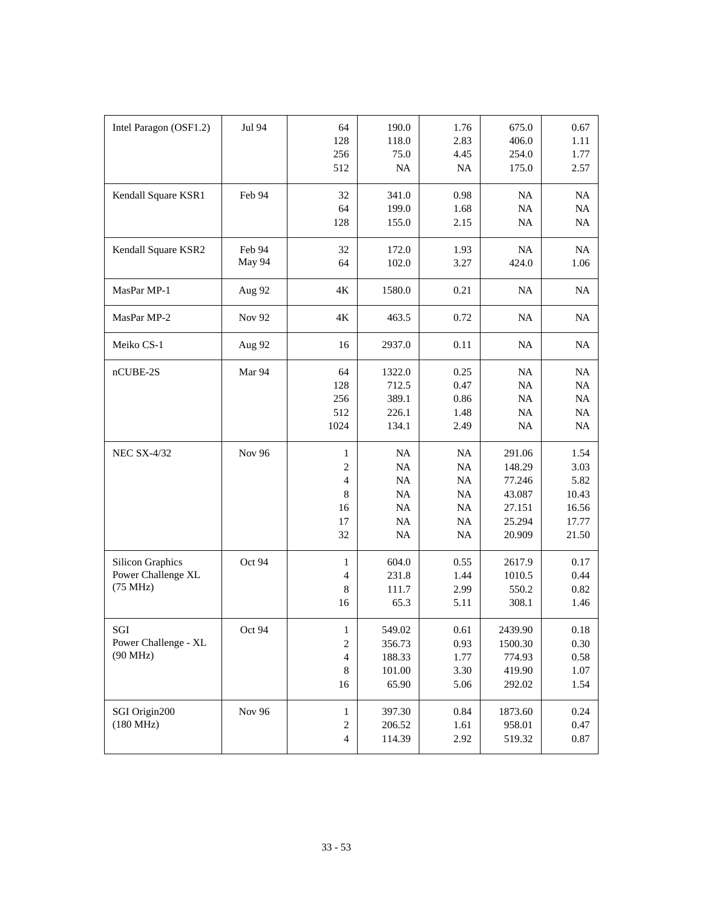| Intel Paragon (OSF1.2)                                    | Jul 94           | 64<br>128<br>256<br>512                                                 | 190.0<br>118.0<br>75.0<br>NA                  | 1.76<br>2.83<br>4.45<br>NA                           | 675.0<br>406.0<br>254.0<br>175.0                                   | 0.67<br>1.11<br>1.77<br>2.57                             |
|-----------------------------------------------------------|------------------|-------------------------------------------------------------------------|-----------------------------------------------|------------------------------------------------------|--------------------------------------------------------------------|----------------------------------------------------------|
| Kendall Square KSR1                                       | Feb 94           | 32<br>64<br>128                                                         | 341.0<br>199.0<br>155.0                       | 0.98<br>1.68<br>2.15                                 | <b>NA</b><br><b>NA</b><br><b>NA</b>                                | NA<br>$\rm NA$<br>$\rm NA$                               |
| Kendall Square KSR2                                       | Feb 94<br>May 94 | 32<br>64                                                                | 172.0<br>102.0                                | 1.93<br>3.27                                         | NA<br>424.0                                                        | NA<br>1.06                                               |
| MasPar MP-1                                               | Aug 92           | $4\mathrm{K}$                                                           | 1580.0                                        | 0.21                                                 | <b>NA</b>                                                          | NA                                                       |
| MasPar MP-2                                               | <b>Nov 92</b>    | $4\mathrm{K}$                                                           | 463.5                                         | 0.72                                                 | <b>NA</b>                                                          | NA                                                       |
| Meiko CS-1                                                | Aug 92           | 16                                                                      | 2937.0                                        | 0.11                                                 | <b>NA</b>                                                          | NA                                                       |
| nCUBE-2S                                                  | Mar 94           | 64<br>128<br>256<br>512<br>1024                                         | 1322.0<br>712.5<br>389.1<br>226.1<br>134.1    | 0.25<br>0.47<br>0.86<br>1.48<br>2.49                 | <b>NA</b><br>NA<br>NA<br>NA<br><b>NA</b>                           | NA<br>NA<br>NA<br>NA<br>$\rm NA$                         |
| <b>NEC SX-4/32</b>                                        | <b>Nov 96</b>    | $\mathbf{1}$<br>$\mathfrak{2}$<br>$\overline{4}$<br>8<br>16<br>17<br>32 | NA<br>NA<br>NA<br>NA<br>NA<br>NA<br>NA        | NA<br>NA<br>NA<br>NA<br><b>NA</b><br><b>NA</b><br>NA | 291.06<br>148.29<br>77.246<br>43.087<br>27.151<br>25.294<br>20.909 | 1.54<br>3.03<br>5.82<br>10.43<br>16.56<br>17.77<br>21.50 |
| <b>Silicon Graphics</b><br>Power Challenge XL<br>(75 MHz) | Oct 94           | 1<br>$\overline{4}$<br>$\,$ 8 $\,$<br>16                                | 604.0<br>231.8<br>111.7<br>65.3               | 0.55<br>1.44<br>2.99<br>5.11                         | 2617.9<br>1010.5<br>550.2<br>308.1                                 | 0.17<br>0.44<br>0.82<br>1.46                             |
| SGI<br>Power Challenge - XL<br>$(90$ MHz)                 | Oct 94           | $\mathbf{I}$<br>$\sqrt{2}$<br>$\overline{4}$<br>$\,8\,$<br>16           | 549.02<br>356.73<br>188.33<br>101.00<br>65.90 | 0.61<br>0.93<br>1.77<br>3.30<br>5.06                 | 2439.90<br>1500.30<br>774.93<br>419.90<br>292.02                   | $0.18\,$<br>0.30<br>0.58<br>1.07<br>1.54                 |
| SGI Origin200<br>$(180 \text{ MHz})$                      | <b>Nov 96</b>    | $\mathbf{1}$<br>$\sqrt{2}$<br>$\overline{4}$                            | 397.30<br>206.52<br>114.39                    | 0.84<br>1.61<br>2.92                                 | 1873.60<br>958.01<br>519.32                                        | 0.24<br>0.47<br>$0.87\,$                                 |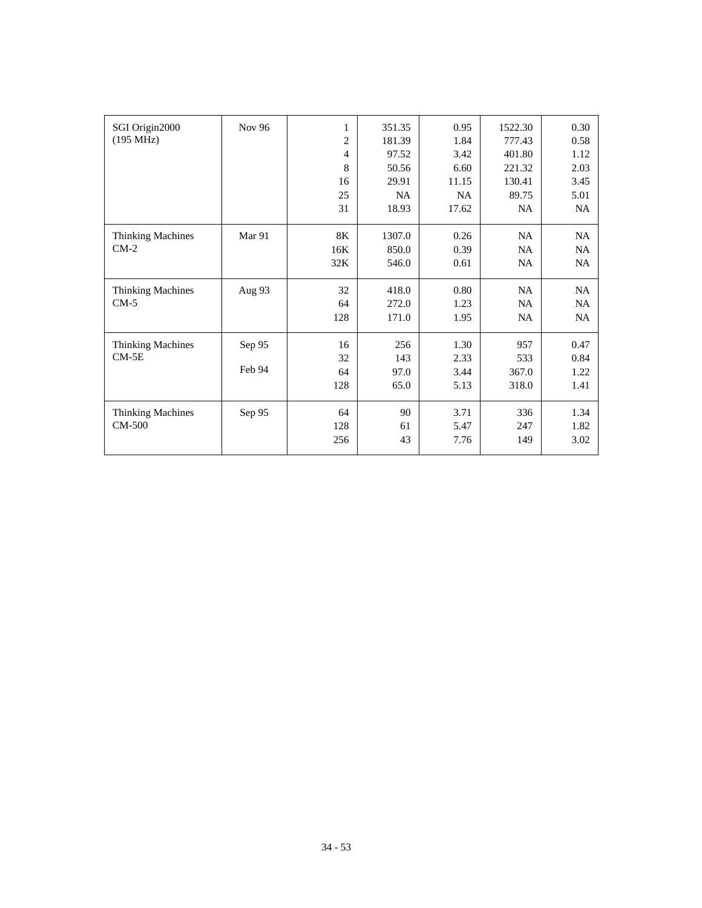| SGI Origin2000           | Nov 96 | 1              | 351.35 | 0.95      | 1522.30   | 0.30      |
|--------------------------|--------|----------------|--------|-----------|-----------|-----------|
| (195 MHz)                |        | $\overline{c}$ | 181.39 | 1.84      | 777.43    | 0.58      |
|                          |        | $\overline{4}$ | 97.52  | 3.42      | 401.80    | 1.12      |
|                          |        | 8              | 50.56  | 6.60      | 221.32    | 2.03      |
|                          |        | 16             | 29.91  | 11.15     | 130.41    | 3.45      |
|                          |        | 25             | NA     | <b>NA</b> | 89.75     | 5.01      |
|                          |        | 31             | 18.93  | 17.62     | <b>NA</b> | NA        |
| <b>Thinking Machines</b> | Mar 91 | 8K             | 1307.0 | 0.26      | NA        | <b>NA</b> |
| $CM-2$                   |        | 16K            | 850.0  | 0.39      | NA        | <b>NA</b> |
|                          |        | 32K            | 546.0  | 0.61      | NA        | NA        |
| <b>Thinking Machines</b> | Aug 93 | 32             | 418.0  | 0.80      | NA        | NA        |
| $CM-5$                   |        | 64             | 272.0  | 1.23      | <b>NA</b> | NA.       |
|                          |        | 128            | 171.0  | 1.95      | NA        | NA        |
| <b>Thinking Machines</b> | Sep 95 | 16             | 256    | 1.30      | 957       | 0.47      |
| $CM-5E$                  |        | 32             | 143    | 2.33      | 533       | 0.84      |
|                          | Feb 94 | 64             | 97.0   | 3.44      | 367.0     | 1.22      |
|                          |        | 128            | 65.0   | 5.13      | 318.0     | 1.41      |
| <b>Thinking Machines</b> | Sep 95 | 64             | 90     | 3.71      | 336       | 1.34      |
| CM-500                   |        | 128            | 61     | 5.47      | 247       | 1.82      |
|                          |        | 256            | 43     | 7.76      | 149       | 3.02      |
|                          |        |                |        |           |           |           |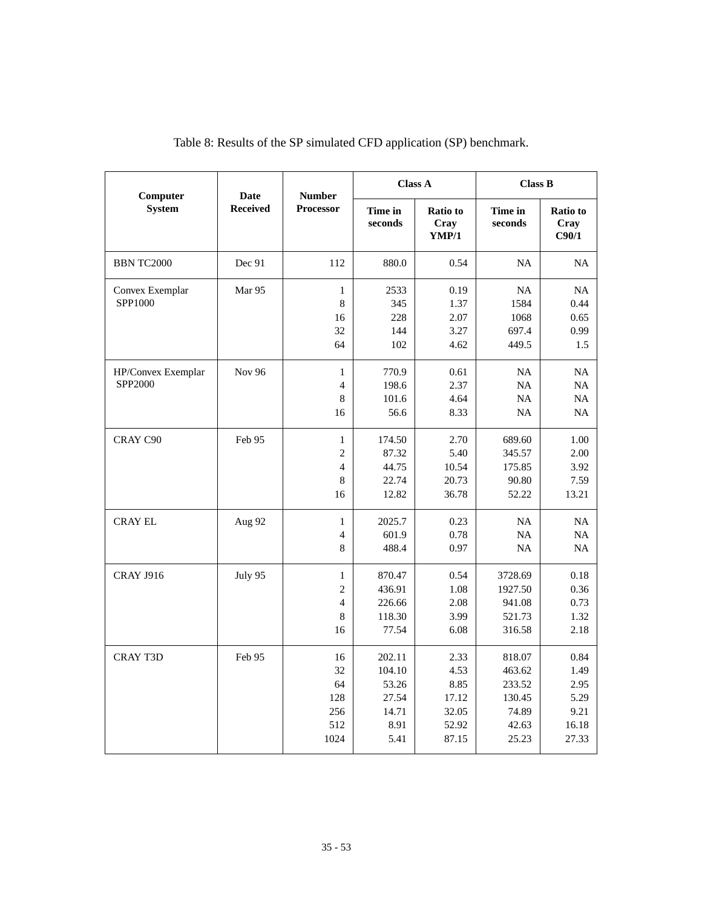| Computer                      | <b>Date</b>     | <b>Number</b><br><b>Processor</b>                           | <b>Class A</b>                                              |                                                          | <b>Class B</b>                                                  |                                                        |
|-------------------------------|-----------------|-------------------------------------------------------------|-------------------------------------------------------------|----------------------------------------------------------|-----------------------------------------------------------------|--------------------------------------------------------|
| <b>System</b>                 | <b>Received</b> |                                                             | Time in<br>seconds                                          | <b>Ratio to</b><br>Cray<br><b>YMP/1</b>                  | Time in<br>seconds                                              | <b>Ratio to</b><br>Cray<br>C90/1                       |
| <b>BBN TC2000</b>             | Dec 91          | 112                                                         | 880.0                                                       | 0.54                                                     | <b>NA</b>                                                       | <b>NA</b>                                              |
| Convex Exemplar<br>SPP1000    | Mar 95          | 1<br>8<br>16<br>32<br>64                                    | 2533<br>345<br>228<br>144<br>102                            | 0.19<br>1.37<br>2.07<br>3.27<br>4.62                     | <b>NA</b><br>1584<br>1068<br>697.4<br>449.5                     | NA<br>0.44<br>0.65<br>0.99<br>1.5                      |
| HP/Convex Exemplar<br>SPP2000 | <b>Nov 96</b>   | $\mathbf{1}$<br>$\overline{4}$<br>8<br>16                   | 770.9<br>198.6<br>101.6<br>56.6                             | 0.61<br>2.37<br>4.64<br>8.33                             | NA<br><b>NA</b><br><b>NA</b><br><b>NA</b>                       | NA<br>NA<br><b>NA</b><br>NA                            |
| CRAY C90                      | Feb 95          | $\mathbf{1}$<br>$\overline{2}$<br>$\overline{4}$<br>8<br>16 | 174.50<br>87.32<br>44.75<br>22.74<br>12.82                  | 2.70<br>5.40<br>10.54<br>20.73<br>36.78                  | 689.60<br>345.57<br>175.85<br>90.80<br>52.22                    | 1.00<br>2.00<br>3.92<br>7.59<br>13.21                  |
| <b>CRAY EL</b>                | Aug 92          | $\mathbf{1}$<br>4<br>8                                      | 2025.7<br>601.9<br>488.4                                    | 0.23<br>0.78<br>0.97                                     | <b>NA</b><br>NA<br><b>NA</b>                                    | <b>NA</b><br>NA<br><b>NA</b>                           |
| <b>CRAY J916</b>              | July 95         | $\mathbf{1}$<br>$\overline{2}$<br>$\overline{4}$<br>8<br>16 | 870.47<br>436.91<br>226.66<br>118.30<br>77.54               | 0.54<br>1.08<br>2.08<br>3.99<br>6.08                     | 3728.69<br>1927.50<br>941.08<br>521.73<br>316.58                | 0.18<br>0.36<br>0.73<br>1.32<br>2.18                   |
| <b>CRAY T3D</b>               | Feb 95          | 16<br>32<br>64<br>128<br>256<br>512<br>1024                 | 202.11<br>104.10<br>53.26<br>27.54<br>14.71<br>8.91<br>5.41 | 2.33<br>4.53<br>8.85<br>17.12<br>32.05<br>52.92<br>87.15 | 818.07<br>463.62<br>233.52<br>130.45<br>74.89<br>42.63<br>25.23 | 0.84<br>1.49<br>2.95<br>5.29<br>9.21<br>16.18<br>27.33 |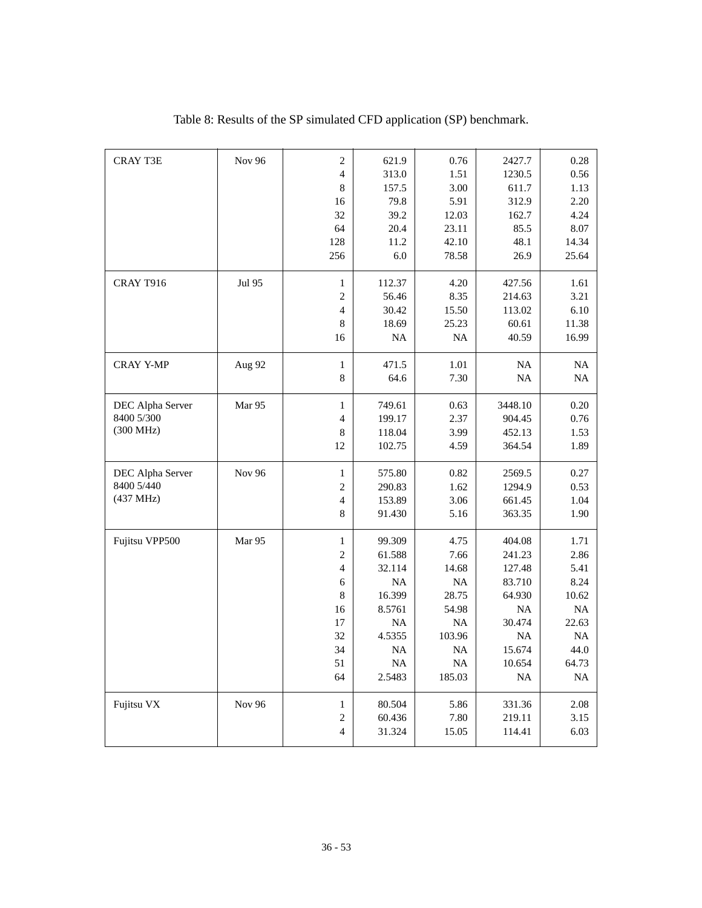| <b>CRAY T3E</b>  | <b>Nov 96</b> | $\overline{c}$           | 621.9     | 0.76      | 2427.7    | 0.28     |
|------------------|---------------|--------------------------|-----------|-----------|-----------|----------|
|                  |               | $\overline{4}$           | 313.0     | 1.51      | 1230.5    | 0.56     |
|                  |               | 8                        | 157.5     | 3.00      | 611.7     | 1.13     |
|                  |               | 16                       | 79.8      | 5.91      | 312.9     | 2.20     |
|                  |               | 32                       | 39.2      | 12.03     | 162.7     | 4.24     |
|                  |               | 64                       | 20.4      | 23.11     | 85.5      | 8.07     |
|                  |               | 128                      | 11.2      | 42.10     | 48.1      | 14.34    |
|                  |               | 256                      | 6.0       | 78.58     | 26.9      | 25.64    |
| CRAY T916        | Jul 95        | $\mathbf{1}$             | 112.37    | 4.20      | 427.56    | 1.61     |
|                  |               | $\mathbf{2}$             | 56.46     | 8.35      | 214.63    | 3.21     |
|                  |               | $\overline{4}$           | 30.42     | 15.50     | 113.02    | 6.10     |
|                  |               | $\,8\,$                  | 18.69     | 25.23     | 60.61     | 11.38    |
|                  |               | 16                       | <b>NA</b> | <b>NA</b> | 40.59     | 16.99    |
| <b>CRAY Y-MP</b> | Aug 92        | $\,1$                    | 471.5     | 1.01      | NA        | NA       |
|                  |               | 8                        | 64.6      | 7.30      | NA        | NA       |
| DEC Alpha Server | Mar 95        | $\mathbf{1}$             | 749.61    | 0.63      | 3448.10   | 0.20     |
| 8400 5/300       |               | $\overline{4}$           | 199.17    | 2.37      | 904.45    | 0.76     |
| (300 MHz)        |               | 8                        | 118.04    | 3.99      | 452.13    | 1.53     |
|                  |               | 12                       | 102.75    | 4.59      | 364.54    | 1.89     |
| DEC Alpha Server | Nov 96        | $\mathbf{1}$             | 575.80    | 0.82      | 2569.5    | 0.27     |
| 8400 5/440       |               | $\overline{2}$           | 290.83    | 1.62      | 1294.9    | 0.53     |
| (437 MHz)        |               | $\overline{4}$           | 153.89    | 3.06      | 661.45    | 1.04     |
|                  |               | 8                        | 91.430    | 5.16      | 363.35    | 1.90     |
| Fujitsu VPP500   | Mar 95        | $\mathbf{1}$             | 99.309    | 4.75      | 404.08    | 1.71     |
|                  |               | $\sqrt{2}$               | 61.588    | 7.66      | 241.23    | 2.86     |
|                  |               | $\overline{\mathcal{L}}$ | 32.114    | 14.68     | 127.48    | 5.41     |
|                  |               | 6                        | NA        | NA        | 83.710    | 8.24     |
|                  |               | 8                        | 16.399    | 28.75     | 64.930    | 10.62    |
|                  |               | 16                       | 8.5761    | 54.98     | <b>NA</b> | NA       |
|                  |               | 17                       | <b>NA</b> | NA        | 30.474    | 22.63    |
|                  |               | 32                       | 4.5355    | 103.96    | <b>NA</b> | NA       |
|                  |               | 34                       | NA        | NA        | 15.674    | 44.0     |
|                  |               | 51                       | NA        | NA        | 10.654    | 64.73    |
|                  |               | 64                       | 2.5483    | 185.03    | <b>NA</b> | $\rm NA$ |
| Fujitsu VX       | Nov 96        | $\mathbf{1}$             | 80.504    | 5.86      | 331.36    | 2.08     |
|                  |               | 2                        | 60.436    | 7.80      | 219.11    | 3.15     |
|                  |               | $\overline{4}$           | 31.324    | 15.05     | 114.41    | 6.03     |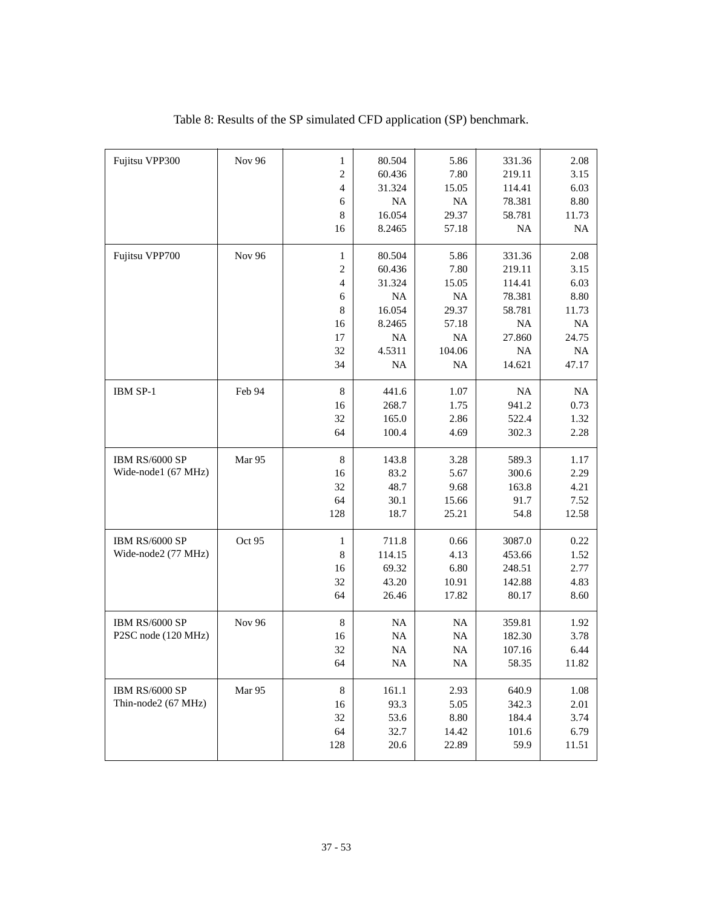| Fujitsu VPP300        | Nov 96        | $\mathbf{1}$   | 80.504    | 5.86      | 331.36    | 2.08     |
|-----------------------|---------------|----------------|-----------|-----------|-----------|----------|
|                       |               | $\overline{c}$ | 60.436    | 7.80      | 219.11    | 3.15     |
|                       |               | $\overline{4}$ | 31.324    | 15.05     | 114.41    | 6.03     |
|                       |               | 6              | NA        | <b>NA</b> | 78.381    | 8.80     |
|                       |               | 8              | 16.054    | 29.37     | 58.781    | 11.73    |
|                       |               | 16             | 8.2465    | 57.18     | <b>NA</b> | $\rm NA$ |
|                       |               |                |           |           |           |          |
| Fujitsu VPP700        | <b>Nov 96</b> | 1              | 80.504    | 5.86      | 331.36    | 2.08     |
|                       |               | $\overline{2}$ | 60.436    | 7.80      | 219.11    | 3.15     |
|                       |               | $\overline{4}$ | 31.324    | 15.05     | 114.41    | 6.03     |
|                       |               | 6              | <b>NA</b> | $\rm NA$  | 78.381    | 8.80     |
|                       |               | 8              | 16.054    | 29.37     | 58.781    | 11.73    |
|                       |               | 16             | 8.2465    | 57.18     | <b>NA</b> | NA       |
|                       |               | 17             | NA        | <b>NA</b> | 27.860    | 24.75    |
|                       |               | 32             | 4.5311    | 104.06    | <b>NA</b> | NA       |
|                       |               | 34             | NA        | <b>NA</b> | 14.621    | 47.17    |
| IBM SP-1              | Feb 94        | 8              | 441.6     | 1.07      | <b>NA</b> | NA       |
|                       |               | 16             | 268.7     | 1.75      | 941.2     | 0.73     |
|                       |               | 32             | 165.0     | 2.86      | 522.4     | 1.32     |
|                       |               | 64             | 100.4     | 4.69      | 302.3     | 2.28     |
|                       |               |                |           |           |           |          |
| IBM RS/6000 SP        | Mar 95        | $\,8\,$        | 143.8     | 3.28      | 589.3     | 1.17     |
| Wide-node1 (67 MHz)   |               | 16             | 83.2      | 5.67      | 300.6     | 2.29     |
|                       |               | 32             | 48.7      | 9.68      | 163.8     | 4.21     |
|                       |               | 64             | 30.1      | 15.66     | 91.7      | 7.52     |
|                       |               | 128            | 18.7      | 25.21     | 54.8      | 12.58    |
| IBM RS/6000 SP        | Oct 95        | 1              | 711.8     | 0.66      | 3087.0    | 0.22     |
| Wide-node2 (77 MHz)   |               | $\,8\,$        | 114.15    | 4.13      | 453.66    | 1.52     |
|                       |               | 16             | 69.32     | 6.80      | 248.51    | 2.77     |
|                       |               | 32             | 43.20     | 10.91     | 142.88    | 4.83     |
|                       |               | 64             | 26.46     | 17.82     | 80.17     | 8.60     |
|                       |               |                |           |           |           |          |
| IBM RS/6000 SP        | Nov 96        | $\,8\,$        | $\rm NA$  | $\rm NA$  | 359.81    | 1.92     |
| P2SC node (120 MHz)   |               | 16             | $\rm NA$  | $\rm NA$  | 182.30    | 3.78     |
|                       |               | 32             | $\rm NA$  | $\rm NA$  | 107.16    | 6.44     |
|                       |               | 64             | NA        | $\rm NA$  | 58.35     | 11.82    |
| <b>IBM RS/6000 SP</b> | Mar 95        | $8\,$          | 161.1     | 2.93      | 640.9     | 1.08     |
| Thin-node2 (67 MHz)   |               | 16             | 93.3      | 5.05      | 342.3     | 2.01     |
|                       |               | 32             | 53.6      | 8.80      | 184.4     | 3.74     |
|                       |               | 64             | 32.7      | 14.42     | 101.6     | 6.79     |
|                       |               | 128            | 20.6      | 22.89     | 59.9      | 11.51    |
|                       |               |                |           |           |           |          |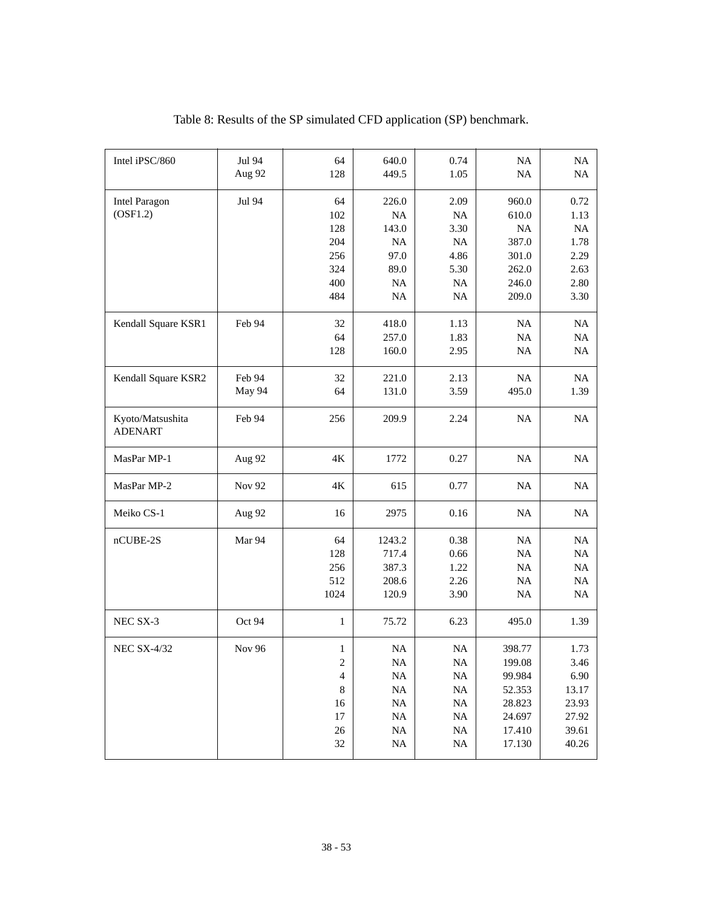| Intel iPSC/860                     | Jul 94<br>Aug 92 | 64<br>128                                                                                             | 640.0<br>449.5                                                                               | 0.74<br>1.05                                                                            | NA<br>$\rm NA$                                                               | NA<br>NA                                                          |
|------------------------------------|------------------|-------------------------------------------------------------------------------------------------------|----------------------------------------------------------------------------------------------|-----------------------------------------------------------------------------------------|------------------------------------------------------------------------------|-------------------------------------------------------------------|
| <b>Intel Paragon</b><br>(OSF1.2)   | Jul 94           | 64<br>102<br>128<br>204<br>256<br>324<br>400<br>484                                                   | 226.0<br><b>NA</b><br>143.0<br>NA<br>97.0<br>89.0<br>NA<br>$\rm NA$                          | 2.09<br>NA<br>3.30<br>NA<br>4.86<br>5.30<br>$\rm NA$<br>$\rm NA$                        | 960.0<br>610.0<br><b>NA</b><br>387.0<br>301.0<br>262.0<br>246.0<br>209.0     | 0.72<br>1.13<br>NA<br>1.78<br>2.29<br>2.63<br>2.80<br>3.30        |
| Kendall Square KSR1                | Feb 94           | 32<br>64<br>128                                                                                       | 418.0<br>257.0<br>160.0                                                                      | 1.13<br>1.83<br>2.95                                                                    | <b>NA</b><br>NA<br>NA                                                        | NA<br>NA<br>NA                                                    |
| Kendall Square KSR2                | Feb 94<br>May 94 | 32<br>64                                                                                              | 221.0<br>131.0                                                                               | 2.13<br>3.59                                                                            | NA<br>495.0                                                                  | NA<br>1.39                                                        |
| Kyoto/Matsushita<br><b>ADENART</b> | Feb 94           | 256                                                                                                   | 209.9                                                                                        | 2.24                                                                                    | NA                                                                           | NA                                                                |
| MasPar MP-1                        | Aug 92           | 4K                                                                                                    | 1772                                                                                         | 0.27                                                                                    | NA                                                                           | NA                                                                |
| MasPar MP-2                        | Nov 92           | $4\mathrm{K}$                                                                                         | 615                                                                                          | 0.77                                                                                    | $\rm NA$                                                                     | NA                                                                |
| Meiko CS-1                         | Aug 92           | 16                                                                                                    | 2975                                                                                         | 0.16                                                                                    | NA                                                                           | NA                                                                |
| $nCUBE-2S$                         | Mar 94           | 64<br>128<br>256<br>512<br>1024                                                                       | 1243.2<br>717.4<br>387.3<br>208.6<br>120.9                                                   | 0.38<br>0.66<br>1.22<br>2.26<br>3.90                                                    | NA<br>NA<br>NA<br>NA<br>$\rm NA$                                             | NA<br>$\rm NA$<br>$\rm NA$<br>NA<br>$\rm NA$                      |
| NEC SX-3                           | Oct 94           | $\mathbf{1}$                                                                                          | 75.72                                                                                        | 6.23                                                                                    | 495.0                                                                        | 1.39                                                              |
| <b>NEC SX-4/32</b>                 | Nov 96           | $\mathbf{1}$<br>$\overline{c}$<br>$\overline{\mathcal{A}}$<br>$\,$ 8 $\,$<br>16<br>17<br>$26\,$<br>32 | $\rm NA$<br>$\rm NA$<br>$\rm NA$<br>$\rm NA$<br>$\rm NA$<br>$\rm NA$<br>$\rm NA$<br>$\rm NA$ | $\rm NA$<br>NA<br><b>NA</b><br>$\rm NA$<br>$\rm NA$<br>$\rm NA$<br>$\rm NA$<br>$\rm NA$ | 398.77<br>199.08<br>99.984<br>52.353<br>28.823<br>24.697<br>17.410<br>17.130 | 1.73<br>3.46<br>6.90<br>13.17<br>23.93<br>27.92<br>39.61<br>40.26 |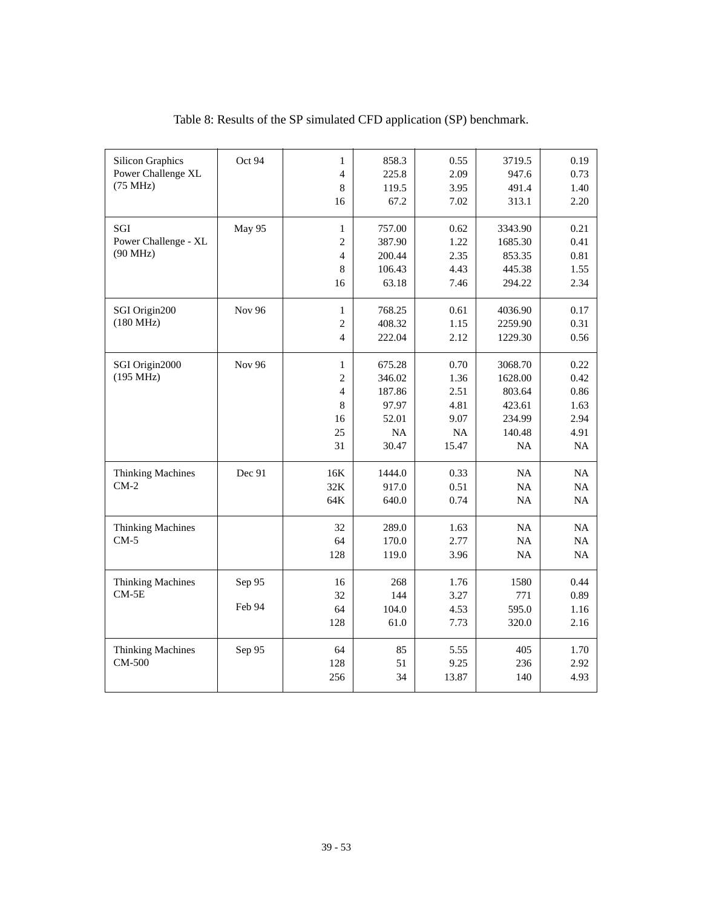| Power Challenge XL<br>$\overline{4}$<br>225.8<br>2.09<br>947.6<br>(75 MHz)<br>$\,8\,$<br>119.5<br>3.95<br>491.4<br>1.40<br>67.2<br>7.02<br>313.1<br>2.20<br>16<br>SGI<br>May 95<br>$\mathbf{1}$<br>757.00<br>0.62<br>3343.90<br>Power Challenge - XL<br>$\overline{c}$<br>1685.30<br>387.90<br>1.22<br>(90 MHz)<br>$\overline{4}$<br>200.44<br>2.35<br>853.35 |  |         |        |      |        | 0.73 |
|---------------------------------------------------------------------------------------------------------------------------------------------------------------------------------------------------------------------------------------------------------------------------------------------------------------------------------------------------------------|--|---------|--------|------|--------|------|
|                                                                                                                                                                                                                                                                                                                                                               |  |         |        |      |        |      |
|                                                                                                                                                                                                                                                                                                                                                               |  |         |        |      |        |      |
|                                                                                                                                                                                                                                                                                                                                                               |  |         |        |      |        |      |
|                                                                                                                                                                                                                                                                                                                                                               |  |         |        |      |        | 0.21 |
|                                                                                                                                                                                                                                                                                                                                                               |  |         |        |      |        | 0.41 |
|                                                                                                                                                                                                                                                                                                                                                               |  |         |        |      |        | 0.81 |
|                                                                                                                                                                                                                                                                                                                                                               |  | $\,8\,$ | 106.43 | 4.43 | 445.38 | 1.55 |
| 63.18<br>294.22<br>16<br>7.46                                                                                                                                                                                                                                                                                                                                 |  |         |        |      |        | 2.34 |
| <b>Nov 96</b><br>SGI Origin200<br>768.25<br>0.61<br>4036.90<br>$\mathbf{1}$                                                                                                                                                                                                                                                                                   |  |         |        |      |        | 0.17 |
| (180 MHz)<br>$\overline{c}$<br>408.32<br>2259.90<br>1.15                                                                                                                                                                                                                                                                                                      |  |         |        |      |        | 0.31 |
| $\overline{4}$<br>222.04<br>2.12<br>1229.30                                                                                                                                                                                                                                                                                                                   |  |         |        |      |        | 0.56 |
| <b>Nov 96</b><br>0.70<br>3068.70<br>SGI Origin2000<br>$\mathbf{1}$<br>675.28                                                                                                                                                                                                                                                                                  |  |         |        |      |        | 0.22 |
| (195 MHz)<br>$\overline{c}$<br>346.02<br>1.36<br>1628.00                                                                                                                                                                                                                                                                                                      |  |         |        |      |        | 0.42 |
| $\overline{4}$<br>187.86<br>2.51<br>803.64                                                                                                                                                                                                                                                                                                                    |  |         |        |      |        | 0.86 |
| 97.97<br>423.61<br>8<br>4.81                                                                                                                                                                                                                                                                                                                                  |  |         |        |      |        | 1.63 |
| 234.99<br>16<br>52.01<br>9.07                                                                                                                                                                                                                                                                                                                                 |  |         |        |      |        | 2.94 |
| NA<br>25<br>$\rm NA$<br>140.48                                                                                                                                                                                                                                                                                                                                |  |         |        |      |        | 4.91 |
| 31<br>30.47<br>15.47<br>NA                                                                                                                                                                                                                                                                                                                                    |  |         |        |      |        | NA   |
| Dec 91<br>16K<br>1444.0<br>0.33<br><b>Thinking Machines</b><br>NA                                                                                                                                                                                                                                                                                             |  |         |        |      |        | NA   |
| $CM-2$<br>32K<br>917.0<br>0.51<br>NA                                                                                                                                                                                                                                                                                                                          |  |         |        |      |        | NA   |
| 64K<br>640.0<br>0.74<br>NA                                                                                                                                                                                                                                                                                                                                    |  |         |        |      |        | NA   |
| 32<br>289.0<br>NA<br><b>Thinking Machines</b><br>1.63                                                                                                                                                                                                                                                                                                         |  |         |        |      |        | NA   |
| $CM-5$<br>64<br>170.0<br>2.77<br>NA                                                                                                                                                                                                                                                                                                                           |  |         |        |      |        | NA   |
| 128<br>3.96<br>NA<br>119.0                                                                                                                                                                                                                                                                                                                                    |  |         |        |      |        | NA   |
|                                                                                                                                                                                                                                                                                                                                                               |  |         |        |      |        |      |
| Sep 95<br>1.76<br>1580<br><b>Thinking Machines</b><br>16<br>268                                                                                                                                                                                                                                                                                               |  |         |        |      |        | 0.44 |
| $CM-5E$<br>32<br>144<br>3.27<br>771                                                                                                                                                                                                                                                                                                                           |  |         |        |      |        | 0.89 |
| Feb 94<br>64<br>104.0<br>4.53<br>595.0                                                                                                                                                                                                                                                                                                                        |  |         |        |      |        | 1.16 |
| 128<br>61.0<br>320.0<br>7.73                                                                                                                                                                                                                                                                                                                                  |  |         |        |      |        | 2.16 |
| <b>Thinking Machines</b><br>85<br>405<br>Sep 95<br>64<br>5.55                                                                                                                                                                                                                                                                                                 |  |         |        |      |        | 1.70 |
| CM-500<br>128<br>9.25<br>236<br>51                                                                                                                                                                                                                                                                                                                            |  |         |        |      |        | 2.92 |
| 256<br>34<br>13.87<br>140                                                                                                                                                                                                                                                                                                                                     |  |         |        |      |        | 4.93 |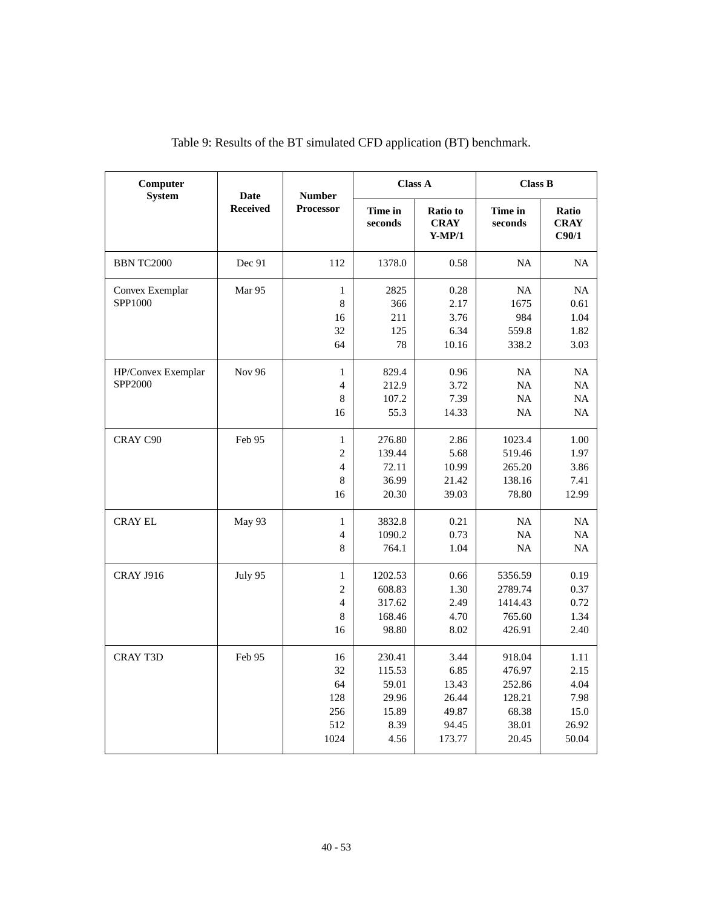| Computer<br><b>System</b>     | Date            | <b>Number</b>                                               |                                                             | <b>Class A</b>                                             | <b>Class B</b>                                                  |                                                        |
|-------------------------------|-----------------|-------------------------------------------------------------|-------------------------------------------------------------|------------------------------------------------------------|-----------------------------------------------------------------|--------------------------------------------------------|
|                               | <b>Received</b> | Processor                                                   | Time in<br>seconds                                          | <b>Ratio</b> to<br><b>CRAY</b><br>$Y-MP/1$                 | Time in<br>seconds                                              | <b>Ratio</b><br><b>CRAY</b><br>C90/1                   |
| <b>BBN TC2000</b>             | Dec 91          | 112                                                         | 1378.0                                                      | 0.58                                                       | <b>NA</b>                                                       | <b>NA</b>                                              |
| Convex Exemplar<br>SPP1000    | Mar 95          | $\mathbf{1}$<br>8<br>16<br>32<br>64                         | 2825<br>366<br>211<br>125<br>78                             | 0.28<br>2.17<br>3.76<br>6.34<br>10.16                      | NA<br>1675<br>984<br>559.8<br>338.2                             | NA<br>0.61<br>1.04<br>1.82<br>3.03                     |
| HP/Convex Exemplar<br>SPP2000 | <b>Nov 96</b>   | $\mathbf{1}$<br>$\overline{4}$<br>$\,$ 8 $\,$<br>16         | 829.4<br>212.9<br>107.2<br>55.3                             | 0.96<br>3.72<br>7.39<br>14.33                              | <b>NA</b><br><b>NA</b><br>NA<br><b>NA</b>                       | NA<br>NA<br>NA<br>NA                                   |
| CRAY C90                      | Feb 95          | $\mathbf{1}$<br>$\mathfrak{2}$<br>$\overline{4}$<br>8<br>16 | 276.80<br>139.44<br>72.11<br>36.99<br>20.30                 | 2.86<br>5.68<br>10.99<br>21.42<br>39.03                    | 1023.4<br>519.46<br>265.20<br>138.16<br>78.80                   | 1.00<br>1.97<br>3.86<br>7.41<br>12.99                  |
| <b>CRAY EL</b>                | May 93          | $\mathbf{1}$<br>4<br>8                                      | 3832.8<br>1090.2<br>764.1                                   | 0.21<br>0.73<br>1.04                                       | <b>NA</b><br><b>NA</b><br>NA                                    | <b>NA</b><br>NA<br>NA                                  |
| <b>CRAY J916</b>              | July 95         | $\mathbf{1}$<br>2<br>$\overline{4}$<br>8<br>16              | 1202.53<br>608.83<br>317.62<br>168.46<br>98.80              | 0.66<br>1.30<br>2.49<br>4.70<br>8.02                       | 5356.59<br>2789.74<br>1414.43<br>765.60<br>426.91               | 0.19<br>0.37<br>0.72<br>1.34<br>2.40                   |
| <b>CRAY T3D</b>               | Feb 95          | 16<br>32<br>64<br>128<br>256<br>512<br>1024                 | 230.41<br>115.53<br>59.01<br>29.96<br>15.89<br>8.39<br>4.56 | 3.44<br>6.85<br>13.43<br>26.44<br>49.87<br>94.45<br>173.77 | 918.04<br>476.97<br>252.86<br>128.21<br>68.38<br>38.01<br>20.45 | 1.11<br>2.15<br>4.04<br>7.98<br>15.0<br>26.92<br>50.04 |

| Table 9: Results of the BT simulated CFD application (BT) benchmark. |  |  |
|----------------------------------------------------------------------|--|--|
|----------------------------------------------------------------------|--|--|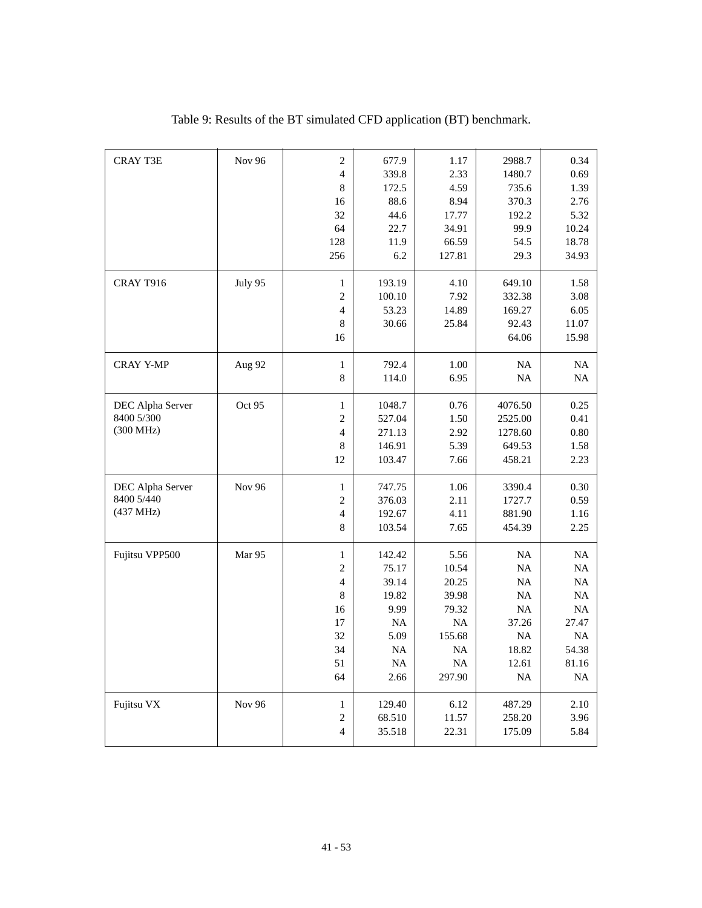| <b>CRAY T3E</b>  | <b>Nov 96</b> | $\overline{2}$ | 677.9     | 1.17      | 2988.7    | 0.34      |
|------------------|---------------|----------------|-----------|-----------|-----------|-----------|
|                  |               | $\overline{4}$ | 339.8     | 2.33      | 1480.7    | 0.69      |
|                  |               | 8              | 172.5     | 4.59      | 735.6     | 1.39      |
|                  |               | 16             | 88.6      | 8.94      | 370.3     | 2.76      |
|                  |               | 32             | 44.6      | 17.77     | 192.2     | 5.32      |
|                  |               | 64             | 22.7      | 34.91     | 99.9      | 10.24     |
|                  |               | 128            | 11.9      | 66.59     | 54.5      | 18.78     |
|                  |               | 256            | 6.2       | 127.81    | 29.3      | 34.93     |
| CRAY T916        | July 95       | $\mathbf{1}$   | 193.19    | 4.10      | 649.10    | 1.58      |
|                  |               | $\mathfrak{2}$ | 100.10    | 7.92      | 332.38    | 3.08      |
|                  |               | $\overline{4}$ | 53.23     | 14.89     | 169.27    | 6.05      |
|                  |               | $\,8\,$        | 30.66     | 25.84     | 92.43     | 11.07     |
|                  |               | 16             |           |           | 64.06     | 15.98     |
| <b>CRAY Y-MP</b> | Aug 92        | $\mathbf{1}$   | 792.4     | 1.00      | NA        | NA        |
|                  |               | 8              | 114.0     | 6.95      | NA        | NA        |
| DEC Alpha Server | Oct 95        | $\mathbf{1}$   | 1048.7    | 0.76      | 4076.50   | 0.25      |
| 8400 5/300       |               | $\mathfrak{2}$ | 527.04    | 1.50      | 2525.00   | 0.41      |
| (300 MHz)        |               | $\overline{4}$ | 271.13    | 2.92      | 1278.60   | 0.80      |
|                  |               | 8              | 146.91    | 5.39      | 649.53    | 1.58      |
|                  |               | 12             | 103.47    | 7.66      | 458.21    | 2.23      |
| DEC Alpha Server | Nov 96        | $\mathbf{1}$   | 747.75    | 1.06      | 3390.4    | 0.30      |
| 8400 5/440       |               | $\overline{c}$ | 376.03    | 2.11      | 1727.7    | 0.59      |
| (437 MHz)        |               | $\overline{4}$ | 192.67    | 4.11      | 881.90    | 1.16      |
|                  |               | 8              | 103.54    | 7.65      | 454.39    | 2.25      |
| Fujitsu VPP500   | Mar 95        | $\mathbf{1}$   | 142.42    | 5.56      | NA        | NA        |
|                  |               | $\overline{2}$ | 75.17     | 10.54     | NA        | <b>NA</b> |
|                  |               | $\overline{4}$ | 39.14     | 20.25     | NA        | NA        |
|                  |               | 8              | 19.82     | 39.98     | <b>NA</b> | NA        |
|                  |               | 16             | 9.99      | 79.32     | NA        | NA        |
|                  |               | 17             | <b>NA</b> | NA        | 37.26     | 27.47     |
|                  |               | 32             | 5.09      | 155.68    | $\rm NA$  | $\rm NA$  |
|                  |               | 34             | <b>NA</b> | <b>NA</b> | 18.82     | 54.38     |
|                  |               | 51             | NA        | $\rm NA$  | 12.61     | 81.16     |
|                  |               | 64             | 2.66      | 297.90    | NA        | NA        |
| Fujitsu VX       | Nov 96        | $\mathbf{1}$   | 129.40    | 6.12      | 487.29    | 2.10      |
|                  |               | $\mathfrak{2}$ | 68.510    | 11.57     | 258.20    | 3.96      |
|                  |               | $\overline{4}$ | 35.518    | 22.31     | 175.09    | 5.84      |

Table 9: Results of the BT simulated CFD application (BT) benchmark.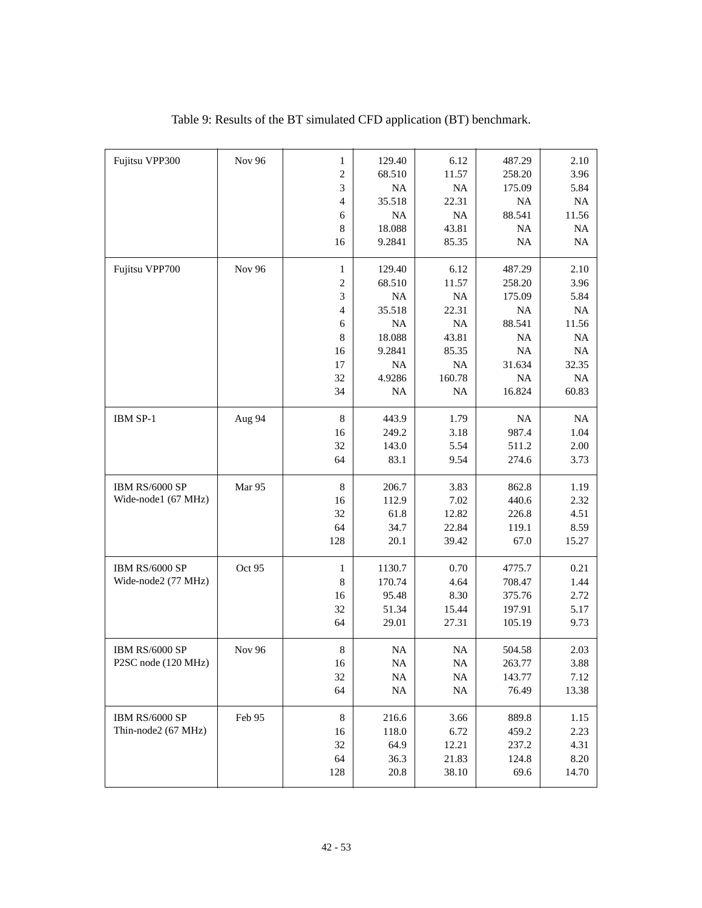| Fujitsu VPP300      | Nov 96        | $\mathbf{1}$   | 129.40    | 6.12      | 487.29    | 2.10     |
|---------------------|---------------|----------------|-----------|-----------|-----------|----------|
|                     |               | $\mathfrak{2}$ | 68.510    | 11.57     | 258.20    | 3.96     |
|                     |               | 3              | NA        | $\rm NA$  | 175.09    | 5.84     |
|                     |               | $\overline{4}$ | 35.518    | 22.31     | <b>NA</b> | $\rm NA$ |
|                     |               | 6              | NA        | $\rm NA$  | 88.541    | 11.56    |
|                     |               | $\,8\,$        | 18.088    | 43.81     | $\rm NA$  | $\rm NA$ |
|                     |               | 16             | 9.2841    | 85.35     | NA        | $\rm NA$ |
|                     |               |                |           |           |           |          |
| Fujitsu VPP700      | <b>Nov 96</b> | $\mathbf{1}$   | 129.40    | 6.12      | 487.29    | 2.10     |
|                     |               | $\overline{c}$ | 68.510    | 11.57     | 258.20    | 3.96     |
|                     |               | 3              | <b>NA</b> | $\rm NA$  | 175.09    | 5.84     |
|                     |               | $\overline{4}$ | 35.518    | 22.31     | <b>NA</b> | $\rm NA$ |
|                     |               | 6              | <b>NA</b> | NA        | 88.541    | 11.56    |
|                     |               | 8              | 18.088    | 43.81     | <b>NA</b> | NA       |
|                     |               | 16             | 9.2841    | 85.35     | NA        | $\rm NA$ |
|                     |               | 17             | NA        | $\rm NA$  | 31.634    | 32.35    |
|                     |               | 32             | 4.9286    | 160.78    | NA        | $\rm NA$ |
|                     |               | 34             | <b>NA</b> | <b>NA</b> | 16.824    | 60.83    |
|                     |               |                |           |           |           |          |
| IBM SP-1            | Aug 94        | 8              | 443.9     | 1.79      | <b>NA</b> | NA       |
|                     |               | 16             | 249.2     | 3.18      | 987.4     | 1.04     |
|                     |               | 32             | 143.0     | 5.54      | 511.2     | 2.00     |
|                     |               | 64             | 83.1      | 9.54      | 274.6     | 3.73     |
|                     |               |                |           |           |           |          |
| IBM RS/6000 SP      | Mar 95        | 8              | 206.7     | 3.83      | 862.8     | 1.19     |
| Wide-node1 (67 MHz) |               | 16             | 112.9     | 7.02      | 440.6     | 2.32     |
|                     |               | 32             | 61.8      | 12.82     | 226.8     | 4.51     |
|                     |               | 64             | 34.7      | 22.84     | 119.1     | 8.59     |
|                     |               | 128            | 20.1      | 39.42     | 67.0      | 15.27    |
| IBM RS/6000 SP      | Oct 95        | $\mathbf{1}$   | 1130.7    | 0.70      | 4775.7    | 0.21     |
| Wide-node2 (77 MHz) |               | 8              | 170.74    | 4.64      | 708.47    | 1.44     |
|                     |               | 16             | 95.48     | 8.30      | 375.76    | 2.72     |
|                     |               | 32             | 51.34     | 15.44     | 197.91    | 5.17     |
|                     |               | 64             | 29.01     | 27.31     | 105.19    | 9.73     |
|                     |               |                |           |           |           |          |
| IBM RS/6000 SP      | <b>Nov 96</b> | $\,$ 8 $\,$    | <b>NA</b> | $\rm NA$  | 504.58    | 2.03     |
| P2SC node (120 MHz) |               | 16             | $\rm NA$  | $\rm NA$  | 263.77    | 3.88     |
|                     |               | 32             | $\rm NA$  | <b>NA</b> | 143.77    | 7.12     |
|                     |               | 64             | $\rm NA$  | $\rm NA$  | 76.49     | 13.38    |
|                     |               |                |           |           |           |          |
| IBM RS/6000 SP      | Feb 95        | $\,8\,$        | 216.6     | 3.66      | 889.8     | 1.15     |
| Thin-node2 (67 MHz) |               | 16             | 118.0     | 6.72      | 459.2     | 2.23     |
|                     |               | 32             | 64.9      | 12.21     | 237.2     | 4.31     |
|                     |               | 64             | 36.3      | 21.83     | 124.8     | 8.20     |
|                     |               | 128            | $20.8\,$  | 38.10     | 69.6      | 14.70    |
|                     |               |                |           |           |           |          |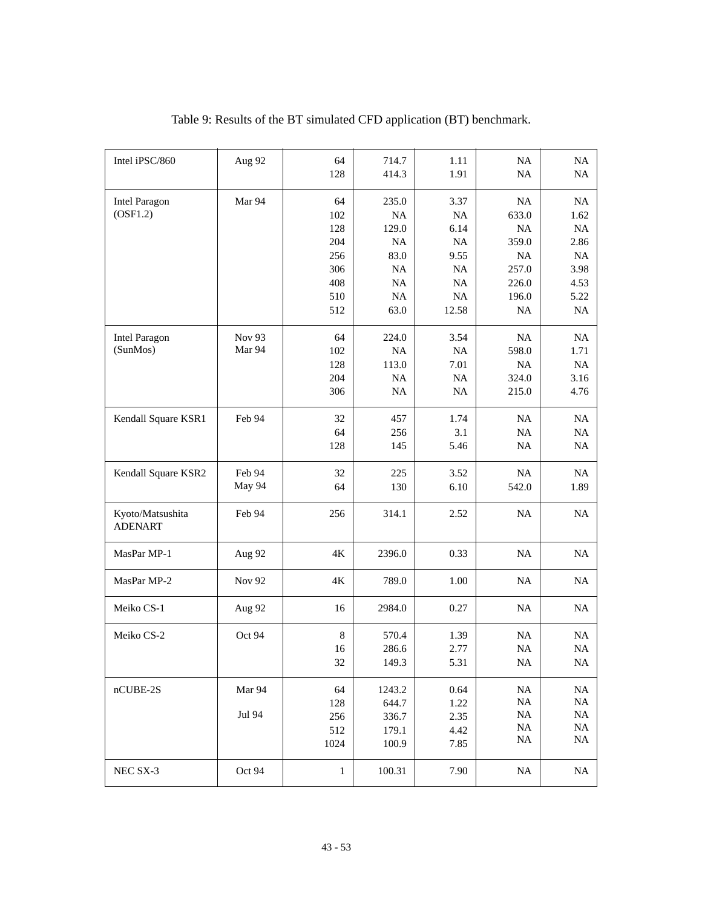| Intel iPSC/860                     | Aug 92 | 64<br>128        | 714.7<br>414.3              | 1.11<br>1.91       | NA<br>NA               | NA<br>NA                |
|------------------------------------|--------|------------------|-----------------------------|--------------------|------------------------|-------------------------|
| <b>Intel Paragon</b><br>(OSF1.2)   | Mar 94 | 64<br>102<br>128 | 235.0<br><b>NA</b><br>129.0 | 3.37<br>NA<br>6.14 | NA<br>633.0<br>NA      | <b>NA</b><br>1.62<br>NA |
|                                    |        | 204              | <b>NA</b>                   | NA                 | 359.0                  | 2.86                    |
|                                    |        | 256              | 83.0                        | 9.55               | <b>NA</b>              | NA                      |
|                                    |        | 306<br>408       | NA<br>NA                    | NA<br>NA           | 257.0<br>226.0         | 3.98<br>4.53            |
|                                    |        | 510              | NA                          | NA                 | 196.0                  | 5.22                    |
|                                    |        | 512              | 63.0                        | 12.58              | <b>NA</b>              | $\rm NA$                |
| Intel Paragon                      | Nov 93 | 64               | 224.0                       | 3.54               | <b>NA</b>              | NA                      |
| (SunMos)                           | Mar 94 | 102              | NA                          | NA                 | 598.0                  | 1.71                    |
|                                    |        | 128<br>204       | 113.0<br>NA                 | 7.01<br>NA         | NA<br>324.0            | NA<br>3.16              |
|                                    |        | 306              | NA                          | NA                 | 215.0                  | 4.76                    |
| Kendall Square KSR1                | Feb 94 | 32               | 457                         | 1.74               | <b>NA</b>              | <b>NA</b>               |
|                                    |        | 64               | 256                         | 3.1                | NA                     | NA                      |
|                                    |        | 128              | 145                         | 5.46               | <b>NA</b>              | NA                      |
| Kendall Square KSR2                | Feb 94 | 32               | 225                         | 3.52               | <b>NA</b>              | NA                      |
|                                    | May 94 | 64               | 130                         | 6.10               | 542.0                  | 1.89                    |
| Kyoto/Matsushita<br><b>ADENART</b> | Feb 94 | 256              | 314.1                       | 2.52               | <b>NA</b>              | NA                      |
| MasPar MP-1                        | Aug 92 | 4K               | 2396.0                      | 0.33               | NA                     | NA                      |
| MasPar MP-2                        | Nov 92 | 4K               | 789.0                       | 1.00               | NA                     | NA                      |
| Meiko CS-1                         | Aug 92 | 16               | 2984.0                      | 0.27               | NA                     | NA                      |
| Meiko CS-2                         | Oct 94 | $\,8\,$          | 570.4                       | 1.39               | $\rm NA$               | NA                      |
|                                    |        | 16               | 286.6                       | 2.77               | NA                     | $\rm NA$                |
|                                    |        | 32               | 149.3                       | 5.31               | NA                     | $\rm NA$                |
| nCUBE-2S                           | Mar 94 | 64               | 1243.2                      | 0.64               | $\rm NA$               | <b>NA</b>               |
|                                    |        | 128              | 644.7                       | 1.22               | <b>NA</b>              | $\rm NA$                |
|                                    | Jul 94 | 256              | 336.7                       | 2.35               | <b>NA</b>              | NA                      |
|                                    |        | 512              | 179.1                       | 4.42               | <b>NA</b><br><b>NA</b> | $\rm NA$<br>$\rm NA$    |
|                                    |        | 1024             | 100.9                       | 7.85               |                        |                         |
| NEC SX-3                           | Oct 94 | $\mathbf{1}$     | 100.31                      | 7.90               | $\rm NA$               | $\rm NA$                |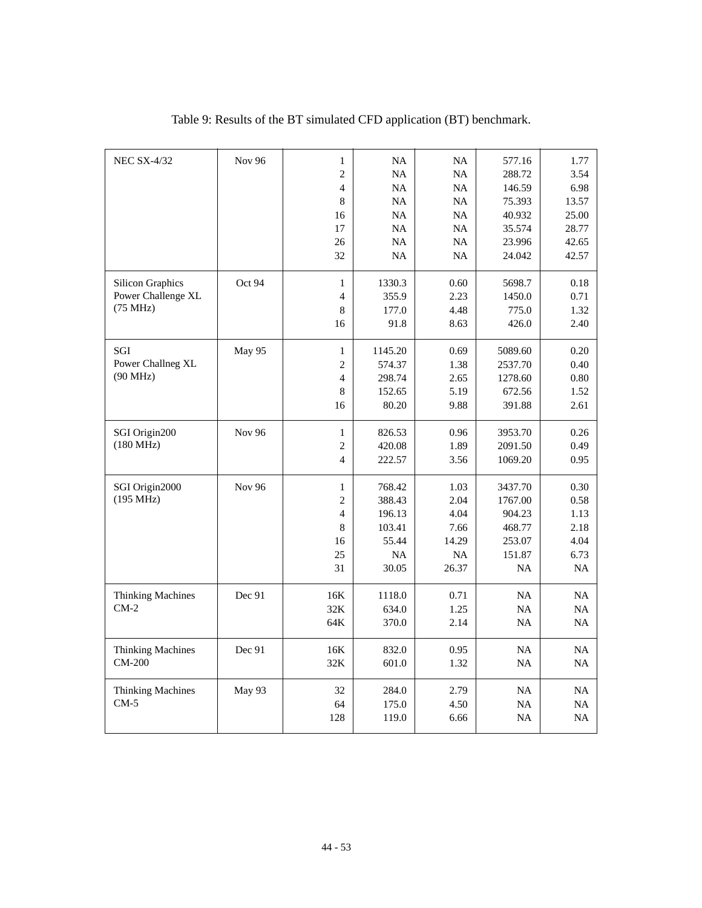| <b>NEC SX-4/32</b>       | Nov 96        | $\mathbf{1}$             | NA        | NA        | 577.16    | 1.77  |
|--------------------------|---------------|--------------------------|-----------|-----------|-----------|-------|
|                          |               | $\mathfrak{2}$           | NA        | NA        | 288.72    | 3.54  |
|                          |               | $\overline{4}$           | NA        | NA        | 146.59    | 6.98  |
|                          |               | 8                        | NA        | NA        | 75.393    | 13.57 |
|                          |               | 16                       | NA        | NA        | 40.932    | 25.00 |
|                          |               | 17                       | NA        | NA        | 35.574    | 28.77 |
|                          |               | 26                       | <b>NA</b> | NA        | 23.996    | 42.65 |
|                          |               | 32                       | NA        | NA        | 24.042    | 42.57 |
| <b>Silicon Graphics</b>  | Oct 94        | 1                        | 1330.3    | 0.60      | 5698.7    | 0.18  |
| Power Challenge XL       |               | $\overline{\mathcal{L}}$ | 355.9     | 2.23      | 1450.0    | 0.71  |
| (75 MHz)                 |               | 8                        | 177.0     | 4.48      | 775.0     | 1.32  |
|                          |               | 16                       | 91.8      | 8.63      | 426.0     | 2.40  |
| SGI                      | May 95        | $\mathbf{1}$             | 1145.20   | 0.69      | 5089.60   | 0.20  |
| Power Challneg XL        |               | $\mathfrak{2}$           | 574.37    | 1.38      | 2537.70   | 0.40  |
| $(90$ MHz)               |               | $\overline{\mathcal{L}}$ | 298.74    | 2.65      | 1278.60   | 0.80  |
|                          |               | $\,$ 8 $\,$              | 152.65    | 5.19      | 672.56    | 1.52  |
|                          |               | 16                       | 80.20     | 9.88      | 391.88    | 2.61  |
| SGI Origin200            | <b>Nov 96</b> | $\mathbf{1}$             | 826.53    | 0.96      | 3953.70   | 0.26  |
| $(180 \text{ MHz})$      |               | $\mathfrak{2}$           | 420.08    | 1.89      | 2091.50   | 0.49  |
|                          |               | $\overline{4}$           | 222.57    | 3.56      | 1069.20   | 0.95  |
| SGI Origin2000           | <b>Nov 96</b> | $\mathbf{1}$             | 768.42    | 1.03      | 3437.70   | 0.30  |
| (195 MHz)                |               | $\mathfrak{2}$           | 388.43    | 2.04      | 1767.00   | 0.58  |
|                          |               | $\overline{4}$           | 196.13    | 4.04      | 904.23    | 1.13  |
|                          |               | $\,$ 8 $\,$              | 103.41    | 7.66      | 468.77    | 2.18  |
|                          |               | 16                       | 55.44     | 14.29     | 253.07    | 4.04  |
|                          |               | 25                       | <b>NA</b> | <b>NA</b> | 151.87    | 6.73  |
|                          |               | 31                       | 30.05     | 26.37     | NA        | NA    |
| <b>Thinking Machines</b> | Dec 91        | 16K                      | 1118.0    | 0.71      | NA        | NA    |
| $CM-2$                   |               | 32K                      | 634.0     | 1.25      | NA        | NA    |
|                          |               | 64K                      | 370.0     | 2.14      | <b>NA</b> | NA    |
| <b>Thinking Machines</b> | Dec 91        | 16K                      | 832.0     | 0.95      | <b>NA</b> | NA    |
| CM-200                   |               | 32K                      | 601.0     | 1.32      | NA        | NA    |
| <b>Thinking Machines</b> | May 93        | 32                       | 284.0     | 2.79      | <b>NA</b> | NA    |
| $CM-5$                   |               | 64                       | 175.0     | 4.50      | NA        | NA    |
|                          |               | 128                      | 119.0     | 6.66      | NA        | NA    |
|                          |               |                          |           |           |           |       |

Table 9: Results of the BT simulated CFD application (BT) benchmark.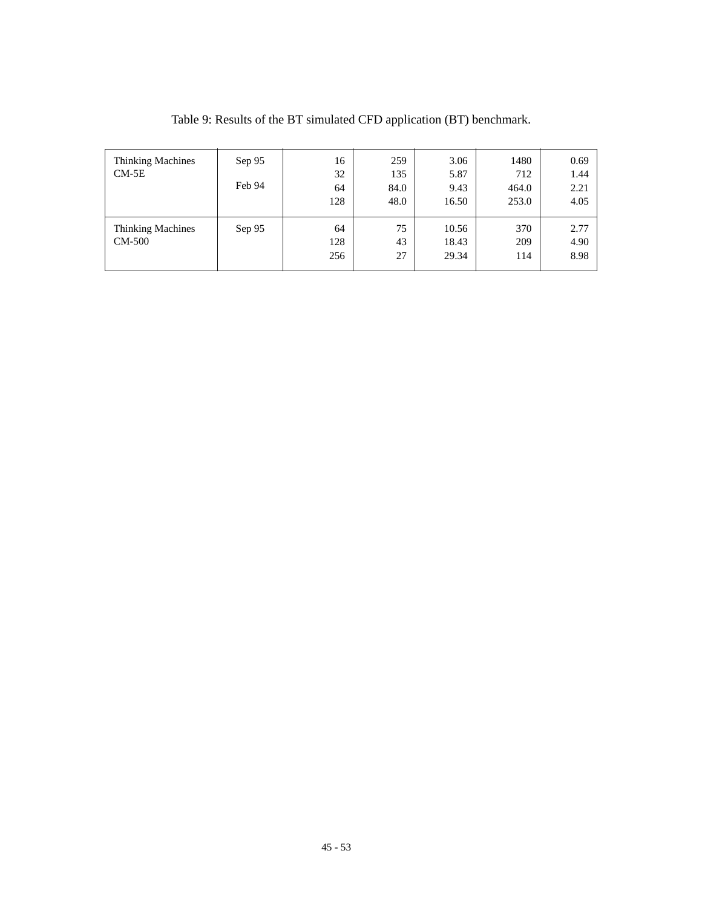| <b>Thinking Machines</b><br>$CM-5E$       | Sep 95<br>Feb 94 | 16<br>32<br>64<br>128 | 259<br>135<br>84.0<br>48.0 | 3.06<br>5.87<br>9.43<br>16.50 | 1480<br>712<br>464.0<br>253.0 | 0.69<br>1.44<br>2.21<br>4.05 |
|-------------------------------------------|------------------|-----------------------|----------------------------|-------------------------------|-------------------------------|------------------------------|
| <b>Thinking Machines</b><br><b>CM-500</b> | Sep 95           | 64<br>128<br>256      | 75<br>43<br>27             | 10.56<br>18.43<br>29.34       | 370<br>209<br>114             | 2.77<br>4.90<br>8.98         |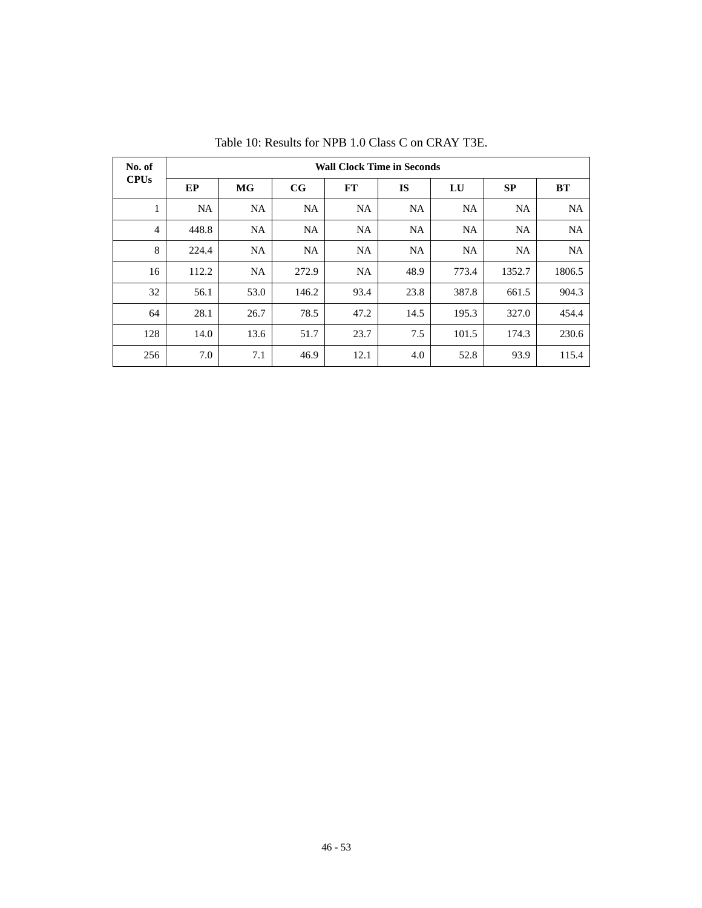| No. of         | <b>Wall Clock Time in Seconds</b> |           |             |           |           |           |           |           |  |  |
|----------------|-----------------------------------|-----------|-------------|-----------|-----------|-----------|-----------|-----------|--|--|
| <b>CPUs</b>    | EP                                | <b>MG</b> | $_{\rm CG}$ | FT        | <b>IS</b> | LU        | SP        | <b>BT</b> |  |  |
| 1<br>л.        | <b>NA</b>                         | <b>NA</b> | <b>NA</b>   | <b>NA</b> | <b>NA</b> | <b>NA</b> | <b>NA</b> | <b>NA</b> |  |  |
| $\overline{4}$ | 448.8                             | <b>NA</b> | <b>NA</b>   | NA        | NA        | NA        | NA        | <b>NA</b> |  |  |
| 8              | 224.4                             | <b>NA</b> | <b>NA</b>   | NA.       | <b>NA</b> | <b>NA</b> | NA        | <b>NA</b> |  |  |
| 16             | 112.2                             | <b>NA</b> | 272.9       | <b>NA</b> | 48.9      | 773.4     | 1352.7    | 1806.5    |  |  |
| 32             | 56.1                              | 53.0      | 146.2       | 93.4      | 23.8      | 387.8     | 661.5     | 904.3     |  |  |
| 64             | 28.1                              | 26.7      | 78.5        | 47.2      | 14.5      | 195.3     | 327.0     | 454.4     |  |  |
| 128            | 14.0                              | 13.6      | 51.7        | 23.7      | 7.5       | 101.5     | 174.3     | 230.6     |  |  |
| 256            | 7.0                               | 7.1       | 46.9        | 12.1      | 4.0       | 52.8      | 93.9      | 115.4     |  |  |

Table 10: Results for NPB 1.0 Class C on CRAY T3E.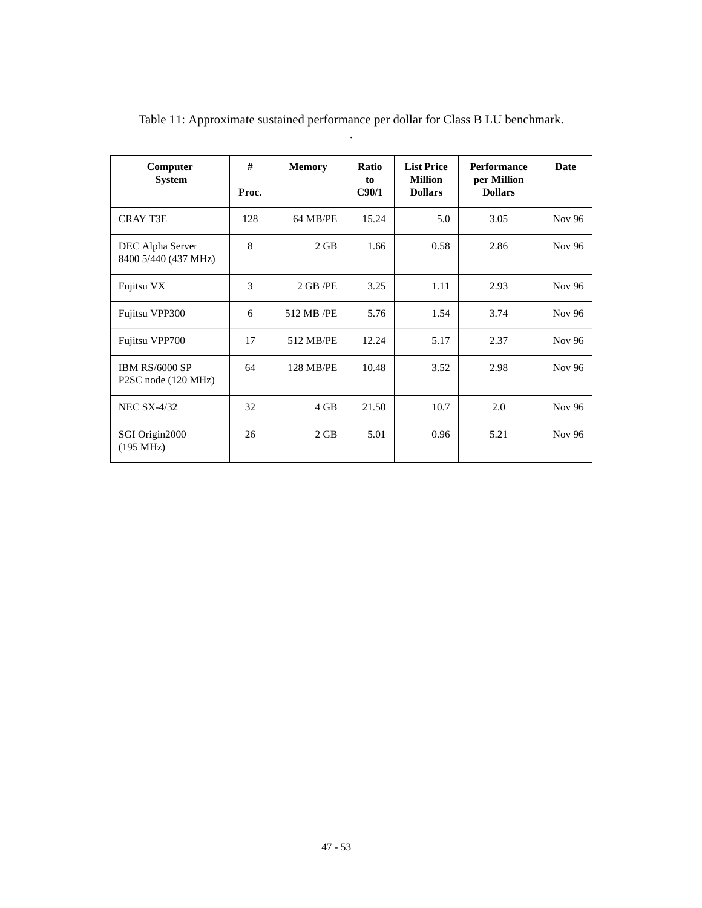| Computer<br><b>System</b>                    | #<br>Proc. | <b>Memory</b> | Ratio<br>to<br>C90/1 | <b>List Price</b><br><b>Million</b><br><b>Dollars</b> | <b>Performance</b><br>per Million<br><b>Dollars</b> | Date   |
|----------------------------------------------|------------|---------------|----------------------|-------------------------------------------------------|-----------------------------------------------------|--------|
| <b>CRAY T3E</b>                              | 128        | 64 MB/PE      | 15.24                | 5.0                                                   | 3.05                                                | Nov 96 |
| DEC Alpha Server<br>8400 5/440 (437 MHz)     | 8          | $2$ GB        | 1.66                 | 0.58                                                  | 2.86                                                | Nov 96 |
| Fujitsu VX                                   | 3          | 2 GB/PE       | 3.25                 | 1.11                                                  | 2.93                                                | Nov 96 |
| Fujitsu VPP300                               | 6          | 512 MB /PE    | 5.76                 | 1.54                                                  | 3.74                                                | Nov 96 |
| Fujitsu VPP700                               | 17         | 512 MB/PE     | 12.24                | 5.17                                                  | 2.37                                                | Nov 96 |
| <b>IBM RS/6000 SP</b><br>P2SC node (120 MHz) | 64         | 128 MB/PE     | 10.48                | 3.52                                                  | 2.98                                                | Nov 96 |
| <b>NEC SX-4/32</b>                           | 32         | 4 GB          | 21.50                | 10.7                                                  | 2.0                                                 | Nov 96 |
| SGI Origin2000<br>(195 MHz)                  | 26         | $2$ GB        | 5.01                 | 0.96                                                  | 5.21                                                | Nov 96 |

Table 11: Approximate sustained performance per dollar for Class B LU benchmark. .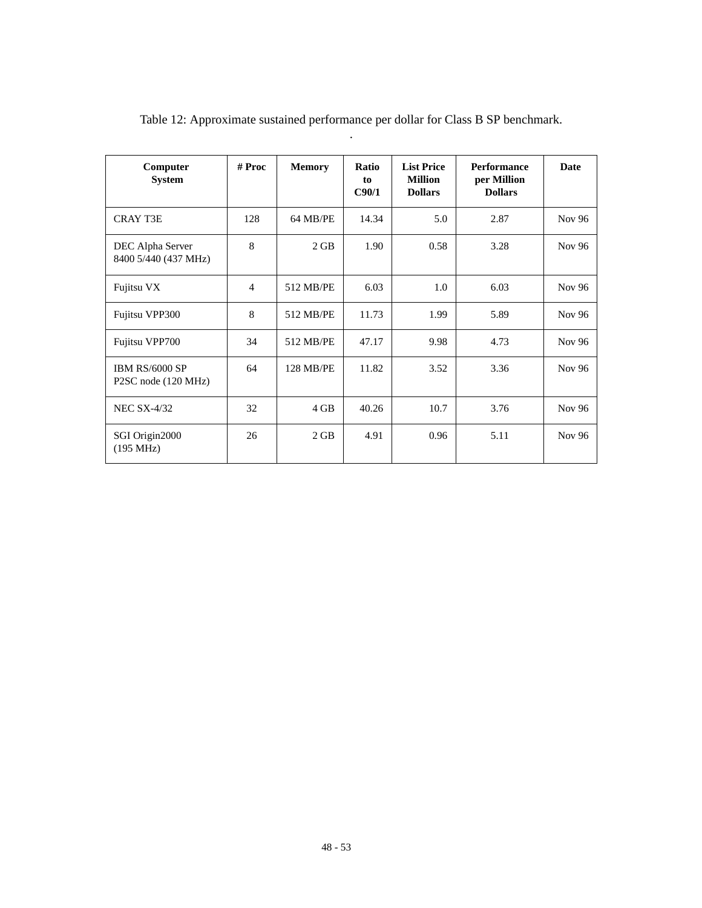| Computer<br><b>System</b>                    | # Proc         | <b>Memory</b> | <b>Ratio</b><br>to<br>C90/1 | <b>List Price</b><br><b>Million</b><br><b>Dollars</b> | <b>Performance</b><br>per Million<br><b>Dollars</b> | <b>Date</b>   |
|----------------------------------------------|----------------|---------------|-----------------------------|-------------------------------------------------------|-----------------------------------------------------|---------------|
| <b>CRAY T3E</b>                              | 128            | 64 MB/PE      | 14.34                       | 5.0                                                   | 2.87                                                | Nov 96        |
| DEC Alpha Server<br>8400 5/440 (437 MHz)     | 8              | 2 GB          | 1.90                        | 0.58                                                  | 3.28                                                | Nov 96        |
| Fujitsu VX                                   | $\overline{4}$ | 512 MB/PE     | 6.03                        | 1.0                                                   | 6.03                                                | Nov 96        |
| Fujitsu VPP300                               | 8              | 512 MB/PE     | 11.73                       | 1.99                                                  | 5.89                                                | Nov 96        |
| Fujitsu VPP700                               | 34             | 512 MB/PE     | 47.17                       | 9.98                                                  | 4.73                                                | Nov 96        |
| <b>IBM RS/6000 SP</b><br>P2SC node (120 MHz) | 64             | 128 MB/PE     | 11.82                       | 3.52                                                  | 3.36                                                | Nov 96        |
| <b>NEC SX-4/32</b>                           | 32             | $4$ GB        | 40.26                       | 10.7                                                  | 3.76                                                | <b>Nov 96</b> |
| SGI Origin2000<br>(195 MHz)                  | 26             | 2 GB          | 4.91                        | 0.96                                                  | 5.11                                                | Nov 96        |

Table 12: Approximate sustained performance per dollar for Class B SP benchmark. .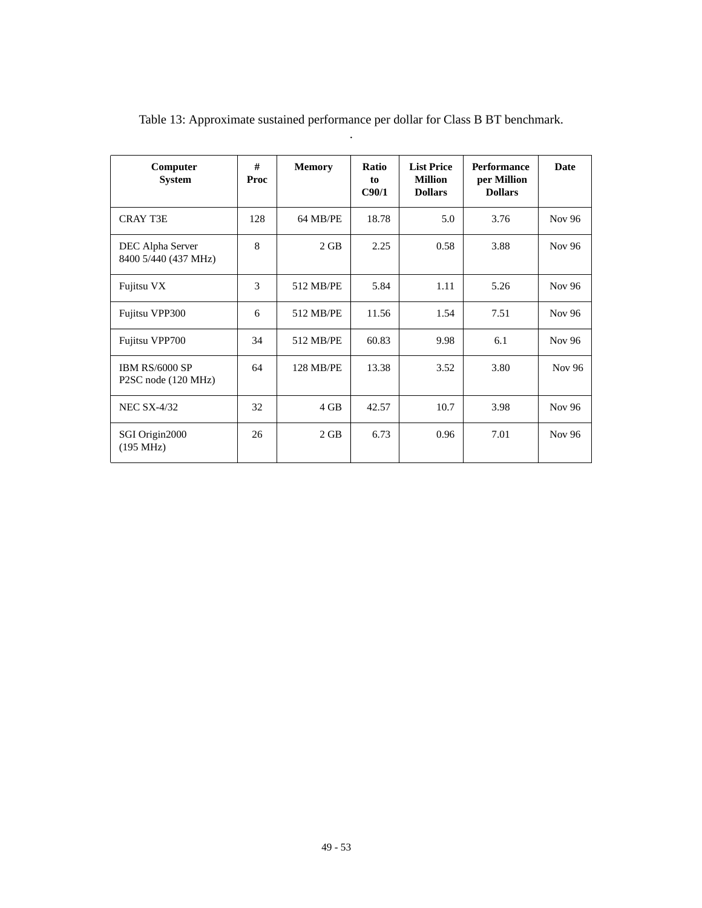| Computer<br><b>System</b>                    | #<br>Proc    | <b>Memory</b> | <b>Ratio</b><br>to<br>C90/1 | <b>List Price</b><br><b>Million</b><br><b>Dollars</b> | <b>Performance</b><br>per Million<br><b>Dollars</b> | <b>Date</b>   |
|----------------------------------------------|--------------|---------------|-----------------------------|-------------------------------------------------------|-----------------------------------------------------|---------------|
| CRAY T3E                                     | 128          | 64 MB/PE      | 18.78                       | 5.0                                                   | 3.76                                                | Nov 96        |
| DEC Alpha Server<br>8400 5/440 (437 MHz)     | $\mathbf{8}$ | $2$ GB        | 2.25                        | 0.58                                                  | 3.88                                                | Nov 96        |
| Fujitsu VX                                   | 3            | 512 MB/PE     | 5.84                        | 1.11                                                  | 5.26                                                | <b>Nov 96</b> |
| Fujitsu VPP300                               | 6            | 512 MB/PE     | 11.56                       | 1.54                                                  | 7.51                                                | Nov 96        |
| Fujitsu VPP700                               | 34           | 512 MB/PE     | 60.83                       | 9.98                                                  | 6.1                                                 | Nov 96        |
| <b>IBM RS/6000 SP</b><br>P2SC node (120 MHz) | 64           | 128 MB/PE     | 13.38                       | 3.52                                                  | 3.80                                                | Nov 96        |
| <b>NEC SX-4/32</b>                           | 32           | 4 GB          | 42.57                       | 10.7                                                  | 3.98                                                | <b>Nov 96</b> |
| SGI Origin2000<br>(195 MHz)                  | 26           | $2$ GB        | 6.73                        | 0.96                                                  | 7.01                                                | Nov 96        |

Table 13: Approximate sustained performance per dollar for Class B BT benchmark. .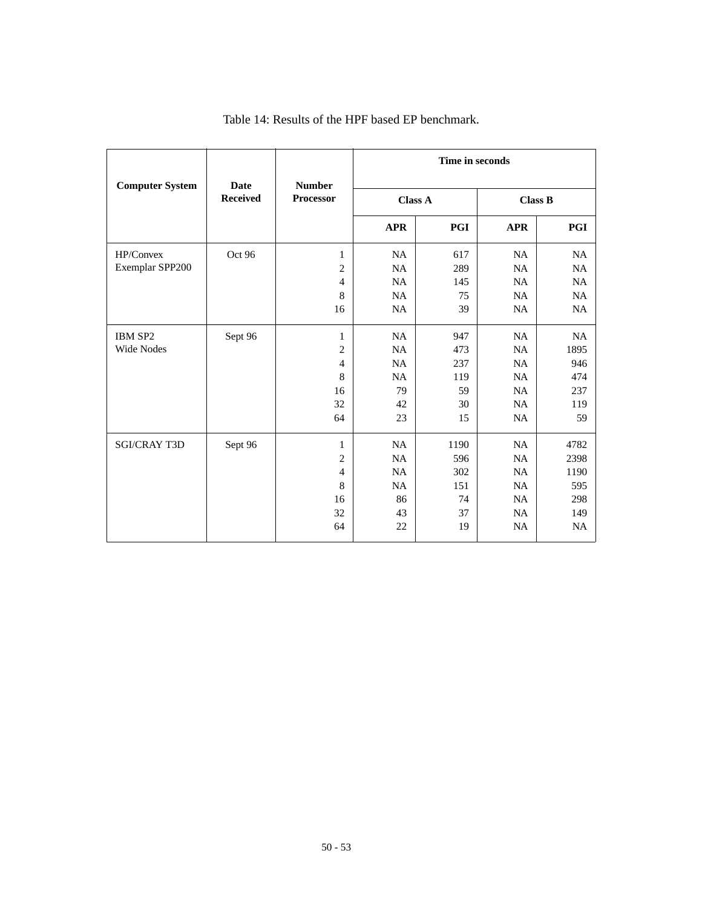|                        |                         |                                   |            | Time in seconds |            |                |  |  |
|------------------------|-------------------------|-----------------------------------|------------|-----------------|------------|----------------|--|--|
| <b>Computer System</b> | Date<br><b>Received</b> | <b>Number</b><br><b>Processor</b> |            | <b>Class A</b>  |            | <b>Class B</b> |  |  |
|                        |                         |                                   | <b>APR</b> | <b>PGI</b>      | <b>APR</b> | PGI            |  |  |
| HP/Convex              | Oct 96                  | 1                                 | NA         | 617             | NA         | NA             |  |  |
| Exemplar SPP200        |                         | $\overline{c}$                    | <b>NA</b>  | 289             | NA         | <b>NA</b>      |  |  |
|                        |                         | $\overline{4}$                    | NA         | 145             | NA         | NA             |  |  |
|                        |                         | 8                                 | <b>NA</b>  | 75              | NA         | <b>NA</b>      |  |  |
|                        |                         | 16                                | <b>NA</b>  | 39              | NA         | NA             |  |  |
| IBM SP2                | Sept 96                 | $\mathbf{1}$                      | NA         | 947             | <b>NA</b>  | <b>NA</b>      |  |  |
| <b>Wide Nodes</b>      |                         | $\overline{c}$                    | NA         | 473             | NA         | 1895           |  |  |
|                        |                         | $\overline{4}$                    | NA         | 237             | <b>NA</b>  | 946            |  |  |
|                        |                         | 8                                 | NA         | 119             | NA         | 474            |  |  |
|                        |                         | 16                                | 79         | 59              | NA         | 237            |  |  |
|                        |                         | 32                                | 42         | 30              | NA         | 119            |  |  |
|                        |                         | 64                                | 23         | 15              | <b>NA</b>  | 59             |  |  |
| <b>SGI/CRAY T3D</b>    | Sept 96                 | 1                                 | <b>NA</b>  | 1190            | NA         | 4782           |  |  |
|                        |                         | $\overline{2}$                    | NA         | 596             | <b>NA</b>  | 2398           |  |  |
|                        |                         | $\overline{4}$                    | NA         | 302             | NA         | 1190           |  |  |
|                        |                         | 8                                 | <b>NA</b>  | 151             | NA         | 595            |  |  |
|                        |                         | 16                                | 86         | 74              | <b>NA</b>  | 298            |  |  |
|                        |                         | 32                                | 43         | 37              | <b>NA</b>  | 149            |  |  |
|                        |                         | 64                                | 22         | 19              | <b>NA</b>  | <b>NA</b>      |  |  |

### Table 14: Results of the HPF based EP benchmark.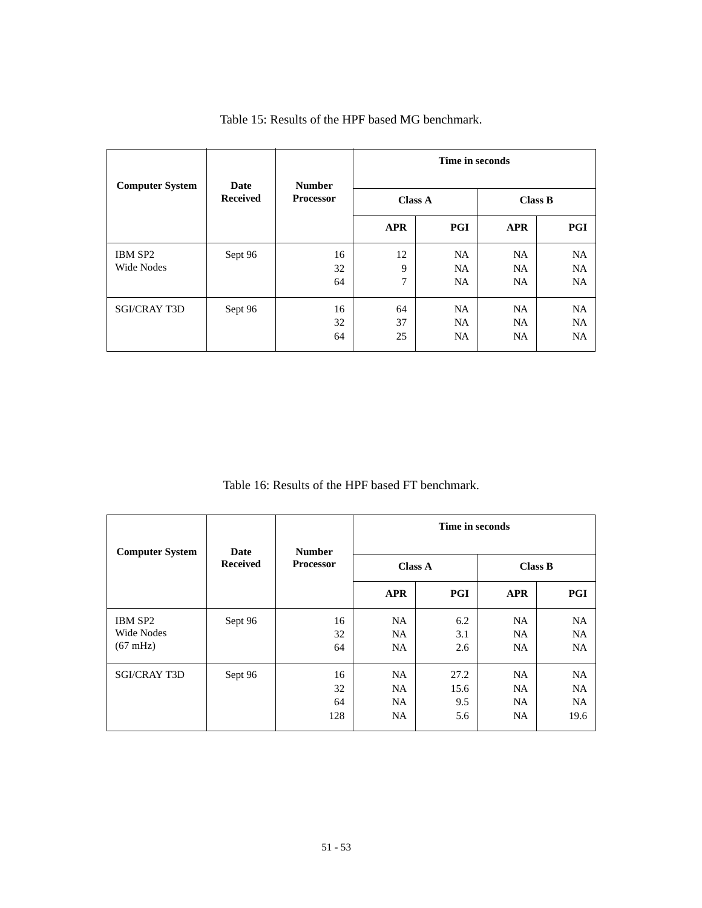| <b>Computer System</b> | Date            | <b>Number</b>    | Time in seconds<br><b>Class A</b><br><b>Class B</b> |                                     |                                     |                                     |  |
|------------------------|-----------------|------------------|-----------------------------------------------------|-------------------------------------|-------------------------------------|-------------------------------------|--|
|                        | <b>Received</b> | <b>Processor</b> |                                                     |                                     |                                     |                                     |  |
|                        |                 |                  | <b>APR</b>                                          | PGI                                 | <b>APR</b>                          | PGI                                 |  |
| IBM SP2<br>Wide Nodes  | Sept 96         | 16<br>32<br>64   | 12<br>9<br>7                                        | <b>NA</b><br><b>NA</b><br>NA.       | <b>NA</b><br><b>NA</b><br><b>NA</b> | <b>NA</b><br><b>NA</b><br><b>NA</b> |  |
| <b>SGI/CRAY T3D</b>    | Sept 96         | 16<br>32<br>64   | 64<br>37<br>25                                      | <b>NA</b><br><b>NA</b><br><b>NA</b> | NA.<br><b>NA</b><br>NA.             | <b>NA</b><br><b>NA</b><br><b>NA</b> |  |

Table 15: Results of the HPF based MG benchmark.

Table 16: Results of the HPF based FT benchmark.

| <b>Computer System</b>                      | Date            | <b>Number</b>         | Time in seconds                                                                                                                                                                                                                         |  |  |                                             |
|---------------------------------------------|-----------------|-----------------------|-----------------------------------------------------------------------------------------------------------------------------------------------------------------------------------------------------------------------------------------|--|--|---------------------------------------------|
|                                             | <b>Received</b> | <b>Processor</b>      | <b>Class B</b><br><b>Class A</b><br>PGI<br><b>APR</b><br><b>APR</b><br>6.2<br><b>NA</b><br>NA.<br><b>NA</b><br>NA.<br>3.1<br>NA.<br>NA.<br>2.6<br>NA<br>27.2<br>NA<br>NA.<br>15.6<br>NA.<br>9.5<br>NA.<br>NA.<br>NA<br><b>NA</b><br>5.6 |  |  |                                             |
|                                             |                 |                       |                                                                                                                                                                                                                                         |  |  | PGI                                         |
| IBM SP2<br>Wide Nodes<br>$(67 \text{ mHz})$ | Sept 96         | 16<br>32<br>64        |                                                                                                                                                                                                                                         |  |  | <b>NA</b><br><b>NA</b><br><b>NA</b>         |
| <b>SGI/CRAY T3D</b>                         | Sept 96         | 16<br>32<br>64<br>128 |                                                                                                                                                                                                                                         |  |  | <b>NA</b><br><b>NA</b><br><b>NA</b><br>19.6 |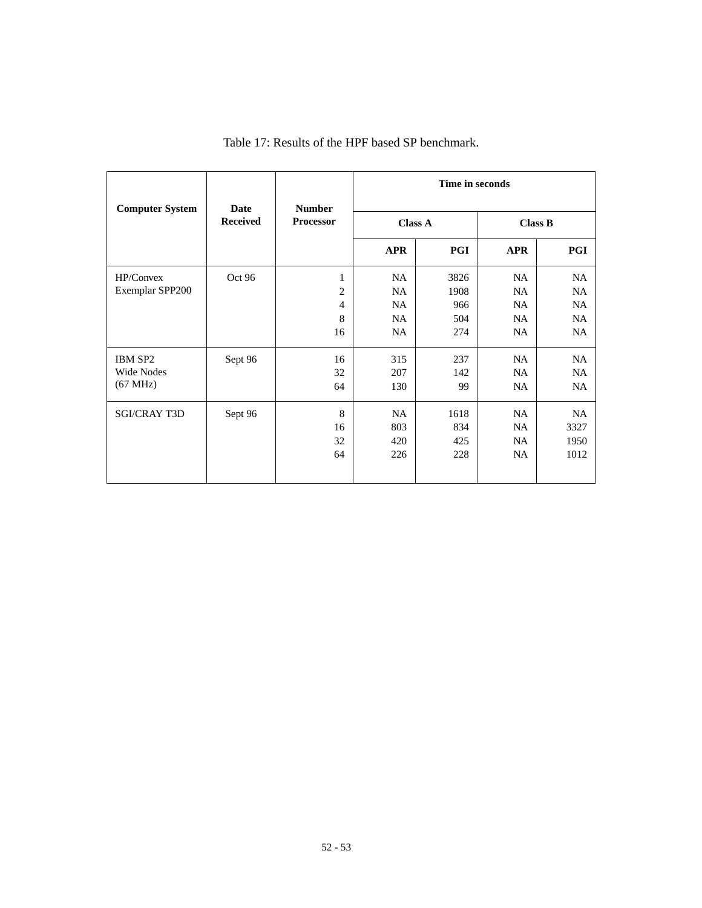| <b>Computer System</b> | <b>Date</b>     | <b>Number</b>  | Time in seconds |                |           |                                                                                                                                                                                 |  |  |  |
|------------------------|-----------------|----------------|-----------------|----------------|-----------|---------------------------------------------------------------------------------------------------------------------------------------------------------------------------------|--|--|--|
|                        | <b>Received</b> | Processor      |                 | <b>Class A</b> |           | <b>Class B</b><br>PGI<br><b>APR</b><br>NA<br>NA<br><b>NA</b><br>NA<br><b>NA</b><br><b>NA</b><br>NA<br>NA.<br>NA<br>NA<br><b>NA</b><br>NA.<br><b>NA</b><br>NA<br>NA<br><b>NA</b> |  |  |  |
|                        |                 |                | <b>APR</b>      | PGI            |           |                                                                                                                                                                                 |  |  |  |
| HP/Convex              | Oct 96          | $\mathbf{1}$   | NA              | 3826           |           |                                                                                                                                                                                 |  |  |  |
| Exemplar SPP200        |                 | $\overline{2}$ | <b>NA</b>       | 1908           |           |                                                                                                                                                                                 |  |  |  |
|                        |                 | $\overline{4}$ | NA              | 966            |           |                                                                                                                                                                                 |  |  |  |
|                        |                 | 8              | NA.             | 504            |           |                                                                                                                                                                                 |  |  |  |
|                        |                 | 16             | NA.             | 274            |           |                                                                                                                                                                                 |  |  |  |
| IBM SP2                | Sept 96         | 16             | 315             | 237            |           |                                                                                                                                                                                 |  |  |  |
| <b>Wide Nodes</b>      |                 | 32             | 207             | 142            |           |                                                                                                                                                                                 |  |  |  |
| $(67 \text{ MHz})$     |                 | 64             | 130             | 99             |           |                                                                                                                                                                                 |  |  |  |
| <b>SGI/CRAY T3D</b>    | Sept 96         | 8              | NA              | 1618           | <b>NA</b> | NA                                                                                                                                                                              |  |  |  |
|                        |                 | 16             | 803             | 834            | NA.       | 3327                                                                                                                                                                            |  |  |  |
|                        |                 | 32             | 420             | 425            | NA.       | 1950                                                                                                                                                                            |  |  |  |
|                        |                 | 64             | 226             | 228            | NA.       | 1012                                                                                                                                                                            |  |  |  |
|                        |                 |                |                 |                |           |                                                                                                                                                                                 |  |  |  |

### Table 17: Results of the HPF based SP benchmark.